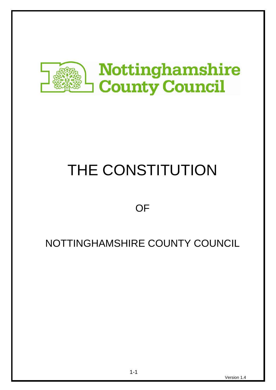

# THE CONSTITUTION

**OF** 

# NOTTINGHAMSHIRE COUNTY COUNCIL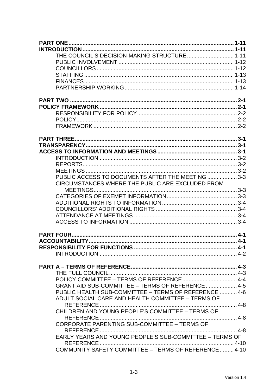| THE COUNCIL'S DECISION-MAKING STRUCTURE 1-11            |  |
|---------------------------------------------------------|--|
|                                                         |  |
|                                                         |  |
|                                                         |  |
|                                                         |  |
|                                                         |  |
|                                                         |  |
|                                                         |  |
|                                                         |  |
|                                                         |  |
|                                                         |  |
|                                                         |  |
|                                                         |  |
|                                                         |  |
|                                                         |  |
|                                                         |  |
|                                                         |  |
| PUBLIC ACCESS TO DOCUMENTS AFTER THE MEETING  3-3       |  |
| CIRCUMSTANCES WHERE THE PUBLIC ARE EXCLUDED FROM        |  |
|                                                         |  |
|                                                         |  |
|                                                         |  |
|                                                         |  |
|                                                         |  |
|                                                         |  |
|                                                         |  |
|                                                         |  |
|                                                         |  |
|                                                         |  |
|                                                         |  |
|                                                         |  |
|                                                         |  |
| GRANT AID SUB-COMMITTEE - TERMS OF REFERENCE  4-5       |  |
| PUBLIC HEALTH SUB-COMMITTEE - TERMS OF REFERENCE  4-6   |  |
| ADULT SOCIAL CARE AND HEALTH COMMITTEE - TERMS OF       |  |
| REFERENCE                                               |  |
| CHILDREN AND YOUNG PEOPLE'S COMMITTEE - TERMS OF        |  |
|                                                         |  |
| CORPORATE PARENTING SUB-COMMITTEE - TERMS OF            |  |
|                                                         |  |
| EARLY YEARS AND YOUNG PEOPLE'S SUB-COMMITTEE - TERMS OF |  |
|                                                         |  |
| COMMUNITY SAFETY COMMITTEE - TERMS OF REFERENCE  4-10   |  |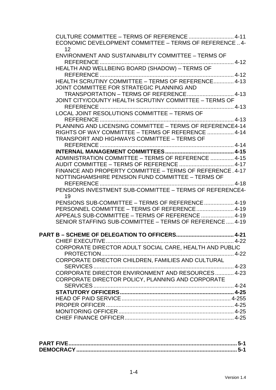| CULTURE COMMITTEE - TERMS OF REFERENCE  4-11<br>ECONOMIC DEVELOPMENT COMMITTEE - TERMS OF REFERENCE  4- |  |
|---------------------------------------------------------------------------------------------------------|--|
| 12<br>ENVIRONMENT AND SUSTAINABILITY COMMITTEE - TERMS OF                                               |  |
| HEALTH AND WELLBEING BOARD (SHADOW) - TERMS OF                                                          |  |
|                                                                                                         |  |
| HEALTH SCRUTINY COMMITTEE - TERMS OF REFERENCE 4-13                                                     |  |
| JOINT COMMITTEE FOR STRATEGIC PLANNING AND                                                              |  |
|                                                                                                         |  |
| JOINT CITY/COUNTY HEALTH SCRUTINY COMMITTEE - TERMS OF                                                  |  |
|                                                                                                         |  |
| LOCAL JOINT RESOLUTIONS COMMITTEE - TERMS OF                                                            |  |
|                                                                                                         |  |
| PLANNING AND LICENSING COMMITTEE - TERMS OF REFERENCE4-14                                               |  |
| RIGHTS OF WAY COMMITTEE - TERMS OF REFERENCE  4-14                                                      |  |
| <b>TRANSPORT AND HIGHWAYS COMMITTEE - TERMS OF</b>                                                      |  |
|                                                                                                         |  |
|                                                                                                         |  |
| ADMINISTRATION COMMITTEE - TERMS OF REFERENCE  4-15                                                     |  |
|                                                                                                         |  |
| FINANCE AND PROPERTY COMMITTEE - TERMS OF REFERENCE. 4-17                                               |  |
| NOTTINGHAMSHIRE PENSION FUND COMMITTEE - TERMS OF                                                       |  |
| PENSIONS INVESTMENT SUB-COMMITTEE - TERMS OF REFERENCE4-<br>19                                          |  |
| PENSIONS SUB-COMMITTEE - TERMS OF REFERENCE  4-19                                                       |  |
| PERSONNEL COMMITTEE - TERMS OF REFERENCE 4-19                                                           |  |
| APPEALS SUB-COMMITTEE - TERMS OF REFERENCE  4-19                                                        |  |
| SENIOR STAFFING SUB-COMMITTEE - TERMS OF REFERENCE  4-19                                                |  |
|                                                                                                         |  |
|                                                                                                         |  |
| CORPORATE DIRECTOR ADULT SOCIAL CARE, HEALTH AND PUBLIC                                                 |  |
|                                                                                                         |  |
| CORPORATE DIRECTOR CHILDREN, FAMILIES AND CULTURAL                                                      |  |
|                                                                                                         |  |
| CORPORATE DIRECTOR ENVIRONMENT AND RESOURCES 4-23                                                       |  |
| CORPORATE DIRECTOR POLICY, PLANNING AND CORPORATE                                                       |  |
|                                                                                                         |  |
|                                                                                                         |  |
|                                                                                                         |  |
|                                                                                                         |  |
|                                                                                                         |  |
|                                                                                                         |  |
|                                                                                                         |  |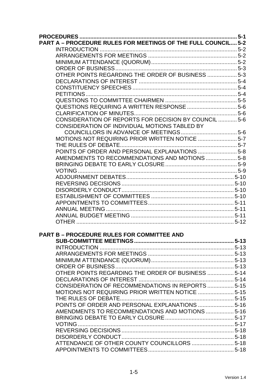| <b>PART A - PROCEDURE RULES FOR MEETINGS OF THE FULL COUNCIL 5-2</b> |           |
|----------------------------------------------------------------------|-----------|
|                                                                      |           |
|                                                                      |           |
|                                                                      |           |
|                                                                      |           |
| OTHER POINTS REGARDING THE ORDER OF BUSINESS  5-3                    |           |
|                                                                      |           |
|                                                                      |           |
|                                                                      |           |
|                                                                      |           |
| QUESTIONS REQUIRING A WRITTEN RESPONSE  5-6                          |           |
|                                                                      |           |
| CONSIDERATION OF REPORTS FOR DECISION BY COUNCIL  5-6                |           |
| CONSIDERATION OF INDIVIDUAL MOTIONS TABLED BY                        |           |
|                                                                      |           |
| MOTIONS NOT REQUIRING PRIOR WRITTEN NOTICE  5-7                      |           |
|                                                                      |           |
| POINTS OF ORDER AND PERSONAL EXPLANATIONS  5-8                       |           |
| AMENDMENTS TO RECOMMENDATIONS AND MOTIONS  5-8                       |           |
|                                                                      |           |
|                                                                      |           |
|                                                                      |           |
|                                                                      |           |
|                                                                      |           |
|                                                                      |           |
|                                                                      |           |
|                                                                      |           |
|                                                                      |           |
|                                                                      |           |
|                                                                      |           |
| <b>PART B - PROCEDURE RULES FOR COMMITTEE AND</b>                    |           |
|                                                                      | $ 5 - 13$ |
|                                                                      |           |
|                                                                      |           |
|                                                                      |           |
|                                                                      |           |
| OTHER POINTS REGARDING THE ORDER OF BUSINESS  5-14                   |           |
|                                                                      |           |
| CONSIDERATION OF RECOMMENDATIONS IN REPORTS  5-15                    |           |
|                                                                      |           |
|                                                                      |           |
| POINTS OF ORDER AND PERSONAL EXPLANATIONS  5-16                      |           |
| AMENDMENTS TO RECOMMENDATIONS AND MOTIONS  5-16                      |           |
|                                                                      |           |
|                                                                      |           |
|                                                                      |           |
|                                                                      |           |
| ATTENDANCE OF OTHER COUNTY COUNCILLORS  5-18                         |           |
|                                                                      |           |
|                                                                      |           |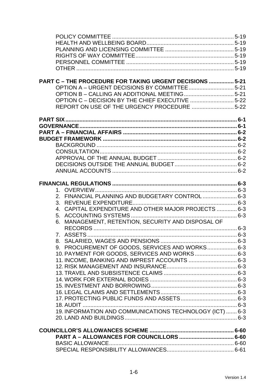| PART C - THE PROCEDURE FOR TAKING URGENT DECISIONS  5-21 |  |
|----------------------------------------------------------|--|
|                                                          |  |
|                                                          |  |
| OPTION C - DECISION BY THE CHIEF EXECUTIVE 5-22          |  |
| REPORT ON USE OF THE URGENCY PROCEDURE 5-22              |  |
|                                                          |  |
|                                                          |  |
|                                                          |  |
|                                                          |  |
|                                                          |  |
|                                                          |  |
|                                                          |  |
|                                                          |  |
|                                                          |  |
|                                                          |  |
|                                                          |  |
|                                                          |  |
| 2. FINANCIAL PLANNING AND BUDGETARY CONTROL 6-3          |  |
|                                                          |  |
| 4. CAPITAL EXPENDITURE AND OTHER MAJOR PROJECTS  6-3     |  |
|                                                          |  |
| 6. MANAGEMENT, RETENTION, SECURITY AND DISPOSAL OF       |  |
|                                                          |  |
|                                                          |  |
|                                                          |  |
| 9. PROCUREMENT OF GOODS, SERVICES AND WORKS 6-3          |  |
| 10. PAYMENT FOR GOODS, SERVICES AND WORKS 6-3            |  |
| 11. INCOME, BANKING AND IMPREST ACCOUNTS  6-3            |  |
|                                                          |  |
|                                                          |  |
|                                                          |  |
|                                                          |  |
|                                                          |  |
|                                                          |  |
| 18. AUDIT                                                |  |
| 19. INFORMATION AND COMMUNICATIONS TECHNOLOGY (ICT)  6-3 |  |
|                                                          |  |
|                                                          |  |
|                                                          |  |
|                                                          |  |
| BASIC ALLOWANCE                                          |  |
|                                                          |  |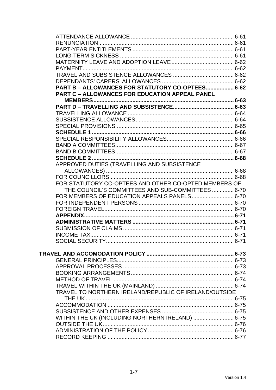| PART B - ALLOWANCES FOR STATUTORY CO-OPTEES 6-62       |  |
|--------------------------------------------------------|--|
| <b>PART C - ALLOWANCES FOR EDUCATION APPEAL PANEL</b>  |  |
|                                                        |  |
|                                                        |  |
|                                                        |  |
|                                                        |  |
|                                                        |  |
|                                                        |  |
|                                                        |  |
|                                                        |  |
|                                                        |  |
|                                                        |  |
|                                                        |  |
| APPROVED DUTIES (TRAVELLING AND SUBSISTENCE            |  |
|                                                        |  |
|                                                        |  |
| FOR STATUTORY CO-OPTEES AND OTHER CO-OPTED MEMBERS OF  |  |
| THE COUNCIL'S COMMITTEES AND SUB-COMMITTEES 6-70       |  |
| FOR MEMBERS OF EDUCATION APPEALS PANELS 6-70           |  |
|                                                        |  |
|                                                        |  |
|                                                        |  |
|                                                        |  |
|                                                        |  |
|                                                        |  |
|                                                        |  |
|                                                        |  |
|                                                        |  |
|                                                        |  |
|                                                        |  |
|                                                        |  |
|                                                        |  |
|                                                        |  |
| TRAVEL TO NORTHERN IRELAND/REPUBLIC OF IRELAND/OUTSIDE |  |
|                                                        |  |
|                                                        |  |
|                                                        |  |
| WITHIN THE UK (INCLUDING NORTHERN IRELAND)  6-75       |  |
|                                                        |  |
|                                                        |  |
|                                                        |  |
|                                                        |  |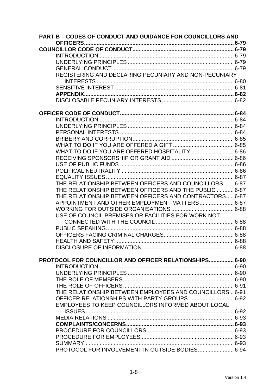| <b>PART B - CODES OF CONDUCT AND GUIDANCE FOR COUNCILLORS AND</b> |  |
|-------------------------------------------------------------------|--|
|                                                                   |  |
|                                                                   |  |
|                                                                   |  |
|                                                                   |  |
| REGISTERING AND DECLARING PECUNIARY AND NON-PECUNIARY             |  |
|                                                                   |  |
|                                                                   |  |
|                                                                   |  |
|                                                                   |  |
|                                                                   |  |
|                                                                   |  |
|                                                                   |  |
|                                                                   |  |
|                                                                   |  |
|                                                                   |  |
|                                                                   |  |
| WHAT TO DO IF YOU ARE OFFERED HOSPITALITY  6-86                   |  |
|                                                                   |  |
|                                                                   |  |
|                                                                   |  |
|                                                                   |  |
| THE RELATIONSHIP BETWEEN OFFICERS AND COUNCILLORS  6-87           |  |
| THE RELATIONSHIP BETWEEN OFFICERS AND THE PUBLIC  6-87            |  |
| THE RELATIONSHIP BETWEEN OFFICERS AND CONTRACTORS 6-87            |  |
| APPOINTMENT AND OTHER EMPLOYMENT MATTERS 6-87                     |  |
|                                                                   |  |
| USE OF COUNCIL PREMISES OR FACILITIES FOR WORK NOT                |  |
|                                                                   |  |
|                                                                   |  |
|                                                                   |  |
|                                                                   |  |
|                                                                   |  |
|                                                                   |  |
| PROTOCOL FOR COUNCILLOR AND OFFICER RELATIONSHIPS 6-90            |  |
|                                                                   |  |
|                                                                   |  |
|                                                                   |  |
|                                                                   |  |
| THE RELATIONSHIP BETWEEN EMPLOYEES AND COUNCILLORS  6-91          |  |
| OFFICER RELATIONSHIPS WITH PARTY GROUPS 6-92                      |  |
| EMPLOYEES TO KEEP COUNCILLORS INFORMED ABOUT LOCAL                |  |
|                                                                   |  |
|                                                                   |  |
|                                                                   |  |
|                                                                   |  |
|                                                                   |  |
|                                                                   |  |
| PROTOCOL FOR INVOLVEMENT IN OUTSIDE BODIES 6-94                   |  |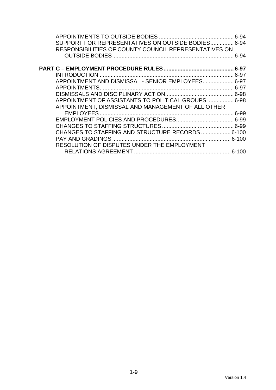| SUPPORT FOR REPRESENTATIVES ON OUTSIDE BODIES 6-94    |          |
|-------------------------------------------------------|----------|
| RESPONSIBILITIES OF COUNTY COUNCIL REPRESENTATIVES ON |          |
|                                                       | $6 - 94$ |
|                                                       |          |
|                                                       |          |
| APPOINTMENT AND DISMISSAL - SENIOR EMPLOYEES 6-97     |          |
|                                                       |          |
|                                                       |          |
| APPOINTMENT OF ASSISTANTS TO POLITICAL GROUPS  6-98   |          |
| APPOINTMENT, DISMISSAL AND MANAGEMENT OF ALL OTHER    |          |
|                                                       |          |
|                                                       |          |
|                                                       |          |
| CHANGES TO STAFFING AND STRUCTURE RECORDS  6-100      |          |
|                                                       |          |
| RESOLUTION OF DISPUTES UNDER THE EMPLOYMENT           |          |
|                                                       |          |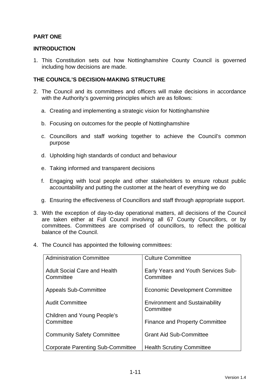# **PART ONE**

#### **INTRODUCTION**

1. This Constitution sets out how Nottinghamshire County Council is governed including how decisions are made.

#### **THE COUNCIL'S DECISION-MAKING STRUCTURE**

- 2. The Council and its committees and officers will make decisions in accordance with the Authority's governing principles which are as follows:
	- a. Creating and implementing a strategic vision for Nottinghamshire
	- b. Focusing on outcomes for the people of Nottinghamshire
	- c. Councillors and staff working together to achieve the Council's common purpose
	- d. Upholding high standards of conduct and behaviour
	- e. Taking informed and transparent decisions
	- f. Engaging with local people and other stakeholders to ensure robust public accountability and putting the customer at the heart of everything we do
	- g. Ensuring the effectiveness of Councillors and staff through appropriate support.
- 3. With the exception of day-to-day operational matters, all decisions of the Council are taken either at Full Council involving all 67 County Councillors, or by committees. Committees are comprised of councillors, to reflect the political balance of the Council.
- 4. The Council has appointed the following committees:

| <b>Administration Committee</b>                  | <b>Culture Committee</b>                           |
|--------------------------------------------------|----------------------------------------------------|
| <b>Adult Social Care and Health</b><br>Committee | Early Years and Youth Services Sub-<br>Committee   |
| <b>Appeals Sub-Committee</b>                     | <b>Economic Development Committee</b>              |
| <b>Audit Committee</b>                           | <b>Environment and Sustainability</b><br>Committee |
| Children and Young People's                      |                                                    |
| Committee                                        | <b>Finance and Property Committee</b>              |
| <b>Community Safety Committee</b>                | <b>Grant Aid Sub-Committee</b>                     |
| Corporate Parenting Sub-Committee                | <b>Health Scrutiny Committee</b>                   |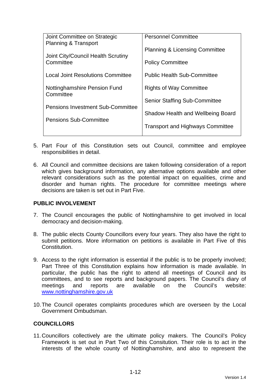| Joint Committee on Strategic              | <b>Personnel Committee</b>                |
|-------------------------------------------|-------------------------------------------|
| Planning & Transport                      | <b>Planning &amp; Licensing Committee</b> |
| Joint City/Council Health Scrutiny        |                                           |
| Committee                                 | <b>Policy Committee</b>                   |
| <b>Local Joint Resolutions Committee</b>  | <b>Public Health Sub-Committee</b>        |
| Nottinghamshire Pension Fund<br>Committee | <b>Rights of Way Committee</b>            |
|                                           | <b>Senior Staffing Sub-Committee</b>      |
| <b>Pensions Investment Sub-Committee</b>  | Shadow Health and Wellbeing Board         |
| <b>Pensions Sub-Committee</b>             |                                           |
|                                           | <b>Transport and Highways Committee</b>   |
|                                           |                                           |

- 5. Part Four of this Constitution sets out Council, committee and employee responsibilities in detail.
- 6. All Council and committee decisions are taken following consideration of a report which gives background information, any alternative options available and other relevant considerations such as the potential impact on equalities, crime and disorder and human rights. The procedure for committee meetings where decisions are taken is set out in Part Five.

#### **PUBLIC INVOLVEMENT**

- 7. The Council encourages the public of Nottinghamshire to get involved in local democracy and decision-making.
- 8. The public elects County Councillors every four years. They also have the right to submit petitions. More information on petitions is available in Part Five of this Constitution.
- 9. Access to the right information is essential if the public is to be properly involved; Part Three of this Constitution explains how information is made available. In particular, the public has the right to attend all meetings of Council and its committees, and to see reports and background papers. The Council's diary of meetings and reports are available on the Council's website: www.nottinghamshire.gov.uk
- 10. The Council operates complaints procedures which are overseen by the Local Government Ombudsman.

#### **COUNCILLORS**

11. Councillors collectively are the ultimate policy makers. The Council's Policy Framework is set out in Part Two of this Consitution. Their role is to act in the interests of the whole county of Nottinghamshire, and also to represent the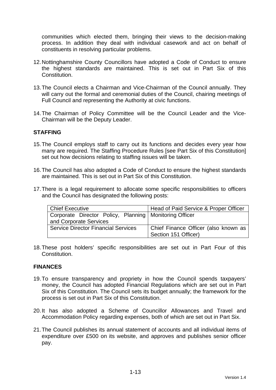communities which elected them, bringing their views to the decision-making process. In addition they deal with individual casework and act on behalf of constituents in resolving particular problems.

- 12. Nottinghamshire County Councillors have adopted a Code of Conduct to ensure the highest standards are maintained. This is set out in Part Six of this Constitution.
- 13. The Council elects a Chairman and Vice-Chairman of the Council annually. They will carry out the formal and ceremonial duties of the Council, chairing meetings of Full Council and representing the Authority at civic functions.
- 14. The Chairman of Policy Committee will be the Council Leader and the Vice-Chairman will be the Deputy Leader.

#### **STAFFING**

- 15. The Council employs staff to carry out its functions and decides every year how many are required. The Staffing Procedure Rules [see Part Six of this Constitution] set out how decisions relating to staffing issues will be taken.
- 16. The Council has also adopted a Code of Conduct to ensure the highest standards are maintained. This is set out in Part Six of this Constitution.
- 17. There is a legal requirement to allocate some specific responsibilities to officers and the Council has designated the following posts:

| Chief Executive                                          | Head of Paid Service & Proper Officer |
|----------------------------------------------------------|---------------------------------------|
| Corporate Director Policy, Planning   Monitoring Officer |                                       |
| and Corporate Services                                   |                                       |
| <b>Service Director Financial Services</b>               | Chief Finance Officer (also known as  |
|                                                          | Section 151 Officer)                  |

18. These post holders' specific responsibilities are set out in Part Four of this Constitution.

#### **FINANCES**

- 19. To ensure transparency and propriety in how the Council spends taxpayers' money, the Council has adopted Financial Regulations which are set out in Part Six of this Constitution. The Council sets its budget annually; the framework for the process is set out in Part Six of this Constitution.
- 20. It has also adopted a Scheme of Councillor Allowances and Travel and Accommodation Policy regarding expenses, both of which are set out in Part Six.
- 21. The Council publishes its annual statement of accounts and all individual items of expenditure over £500 on its website, and approves and publishes senior officer pay.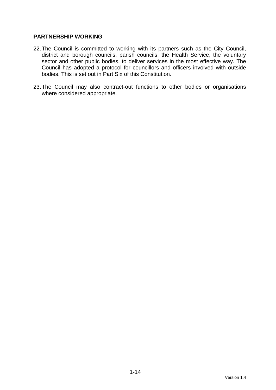## **PARTNERSHIP WORKING**

- 22. The Council is committed to working with its partners such as the City Council, district and borough councils, parish councils, the Health Service, the voluntary sector and other public bodies, to deliver services in the most effective way. The Council has adopted a protocol for councillors and officers involved with outside bodies. This is set out in Part Six of this Constitution.
- 23. The Council may also contract-out functions to other bodies or organisations where considered appropriate.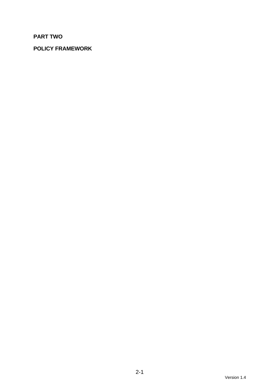# **PART TWO**

# **POLICY FRAMEWORK**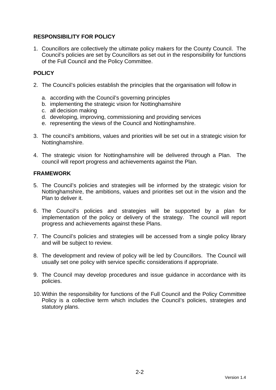# **RESPONSIBILITY FOR POLICY**

1. Councillors are collectively the ultimate policy makers for the County Council. The Council's policies are set by Councillors as set out in the responsibility for functions of the Full Council and the Policy Committee.

# **POLICY**

- 2. The Council's policies establish the principles that the organisation will follow in
	- a. according with the Council's governing principles
	- b. implementing the strategic vision for Nottinghamshire
	- c. all decision making
	- d. developing, improving, commissioning and providing services
	- e. representing the views of the Council and Nottinghamshire.
- 3. The council's ambitions, values and priorities will be set out in a strategic vision for Nottinghamshire.
- 4. The strategic vision for Nottinghamshire will be delivered through a Plan. The council will report progress and achievements against the Plan.

## **FRAMEWORK**

- 5. The Council's policies and strategies will be informed by the strategic vision for Nottinghamshire, the ambitions, values and priorities set out in the vision and the Plan to deliver it.
- 6. The Council's policies and strategies will be supported by a plan for implementation of the policy or delivery of the strategy. The council will report progress and achievements against these Plans.
- 7. The Council's policies and strategies will be accessed from a single policy library and will be subject to review.
- 8. The development and review of policy will be led by Councillors. The Council will usually set one policy with service specific considerations if appropriate.
- 9. The Council may develop procedures and issue guidance in accordance with its policies.
- 10. Within the responsibility for functions of the Full Council and the Policy Committee Policy is a collective term which includes the Council's policies, strategies and statutory plans.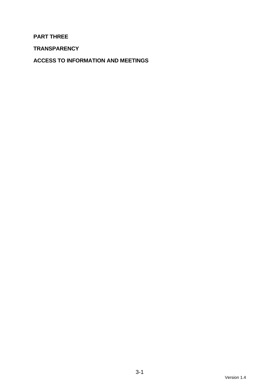**PART THREE** 

**TRANSPARENCY** 

**ACCESS TO INFORMATION AND MEETINGS**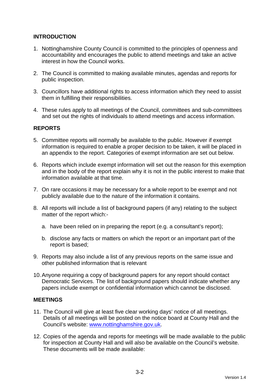# **INTRODUCTION**

- 1. Nottinghamshire County Council is committed to the principles of openness and accountability and encourages the public to attend meetings and take an active interest in how the Council works.
- 2. The Council is committed to making available minutes, agendas and reports for public inspection.
- 3. Councillors have additional rights to access information which they need to assist them in fulfilling their responsibilities.
- 4. These rules apply to all meetings of the Council, committees and sub-committees and set out the rights of individuals to attend meetings and access information.

# **REPORTS**

- 5. Committee reports will normally be available to the public. However if exempt information is required to enable a proper decision to be taken, it will be placed in an appendix to the report. Categories of exempt information are set out below.
- 6. Reports which include exempt information will set out the reason for this exemption and in the body of the report explain why it is not in the public interest to make that information available at that time.
- 7. On rare occasions it may be necessary for a whole report to be exempt and not publicly available due to the nature of the information it contains.
- 8. All reports will include a list of background papers (if any) relating to the subject matter of the report which:
	- a. have been relied on in preparing the report (e.g. a consultant's report);
	- b. disclose any facts or matters on which the report or an important part of the report is based;
- 9. Reports may also include a list of any previous reports on the same issue and other published information that is relevant
- 10. Anyone requiring a copy of background papers for any report should contact Democratic Services. The list of background papers should indicate whether any papers include exempt or confidential information which cannot be disclosed.

#### **MEETINGS**

- 11. The Council will give at least five clear working days' notice of all meetings. Details of all meetings will be posted on the notice board at County Hall and the Council's website: www.nottinghamshire.gov.uk.
- 12. Copies of the agenda and reports for meetings will be made available to the public for inspection at County Hall and will also be available on the Council's website. These documents will be made available: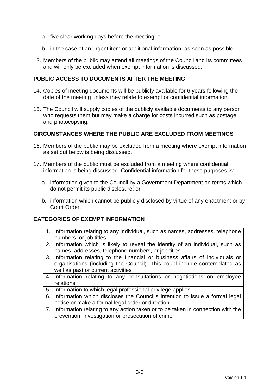- a. five clear working days before the meeting; or
- b. in the case of an urgent item or additional information, as soon as possible.
- 13. Members of the public may attend all meetings of the Council and its committees and will only be excluded when exempt information is discussed.

#### **PUBLIC ACCESS TO DOCUMENTS AFTER THE MEETING**

- 14. Copies of meeting documents will be publicly available for 6 years following the date of the meeting unless they relate to exempt or confidential information.
- 15. The Council will supply copies of the publicly available documents to any person who requests them but may make a charge for costs incurred such as postage and photocopying.

#### **CIRCUMSTANCES WHERE THE PUBLIC ARE EXCLUDED FROM MEETINGS**

- 16. Members of the public may be excluded from a meeting where exempt information as set out below is being discussed.
- 17. Members of the public must be excluded from a meeting where confidential information is being discussed. Confidential information for these purposes is:
	- a. information given to the Council by a Government Department on terms which do not permit its public disclosure; or
	- b. information which cannot be publicly disclosed by virtue of any enactment or by Court Order.

#### **CATEGORIES OF EXEMPT INFORMATION**

- 1. Information relating to any individual, such as names, addresses, telephone numbers, or job titles
- 2. Information which is likely to reveal the identity of an individual, such as names, addresses, telephone numbers, or job titles
- 3. Information relating to the financial or business affairs of individuals or organisations (including the Council). This could include contemplated as well as past or current activities
- 4. Information relating to any consultations or negotiations on employee relations
- 5. Information to which legal professional privilege applies
- 6. Information which discloses the Council's intention to issue a formal legal notice or make a formal legal order or direction
- 7. Information relating to any action taken or to be taken in connection with the prevention, investigation or prosecution of crime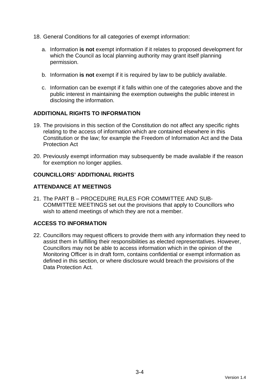- 18. General Conditions for all categories of exempt information:
	- a. Information **is not** exempt information if it relates to proposed development for which the Council as local planning authority may grant itself planning permission.
	- b. Information **is not** exempt if it is required by law to be publicly available.
	- c. Information can be exempt if it falls within one of the categories above and the public interest in maintaining the exemption outweighs the public interest in disclosing the information.

# **ADDITIONAL RIGHTS TO INFORMATION**

- 19. The provisions in this section of the Constitution do not affect any specific rights relating to the access of information which are contained elsewhere in this Constitution or the law; for example the Freedom of Information Act and the Data Protection Act
- 20. Previously exempt information may subsequently be made available if the reason for exemption no longer applies.

# **COUNCILLORS' ADDITIONAL RIGHTS**

# **ATTENDANCE AT MEETINGS**

21. The PART B – PROCEDURE RULES FOR COMMITTEE AND SUB-COMMITTEE MEETINGS set out the provisions that apply to Councillors who wish to attend meetings of which they are not a member.

# **ACCESS TO INFORMATION**

22. Councillors may request officers to provide them with any information they need to assist them in fulfilling their responsibilities as elected representatives. However, Councillors may not be able to access information which in the opinion of the Monitoring Officer is in draft form, contains confidential or exempt information as defined in this section, or where disclosure would breach the provisions of the Data Protection Act.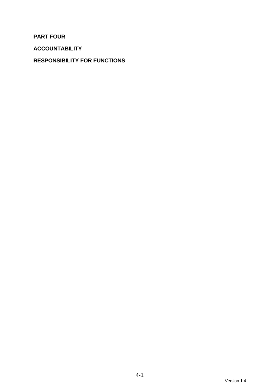**PART FOUR** 

**ACCOUNTABILITY** 

# **RESPONSIBILITY FOR FUNCTIONS**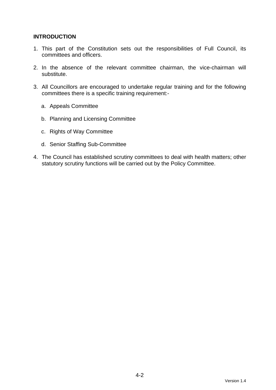# **INTRODUCTION**

- 1. This part of the Constitution sets out the responsibilities of Full Council, its committees and officers.
- 2. In the absence of the relevant committee chairman, the vice-chairman will substitute.
- 3. All Councillors are encouraged to undertake regular training and for the following committees there is a specific training requirement:
	- a. Appeals Committee
	- b. Planning and Licensing Committee
	- c. Rights of Way Committee
	- d. Senior Staffing Sub-Committee
- 4. The Council has established scrutiny committees to deal with health matters; other statutory scrutiny functions will be carried out by the Policy Committee.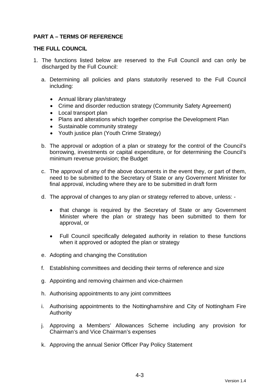# **PART A – TERMS OF REFERENCE**

#### **THE FULL COUNCIL**

- 1. The functions listed below are reserved to the Full Council and can only be discharged by the Full Council:
	- a. Determining all policies and plans statutorily reserved to the Full Council including:
		- Annual library plan/strategy
		- Crime and disorder reduction strategy (Community Safety Agreement)
		- Local transport plan
		- Plans and alterations which together comprise the Development Plan
		- Sustainable community strategy
		- Youth justice plan (Youth Crime Strategy)
	- b. The approval or adoption of a plan or strategy for the control of the Council's borrowing, investments or capital expenditure, or for determining the Council's minimum revenue provision; the Budget
	- c. The approval of any of the above documents in the event they, or part of them, need to be submitted to the Secretary of State or any Government Minister for final approval, including where they are to be submitted in draft form
	- d. The approval of changes to any plan or strategy referred to above, unless:
		- that change is required by the Secretary of State or any Government Minister where the plan or strategy has been submitted to them for approval, or
		- Full Council specifically delegated authority in relation to these functions when it approved or adopted the plan or strategy
	- e. Adopting and changing the Constitution
	- f. Establishing committees and deciding their terms of reference and size
	- g. Appointing and removing chairmen and vice-chairmen
	- h. Authorising appointments to any joint committees
	- i. Authorising appointments to the Nottinghamshire and City of Nottingham Fire Authority
	- j. Approving a Members' Allowances Scheme including any provision for Chairman's and Vice Chairman's expenses
	- k. Approving the annual Senior Officer Pay Policy Statement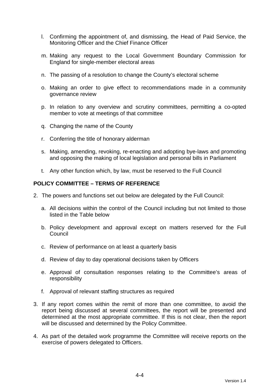- l. Confirming the appointment of, and dismissing, the Head of Paid Service, the Monitoring Officer and the Chief Finance Officer
- m. Making any request to the Local Government Boundary Commission for England for single-member electoral areas
- n. The passing of a resolution to change the County's electoral scheme
- o. Making an order to give effect to recommendations made in a community governance review
- p. In relation to any overview and scrutiny committees, permitting a co-opted member to vote at meetings of that committee
- q. Changing the name of the County
- r. Conferring the title of honorary alderman
- s. Making, amending, revoking, re-enacting and adopting bye-laws and promoting and opposing the making of local legislation and personal bills in Parliament
- t. Any other function which, by law, must be reserved to the Full Council

#### **POLICY COMMITTEE – TERMS OF REFERENCE**

- 2. The powers and functions set out below are delegated by the Full Council:
	- a. All decisions within the control of the Council including but not limited to those listed in the Table below
	- b. Policy development and approval except on matters reserved for the Full **Council**
	- c. Review of performance on at least a quarterly basis
	- d. Review of day to day operational decisions taken by Officers
	- e. Approval of consultation responses relating to the Committee's areas of responsibility
	- f. Approval of relevant staffing structures as required
- 3. If any report comes within the remit of more than one committee, to avoid the report being discussed at several committees, the report will be presented and determined at the most appropriate committee. If this is not clear, then the report will be discussed and determined by the Policy Committee.
- 4. As part of the detailed work programme the Committee will receive reports on the exercise of powers delegated to Officers.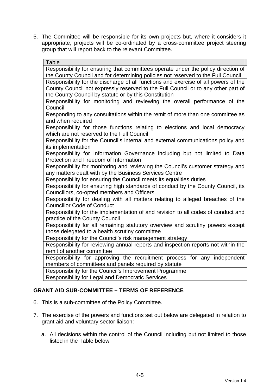5. The Committee will be responsible for its own projects but, where it considers it appropriate, projects will be co-ordinated by a cross-committee project steering group that will report back to the relevant Committee.

| <b>Table</b>                                                                        |
|-------------------------------------------------------------------------------------|
| Responsibility for ensuring that committees operate under the policy direction of   |
| the County Council and for determining policies not reserved to the Full Council    |
| Responsibility for the discharge of all functions and exercise of all powers of the |
| County Council not expressly reserved to the Full Council or to any other part of   |
| the County Council by statute or by this Constitution                               |
| Responsibility for monitoring and reviewing the overall performance of the          |
| Council                                                                             |
| Responding to any consultations within the remit of more than one committee as      |
| and when required                                                                   |
| Responsibility for those functions relating to elections and local democracy        |
| which are not reserved to the Full Council                                          |
| Responsibility for the Council's internal and external communications policy and    |
| its implementation                                                                  |
| Responsibility for Information Governance including but not limited to Data         |
| Protection and Freedom of Information                                               |
| Responsibility for monitoring and reviewing the Council's customer strategy and     |
| any matters dealt with by the Business Services Centre                              |
| Responsibility for ensuring the Council meets its equalities duties                 |
| Responsibility for ensuring high standards of conduct by the County Council, its    |
| Councillors, co-opted members and Officers                                          |
| Responsibility for dealing with all matters relating to alleged breaches of the     |
| <b>Councillor Code of Conduct</b>                                                   |
| Responsibility for the implementation of and revision to all codes of conduct and   |
| practice of the County Council                                                      |
| Responsibility for all remaining statutory overview and scrutiny powers except      |
| those delegated to a health scrutiny committee                                      |
| Responsibility for the Council's risk management strategy                           |
| Responsibility for reviewing annual reports and inspection reports not within the   |
| remit of another committee                                                          |
| Responsibility for approving the recruitment process for any independent            |
| members of committees and panels required by statute                                |
| Responsibility for the Council's Improvement Programme                              |
| <b>Responsibility for Legal and Democratic Services</b>                             |

# **GRANT AID SUB-COMMITTEE – TERMS OF REFERENCE**

- 6. This is a sub-committee of the Policy Committee.
- 7. The exercise of the powers and functions set out below are delegated in relation to grant aid and voluntary sector liaison:
	- a. All decisions within the control of the Council including but not limited to those listed in the Table below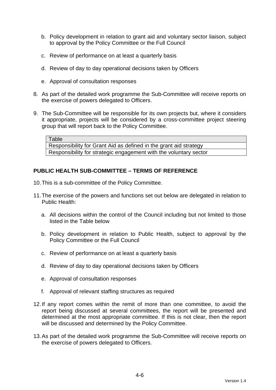- b. Policy development in relation to grant aid and voluntary sector liaison, subject to approval by the Policy Committee or the Full Council
- c. Review of performance on at least a quarterly basis
- d. Review of day to day operational decisions taken by Officers
- e. Approval of consultation responses
- 8. As part of the detailed work programme the Sub-Committee will receive reports on the exercise of powers delegated to Officers.
- 9. The Sub-Committee will be responsible for its own projects but, where it considers it appropriate, projects will be considered by a cross-committee project steering group that will report back to the Policy Committee.

**Table** 

Responsibility for Grant Aid as defined in the grant aid strategy Responsibility for strategic engagement with the voluntary sector

## **PUBLIC HEALTH SUB-COMMITTEE – TERMS OF REFERENCE**

- 10. This is a sub-committee of the Policy Committee.
- 11. The exercise of the powers and functions set out below are delegated in relation to Public Health:
	- a. All decisions within the control of the Council including but not limited to those listed in the Table below
	- b. Policy development in relation to Public Health, subject to approval by the Policy Committee or the Full Council
	- c. Review of performance on at least a quarterly basis
	- d. Review of day to day operational decisions taken by Officers
	- e. Approval of consultation responses
	- f. Approval of relevant staffing structures as required
- 12. If any report comes within the remit of more than one committee, to avoid the report being discussed at several committees, the report will be presented and determined at the most appropriate committee. If this is not clear, then the report will be discussed and determined by the Policy Committee.
- 13. As part of the detailed work programme the Sub-Committee will receive reports on the exercise of powers delegated to Officers.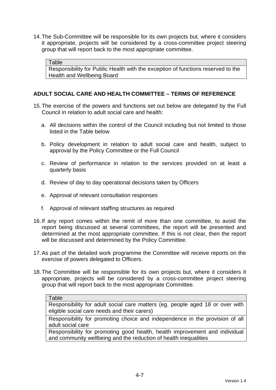14. The Sub-Committee will be responsible for its own projects but, where it considers it appropriate, projects will be considered by a cross-committee project steering group that will report back to the most appropriate committee.

Table

Responsibility for Public Health with the exception of functions reserved to the Health and Wellbeing Board

# **ADULT SOCIAL CARE AND HEALTH COMMITTEE – TERMS OF REFERENCE**

- 15. The exercise of the powers and functions set out below are delegated by the Full Council in relation to adult social care and health:
	- a. All decisions within the control of the Council including but not limited to those listed in the Table below
	- b. Policy development in relation to adult social care and health, subject to approval by the Policy Committee or the Full Council
	- c. Review of performance in relation to the services provided on at least a quarterly basis
	- d. Review of day to day operational decisions taken by Officers
	- e. Approval of relevant consultation responses
	- f. Approval of relevant staffing structures as required
- 16. If any report comes within the remit of more than one committee, to avoid the report being discussed at several committees, the report will be presented and determined at the most appropriate committee. If this is not clear, then the report will be discussed and determined by the Policy Committee.
- 17. As part of the detailed work programme the Committee will receive reports on the exercise of powers delegated to Officers.
- 18. The Committee will be responsible for its own projects but, where it considers it appropriate, projects will be considered by a cross-committee project steering group that will report back to the most appropriate Committee.

Responsibility for adult social care matters (eg. people aged 18 or over with eligible social care needs and their carers)

Responsibility for promoting choice and independence in the provision of all adult social care

Responsibility for promoting good health, health improvement and individual and community wellbeing and the reduction of health inequalities

Table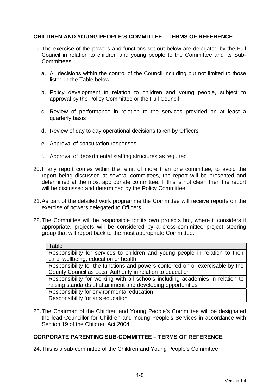# **CHILDREN AND YOUNG PEOPLE'S COMMITTEE – TERMS OF REFERENCE**

- 19. The exercise of the powers and functions set out below are delegated by the Full Council in relation to children and young people to the Committee and its Sub-Committees.
	- a. All decisions within the control of the Council including but not limited to those listed in the Table below
	- b. Policy development in relation to children and young people, subject to approval by the Policy Committee or the Full Council
	- c. Review of performance in relation to the services provided on at least a quarterly basis
	- d. Review of day to day operational decisions taken by Officers
	- e. Approval of consultation responses
	- f. Approval of departmental staffing structures as required
- 20. If any report comes within the remit of more than one committee, to avoid the report being discussed at several committees, the report will be presented and determined at the most appropriate committee. If this is not clear, then the report will be discussed and determined by the Policy Committee.
- 21. As part of the detailed work programme the Committee will receive reports on the exercise of powers delegated to Officers.
- 22. The Committee will be responsible for its own projects but, where it considers it appropriate, projects will be considered by a cross-committee project steering group that will report back to the most appropriate Committee.

| Table                                                                          |
|--------------------------------------------------------------------------------|
| Responsibility for services to children and young people in relation to their  |
| care, wellbeing, education or health                                           |
| Responsibility for the functions and powers conferred on or exercisable by the |
| County Council as Local Authority in relation to education                     |
| Responsibility for working with all schools including academies in relation to |
| raising standards of attainment and developing opportunities                   |
| Responsibility for environmental education                                     |
| Responsibility for arts education                                              |
|                                                                                |

23. The Chairman of the Children and Young People's Committee will be designated the lead Councillor for Children and Young People's Services in accordance with Section 19 of the Children Act 2004.

#### **CORPORATE PARENTING SUB-COMMITTEE – TERMS OF REFERENCE**

24. This is a sub-committee of the Children and Young People's Committee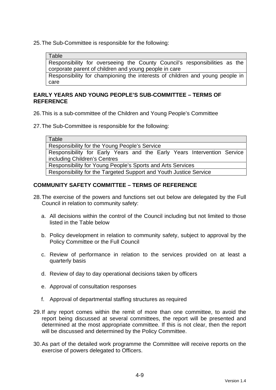25. The Sub-Committee is responsible for the following:

Table

Responsibility for overseeing the County Council's responsibilities as the corporate parent of children and young people in care

Responsibility for championing the interests of children and young people in care

#### **EARLY YEARS AND YOUNG PEOPLE'S SUB-COMMITTEE – TERMS OF REFERENCE**

26. This is a sub-committee of the Children and Young People's Committee

27. The Sub-Committee is responsible for the following:

**Table** 

Responsibility for the Young People's Service

Responsibility for Early Years and the Early Years Intervention Service including Children's Centres

Responsibility for Young People's Sports and Arts Services

Responsibility for the Targeted Support and Youth Justice Service

## **COMMUNITY SAFETY COMMITTEE – TERMS OF REFERENCE**

- 28. The exercise of the powers and functions set out below are delegated by the Full Council in relation to community safety:
	- a. All decisions within the control of the Council including but not limited to those listed in the Table below
	- b. Policy development in relation to community safety, subject to approval by the Policy Committee or the Full Council
	- c. Review of performance in relation to the services provided on at least a quarterly basis
	- d. Review of day to day operational decisions taken by officers
	- e. Approval of consultation responses
	- f. Approval of departmental staffing structures as required
- 29. If any report comes within the remit of more than one committee, to avoid the report being discussed at several committees, the report will be presented and determined at the most appropriate committee. If this is not clear, then the report will be discussed and determined by the Policy Committee.
- 30. As part of the detailed work programme the Committee will receive reports on the exercise of powers delegated to Officers.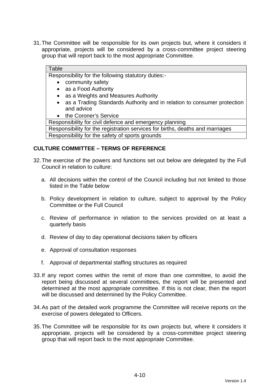31. The Committee will be responsible for its own projects but, where it considers it appropriate, projects will be considered by a cross-committee project steering group that will report back to the most appropriate Committee.

#### **Table**

Responsibility for the following statutory duties:-

- community safety
- as a Food Authority
- as a Weights and Measures Authority
- as a Trading Standards Authority and in relation to consumer protection and advice
- the Coroner's Service

Responsibility for civil defence and emergency planning

Responsibility for the registration services for births, deaths and marriages Responsibility for the safety of sports grounds

#### **CULTURE COMMITTEE – TERMS OF REFERENCE**

- 32. The exercise of the powers and functions set out below are delegated by the Full Council in relation to culture:
	- a. All decisions within the control of the Council including but not limited to those listed in the Table below
	- b. Policy development in relation to culture, subject to approval by the Policy Committee or the Full Council
	- c. Review of performance in relation to the services provided on at least a quarterly basis
	- d. Review of day to day operational decisions taken by officers
	- e. Approval of consultation responses
	- f. Approval of departmental staffing structures as required
- 33. If any report comes within the remit of more than one committee, to avoid the report being discussed at several committees, the report will be presented and determined at the most appropriate committee. If this is not clear, then the report will be discussed and determined by the Policy Committee.
- 34. As part of the detailed work programme the Committee will receive reports on the exercise of powers delegated to Officers.
- 35. The Committee will be responsible for its own projects but, where it considers it appropriate, projects will be considered by a cross-committee project steering group that will report back to the most appropriate Committee.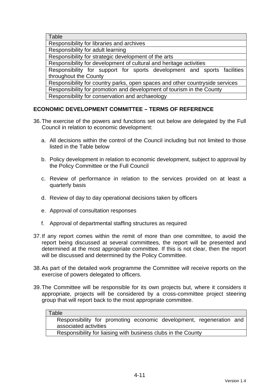| Table                                                                        |  |  |  |  |
|------------------------------------------------------------------------------|--|--|--|--|
| Responsibility for libraries and archives                                    |  |  |  |  |
| Responsibility for adult learning                                            |  |  |  |  |
| Responsibility for strategic development of the arts                         |  |  |  |  |
| Responsibility for development of cultural and heritage activities           |  |  |  |  |
| Responsibility for support for sports development and sports facilities      |  |  |  |  |
| throughout the County                                                        |  |  |  |  |
| Responsibility for country parks, open spaces and other countryside services |  |  |  |  |
| Responsibility for promotion and development of tourism in the County        |  |  |  |  |
| Responsibility for conservation and archaeology                              |  |  |  |  |
|                                                                              |  |  |  |  |

# **ECONOMIC DEVELOPMENT COMMITTEE – TERMS OF REFERENCE**

- 36. The exercise of the powers and functions set out below are delegated by the Full Council in relation to economic development:
	- a. All decisions within the control of the Council including but not limited to those listed in the Table below
	- b. Policy development in relation to economic development, subject to approval by the Policy Committee or the Full Council
	- c. Review of performance in relation to the services provided on at least a quarterly basis
	- d. Review of day to day operational decisions taken by officers
	- e. Approval of consultation responses
	- f. Approval of departmental staffing structures as required
- 37. If any report comes within the remit of more than one committee, to avoid the report being discussed at several committees, the report will be presented and determined at the most appropriate committee. If this is not clear, then the report will be discussed and determined by the Policy Committee.
- 38. As part of the detailed work programme the Committee will receive reports on the exercise of powers delegated to officers.
- 39. The Committee will be responsible for its own projects but, where it considers it appropriate, projects will be considered by a cross-committee project steering group that will report back to the most appropriate committee.

| ı | apı |  |
|---|-----|--|
|   |     |  |

Responsibility for promoting economic development, regeneration and associated activities

Responsibility for liaising with business clubs in the County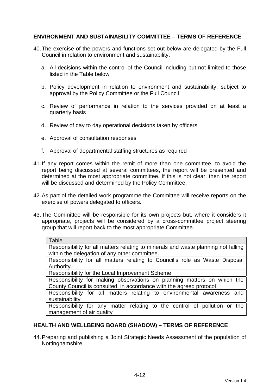# **ENVIRONMENT AND SUSTAINABILITY COMMITTEE – TERMS OF REFERENCE**

- 40. The exercise of the powers and functions set out below are delegated by the Full Council in relation to environment and sustainability:
	- a. All decisions within the control of the Council including but not limited to those listed in the Table below
	- b. Policy development in relation to environment and sustainability, subject to approval by the Policy Committee or the Full Council
	- c. Review of performance in relation to the services provided on at least a quarterly basis
	- d. Review of day to day operational decisions taken by officers
	- e. Approval of consultation responses
	- f. Approval of departmental staffing structures as required
- 41. If any report comes within the remit of more than one committee, to avoid the report being discussed at several committees, the report will be presented and determined at the most appropriate committee. If this is not clear, then the report will be discussed and determined by the Policy Committee.
- 42. As part of the detailed work programme the Committee will receive reports on the exercise of powers delegated to officers.
- 43. The Committee will be responsible for its own projects but, where it considers it appropriate, projects will be considered by a cross-committee project steering group that will report back to the most appropriate Committee.

| Table                                                                              |  |  |  |  |
|------------------------------------------------------------------------------------|--|--|--|--|
| Responsibility for all matters relating to minerals and waste planning not falling |  |  |  |  |
| within the delegation of any other committee.                                      |  |  |  |  |
| Responsibility for all matters relating to Council's role as Waste Disposal        |  |  |  |  |
| Authority.                                                                         |  |  |  |  |
| Responsibility for the Local Improvement Scheme                                    |  |  |  |  |
| Responsibility for making observations on planning matters on which the            |  |  |  |  |
| County Council is consulted, in accordance with the agreed protocol                |  |  |  |  |
| Responsibility for all matters relating to environmental awareness and             |  |  |  |  |
| sustainability                                                                     |  |  |  |  |
| Responsibility for any matter relating to the control of pollution or the          |  |  |  |  |
| management of air quality                                                          |  |  |  |  |

#### **HEALTH AND WELLBEING BOARD (SHADOW) – TERMS OF REFERENCE**

44. Preparing and publishing a Joint Strategic Needs Assessment of the population of Nottinghamshire.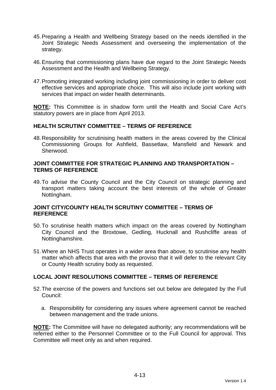- 45. Preparing a Health and Wellbeing Strategy based on the needs identified in the Joint Strategic Needs Assessment and overseeing the implementation of the strategy.
- 46. Ensuring that commissioning plans have due regard to the Joint Strategic Needs Assessment and the Health and Wellbeing Strategy.
- 47. Promoting integrated working including joint commissioning in order to deliver cost effective services and appropriate choice. This will also include joint working with services that impact on wider health determinants.

**NOTE:** This Committee is in shadow form until the Health and Social Care Act's statutory powers are in place from April 2013.

#### **HEALTH SCRUTINY COMMITTEE – TERMS OF REFERENCE**

48. Responsibility for scrutinising health matters in the areas covered by the Clinical Commissioning Groups for Ashfield, Bassetlaw, Mansfield and Newark and Sherwood.

#### **JOINT COMMITTEE FOR STRATEGIC PLANNING AND TRANSPORTATION – TERMS OF REFERENCE**

49. To advise the County Council and the City Council on strategic planning and transport matters taking account the best interests of the whole of Greater Nottingham.

#### **JOINT CITY/COUNTY HEALTH SCRUTINY COMMITTEE – TERMS OF REFERENCE**

- 50. To scrutinise health matters which impact on the areas covered by Nottingham City Council and the Broxtowe, Gedling, Hucknall and Rushcliffe areas of Nottinghamshire.
- 51. Where an NHS Trust operates in a wider area than above, to scrutinise any health matter which affects that area with the proviso that it will defer to the relevant City or County Health scrutiny body as requested.

#### **LOCAL JOINT RESOLUTIONS COMMITTEE – TERMS OF REFERENCE**

- 52. The exercise of the powers and functions set out below are delegated by the Full Council:
	- a. Responsibility for considering any issues where agreement cannot be reached between management and the trade unions.

**NOTE:** The Committee will have no delegated authority; any recommendations will be referred either to the Personnel Committee or to the Full Council for approval. This Committee will meet only as and when required.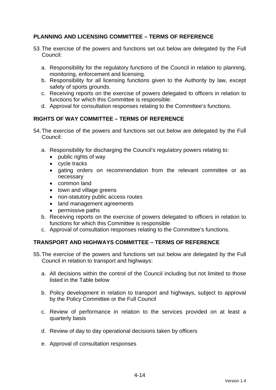# **PLANNING AND LICENSING COMMITTEE – TERMS OF REFERENCE**

- 53. The exercise of the powers and functions set out below are delegated by the Full Council:
	- a. Responsibility for the regulatory functions of the Council in relation to planning, monitoring, enforcement and licensing.
	- b. Responsibility for all licensing functions given to the Authority by law, except safety of sports grounds.
	- c. Receiving reports on the exercise of powers delegated to officers in relation to functions for which this Committee is responsible.
	- d. Approval for consultation responses relating to the Committee's functions.

# **RIGHTS OF WAY COMMITTEE – TERMS OF REFERENCE**

- 54. The exercise of the powers and functions set out below are delegated by the Full Council:
	- a. Responsibility for discharging the Council's regulatory powers relating to:
		- public rights of way
		- cycle tracks
		- gating orders on recommendation from the relevant committee or as necessary
		- common land
		- town and village greens
		- non-statutory public access routes
		- land management agreements
		- permissive paths
	- b. Receiving reports on the exercise of powers delegated to officers in relation to functions for which this Committee is responsible
	- c. Approval of consultation responses relating to the Committee's functions.

# **TRANSPORT AND HIGHWAYS COMMITTEE – TERMS OF REFERENCE**

- 55. The exercise of the powers and functions set out below are delegated by the Full Council in relation to transport and highways:
	- a. All decisions within the control of the Council including but not limited to those listed in the Table below
	- b. Policy development in relation to transport and highways, subject to approval by the Policy Committee or the Full Council
	- c. Review of performance in relation to the services provided on at least a quarterly basis
	- d. Review of day to day operational decisions taken by officers
	- e. Approval of consultation responses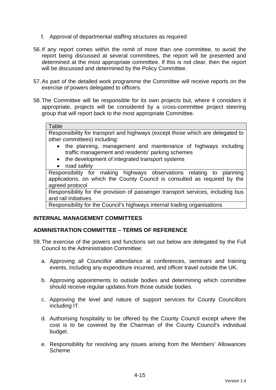- f. Approval of departmental staffing structures as required
- 56. If any report comes within the remit of more than one committee, to avoid the report being discussed at several committees, the report will be presented and determined at the most appropriate committee. If this is not clear, then the report will be discussed and determined by the Policy Committee.
- 57. As part of the detailed work programme the Committee will receive reports on the exercise of powers delegated to officers.
- 58. The Committee will be responsible for its own projects but, where it considers it appropriate, projects will be considered by a cross-committee project steering group that will report back to the most appropriate Committee.

#### **Table**

Responsibility for transport and highways (except those which are delegated to other committees) including:

- the planning, management and maintenance of highways including traffic management and residents' parking schemes
- the development of integrated transport systems
- road safety

Responsibility for making highways observations relating to planning applications, on which the County Council is consulted as required by the agreed protocol

Responsibility for the provision of passenger transport services, including bus and rail initiatives

Responsibility for the Council's highways internal trading organisations

#### **INTERNAL MANAGEMENT COMMITTEES**

#### **ADMINISTRATION COMMITTEE – TERMS OF REFERENCE**

- 59. The exercise of the powers and functions set out below are delegated by the Full Council to the Administration Committee:
	- a. Approving all Councillor attendance at conferences, seminars and training events, including any expenditure incurred, and officer travel outside the UK.
	- b. Approving appointments to outside bodies and determining which committee should receive regular updates from those outside bodies.
	- c. Approving the level and nature of support services for County Councillors including IT.
	- d. Authorising hospitality to be offered by the County Council except where the cost is to be covered by the Chairman of the County Council's individual budget.
	- e. Responsibility for resolving any issues arising from the Members' Allowances Scheme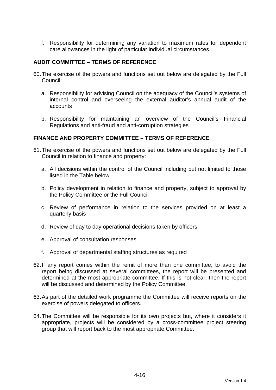f. Responsibility for determining any variation to maximum rates for dependent care allowances in the light of particular individual circumstances.

# **AUDIT COMMITTEE – TERMS OF REFERENCE**

- 60. The exercise of the powers and functions set out below are delegated by the Full Council:
	- a. Responsibility for advising Council on the adequacy of the Council's systems of internal control and overseeing the external auditor's annual audit of the accounts
	- b. Responsibility for maintaining an overview of the Council's Financial Regulations and anti-fraud and anti-corruption strategies

#### **FINANCE AND PROPERTY COMMITTEE – TERMS OF REFERENCE**

- 61. The exercise of the powers and functions set out below are delegated by the Full Council in relation to finance and property:
	- a. All decisions within the control of the Council including but not limited to those listed in the Table below
	- b. Policy development in relation to finance and property, subject to approval by the Policy Committee or the Full Council
	- c. Review of performance in relation to the services provided on at least a quarterly basis
	- d. Review of day to day operational decisions taken by officers
	- e. Approval of consultation responses
	- f. Approval of departmental staffing structures as required
- 62. If any report comes within the remit of more than one committee, to avoid the report being discussed at several committees, the report will be presented and determined at the most appropriate committee. If this is not clear, then the report will be discussed and determined by the Policy Committee.
- 63. As part of the detailed work programme the Committee will receive reports on the exercise of powers delegated to officers.
- 64. The Committee will be responsible for its own projects but, where it considers it appropriate, projects will be considered by a cross-committee project steering group that will report back to the most appropriate Committee.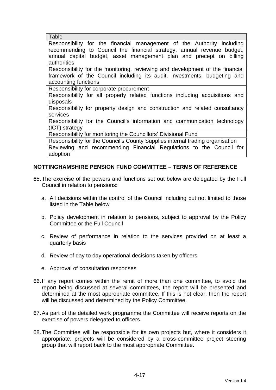| Table                                                                          |
|--------------------------------------------------------------------------------|
| Responsibility for the financial management of the Authority including         |
| recommending to Council the financial strategy, annual revenue budget,         |
| annual capital budget, asset management plan and precept on billing            |
| authorities                                                                    |
| Responsibility for the monitoring, reviewing and development of the financial  |
| framework of the Council including its audit, investments, budgeting and       |
| accounting functions                                                           |
| Responsibility for corporate procurement                                       |
| Responsibility for all property related functions including acquisitions and   |
| disposals                                                                      |
| Responsibility for property design and construction and related consultancy    |
| services                                                                       |
| Responsibility for the Council's information and communication technology      |
| $(ICT)$ strategy                                                               |
| Responsibility for monitoring the Councillors' Divisional Fund                 |
| Responsibility for the Council's County Supplies internal trading organisation |
| Reviewing and recommending Financial Regulations to the Council for            |
| adoption                                                                       |

## **NOTTINGHAMSHIRE PENSION FUND COMMITTEE – TERMS OF REFERENCE**

- 65. The exercise of the powers and functions set out below are delegated by the Full Council in relation to pensions:
	- a. All decisions within the control of the Council including but not limited to those listed in the Table below
	- b. Policy development in relation to pensions, subject to approval by the Policy Committee or the Full Council
	- c. Review of performance in relation to the services provided on at least a quarterly basis
	- d. Review of day to day operational decisions taken by officers
	- e. Approval of consultation responses
- 66. If any report comes within the remit of more than one committee, to avoid the report being discussed at several committees, the report will be presented and determined at the most appropriate committee. If this is not clear, then the report will be discussed and determined by the Policy Committee.
- 67. As part of the detailed work programme the Committee will receive reports on the exercise of powers delegated to officers.
- 68. The Committee will be responsible for its own projects but, where it considers it appropriate, projects will be considered by a cross-committee project steering group that will report back to the most appropriate Committee.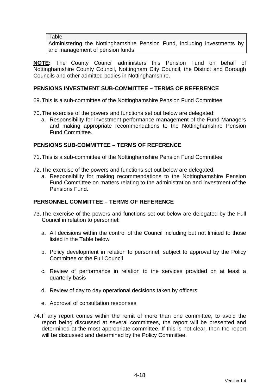#### **Table**

Administering the Nottinghamshire Pension Fund, including investments by and management of pension funds

**NOTE:** The County Council administers this Pension Fund on behalf of Nottinghamshire County Council, Nottingham City Council, the District and Borough Councils and other admitted bodies in Nottinghamshire.

## **PENSIONS INVESTMENT SUB-COMMITTEE – TERMS OF REFERENCE**

69. This is a sub-committee of the Nottinghamshire Pension Fund Committee

- 70. The exercise of the powers and functions set out below are delegated:
	- a. Responsibility for investment performance management of the Fund Managers and making appropriate recommendations to the Nottinghamshire Pension Fund Committee.

## **PENSIONS SUB-COMMITTEE – TERMS OF REFERENCE**

71. This is a sub-committee of the Nottinghamshire Pension Fund Committee

- 72. The exercise of the powers and functions set out below are delegated:
	- a. Responsibility for making recommendations to the Nottinghamshire Pension Fund Committee on matters relating to the administration and investment of the Pensions Fund.

## **PERSONNEL COMMITTEE – TERMS OF REFERENCE**

- 73. The exercise of the powers and functions set out below are delegated by the Full Council in relation to personnel:
	- a. All decisions within the control of the Council including but not limited to those listed in the Table below
	- b. Policy development in relation to personnel, subject to approval by the Policy Committee or the Full Council
	- c. Review of performance in relation to the services provided on at least a quarterly basis
	- d. Review of day to day operational decisions taken by officers
	- e. Approval of consultation responses
- 74. If any report comes within the remit of more than one committee, to avoid the report being discussed at several committees, the report will be presented and determined at the most appropriate committee. If this is not clear, then the report will be discussed and determined by the Policy Committee.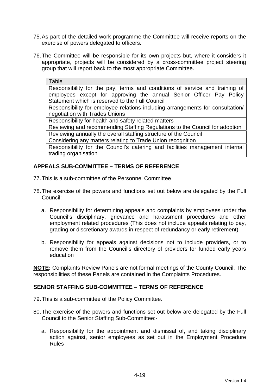- 75. As part of the detailed work programme the Committee will receive reports on the exercise of powers delegated to officers.
- 76. The Committee will be responsible for its own projects but, where it considers it appropriate, projects will be considered by a cross-committee project steering group that will report back to the most appropriate Committee.

| Table                                                                          |
|--------------------------------------------------------------------------------|
| Responsibility for the pay, terms and conditions of service and training of    |
| employees except for approving the annual Senior Officer Pay Policy            |
| Statement which is reserved to the Full Council                                |
| Responsibility for employee relations including arrangements for consultation/ |
| negotiation with Trades Unions                                                 |
| Responsibility for health and safety related matters                           |
| Reviewing and recommending Staffing Regulations to the Council for adoption    |
| Reviewing annually the overall staffing structure of the Council               |
| Considering any matters relating to Trade Union recognition                    |
| Responsibility for the Council's catering and facilities management internal   |
| trading organisation                                                           |

## **APPEALS SUB-COMMITTEE – TERMS OF REFERENCE**

- 77. This is a sub-committee of the Personnel Committee
- 78. The exercise of the powers and functions set out below are delegated by the Full Council:
	- a. Responsibility for determining appeals and complaints by employees under the Council's disciplinary, grievance and harassment procedures and other employment related procedures (This does not include appeals relating to pay, grading or discretionary awards in respect of redundancy or early retirement)
	- b. Responsibility for appeals against decisions not to include providers, or to remove them from the Council's directory of providers for funded early years education

**NOTE:** Complaints Review Panels are not formal meetings of the County Council. The responsibilities of these Panels are contained in the Complaints Procedures.

## **SENIOR STAFFING SUB-COMMITTEE – TERMS OF REFERENCE**

- 79. This is a sub-committee of the Policy Committee.
- 80. The exercise of the powers and functions set out below are delegated by the Full Council to the Senior Staffing Sub-Committee:
	- a. Responsibility for the appointment and dismissal of, and taking disciplinary action against, senior employees as set out in the Employment Procedure Rules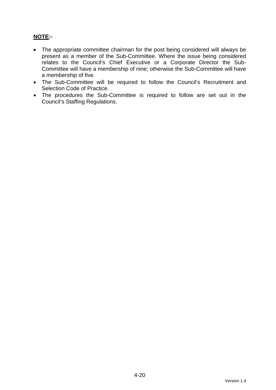# **NOTE:-**

- The appropriate committee chairman for the post being considered will always be present as a member of the Sub-Committee. Where the issue being considered relates to the Council's Chief Executive or a Corporate Director the Sub-Committee will have a membership of nine; otherwise the Sub-Committee will have a membership of five.
- The Sub-Committee will be required to follow the Council's Recruitment and Selection Code of Practice.
- The procedures the Sub-Committee is required to follow are set out in the Council's Staffing Regulations.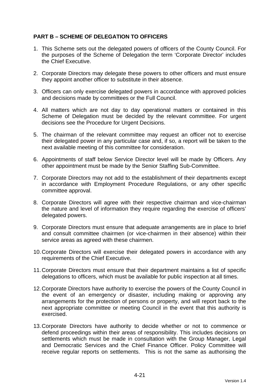## **PART B – SCHEME OF DELEGATION TO OFFICERS**

- 1. This Scheme sets out the delegated powers of officers of the County Council. For the purposes of the Scheme of Delegation the term 'Corporate Director' includes the Chief Executive.
- 2. Corporate Directors may delegate these powers to other officers and must ensure they appoint another officer to substitute in their absence.
- 3. Officers can only exercise delegated powers in accordance with approved policies and decisions made by committees or the Full Council.
- 4. All matters which are not day to day operational matters or contained in this Scheme of Delegation must be decided by the relevant committee. For urgent decisions see the Procedure for Urgent Decisions.
- 5. The chairman of the relevant committee may request an officer not to exercise their delegated power in any particular case and, if so, a report will be taken to the next available meeting of this committee for consideration.
- 6. Appointments of staff below Service Director level will be made by Officers. Any other appointment must be made by the Senior Staffing Sub-Committee.
- 7. Corporate Directors may not add to the establishment of their departments except in accordance with Employment Procedure Regulations, or any other specific committee approval.
- 8. Corporate Directors will agree with their respective chairman and vice-chairman the nature and level of information they require regarding the exercise of officers' delegated powers.
- 9. Corporate Directors must ensure that adequate arrangements are in place to brief and consult committee chairmen (or vice-chairmen in their absence) within their service areas as agreed with these chairmen.
- 10. Corporate Directors will exercise their delegated powers in accordance with any requirements of the Chief Executive.
- 11. Corporate Directors must ensure that their department maintains a list of specific delegations to officers, which must be available for public inspection at all times.
- 12. Corporate Directors have authority to exercise the powers of the County Council in the event of an emergency or disaster, including making or approving any arrangements for the protection of persons or property, and will report back to the next appropriate committee or meeting Council in the event that this authority is exercised.
- 13. Corporate Directors have authority to decide whether or not to commence or defend proceedings within their areas of responsibility. This includes decisions on settlements which must be made in consultation with the Group Manager, Legal and Democratic Services and the Chief Finance Officer. Policy Committee will receive regular reports on settlements. This is not the same as authorising the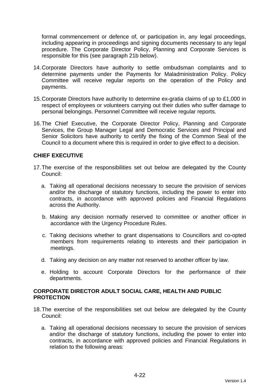formal commencement or defence of, or participation in, any legal proceedings, including appearing in proceedings and signing documents necessary to any legal procedure. The Corporate Director Policy, Planning and Corporate Services is responsible for this (see paragraph 21b below).

- 14. Corporate Directors have authority to settle ombudsman complaints and to determine payments under the Payments for Maladministration Policy. Policy Committee will receive regular reports on the operation of the Policy and payments.
- 15. Corporate Directors have authority to determine ex-gratia claims of up to £1,000 in respect of employees or volunteers carrying out their duties who suffer damage to personal belongings. Personnel Committee will receive regular reports.
- 16. The Chief Executive, the Corporate Director Policy, Planning and Corporate Services, the Group Manager Legal and Democratic Services and Principal and Senior Solicitors have authority to certify the fixing of the Common Seal of the Council to a document where this is required in order to give effect to a decision.

## **CHIEF EXECUTIVE**

- 17. The exercise of the responsibilities set out below are delegated by the County Council:
	- a. Taking all operational decisions necessary to secure the provision of services and/or the discharge of statutory functions, including the power to enter into contracts, in accordance with approved policies and Financial Regulations across the Authority.
	- b. Making any decision normally reserved to committee or another officer in accordance with the Urgency Procedure Rules.
	- c. Taking decisions whether to grant dispensations to Councillors and co-opted members from requirements relating to interests and their participation in meetings.
	- d. Taking any decision on any matter not reserved to another officer by law.
	- e. Holding to account Corporate Directors for the performance of their departments.

## **CORPORATE DIRECTOR ADULT SOCIAL CARE, HEALTH AND PUBLIC PROTECTION**

- 18. The exercise of the responsibilities set out below are delegated by the County Council:
	- a. Taking all operational decisions necessary to secure the provision of services and/or the discharge of statutory functions, including the power to enter into contracts, in accordance with approved policies and Financial Regulations in relation to the following areas: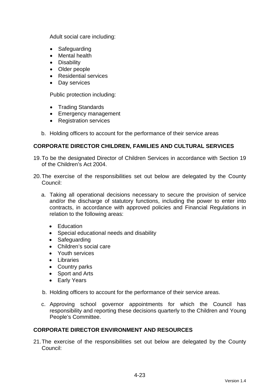Adult social care including:

- Safeguarding
- Mental health
- Disability
- Older people
- Residential services
- Day services

Public protection including:

- Trading Standards
- Emergency management
- Registration services
- b. Holding officers to account for the performance of their service areas

## **CORPORATE DIRECTOR CHILDREN, FAMILIES AND CULTURAL SERVICES**

- 19. To be the designated Director of Children Services in accordance with Section 19 of the Children's Act 2004.
- 20. The exercise of the responsibilities set out below are delegated by the County Council:
	- a. Taking all operational decisions necessary to secure the provision of service and/or the discharge of statutory functions, including the power to enter into contracts, in accordance with approved policies and Financial Regulations in relation to the following areas:
		- **Education**
		- Special educational needs and disability
		- Safeguarding
		- Children's social care
		- Youth services
		- Libraries
		- Country parks
		- Sport and Arts
		- Early Years
	- b. Holding officers to account for the performance of their service areas.
	- c. Approving school governor appointments for which the Council has responsibility and reporting these decisions quarterly to the Children and Young People's Committee.

## **CORPORATE DIRECTOR ENVIRONMENT AND RESOURCES**

21. The exercise of the responsibilities set out below are delegated by the County Council: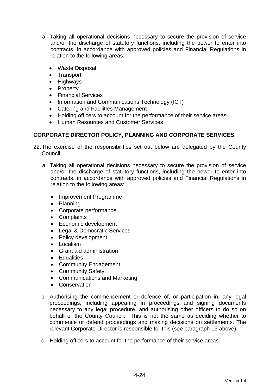- a. Taking all operational decisions necessary to secure the provision of service and/or the discharge of statutory functions, including the power to enter into contracts, in accordance with approved policies and Financial Regulations in relation to the following areas:
	- Waste Disposal
	- Transport
	- Highways
	- Property
	- Financial Services
	- Information and Communications Technology (ICT)
	- Catering and Facilities Management
	- Holding officers to account for the performance of their service areas.
	- Human Resources and Customer Services

## **CORPORATE DIRECTOR POLICY, PLANNING AND CORPORATE SERVICES**

- 22. The exercise of the responsibilities set out below are delegated by the County Council:
	- a. Taking all operational decisions necessary to secure the provision of service and/or the discharge of statutory functions, including the power to enter into contracts, in accordance with approved policies and Financial Regulations in relation to the following areas:
		- Improvement Programme
		- Planning
		- Corporate performance
		- Complaints
		- Economic development
		- Legal & Democratic Services
		- Policy development
		- Localism
		- Grant aid administration
		- Equalities
		- Community Engagement
		- Community Safety
		- Communications and Marketing
		- **Conservation**
	- b. Authorising the commencement or defence of, or participation in, any legal proceedings, including appearing in proceedings and signing documents necessary to any legal procedure, and authorising other officers to do so on behalf of the County Council. This is not the same as deciding whether to commence or defend proceedings and making decisions on settlements. The relevant Corporate Director is responsible for this (see paragraph 13 above).
	- c. Holding officers to account for the performance of their service areas.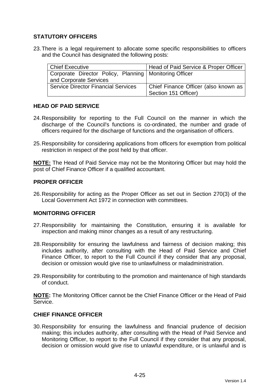## **STATUTORY OFFICERS**

23. There is a legal requirement to allocate some specific responsibilities to officers and the Council has designated the following posts:

| Chief Executive                                          | Head of Paid Service & Proper Officer |
|----------------------------------------------------------|---------------------------------------|
| Corporate Director Policy, Planning   Monitoring Officer |                                       |
| and Corporate Services                                   |                                       |
| <b>Service Director Financial Services</b>               | Chief Finance Officer (also known as  |
|                                                          | Section 151 Officer)                  |

## **HEAD OF PAID SERVICE**

- 24. Responsibility for reporting to the Full Council on the manner in which the discharge of the Council's functions is co-ordinated, the number and grade of officers required for the discharge of functions and the organisation of officers.
- 25. Responsibility for considering applications from officers for exemption from political restriction in respect of the post held by that officer.

**NOTE:** The Head of Paid Service may not be the Monitoring Officer but may hold the post of Chief Finance Officer if a qualified accountant.

## **PROPER OFFICER**

26. Responsibility for acting as the Proper Officer as set out in Section 270(3) of the Local Government Act 1972 in connection with committees.

## **MONITORING OFFICER**

- 27. Responsibility for maintaining the Constitution, ensuring it is available for inspection and making minor changes as a result of any restructuring.
- 28. Responsibility for ensuring the lawfulness and fairness of decision making; this includes authority, after consulting with the Head of Paid Service and Chief Finance Officer, to report to the Full Council if they consider that any proposal, decision or omission would give rise to unlawfulness or maladministration.
- 29. Responsibility for contributing to the promotion and maintenance of high standards of conduct.

**NOTE:** The Monitoring Officer cannot be the Chief Finance Officer or the Head of Paid Service.

## **CHIEF FINANCE OFFICER**

30. Responsibility for ensuring the lawfulness and financial prudence of decision making; this includes authority, after consulting with the Head of Paid Service and Monitoring Officer, to report to the Full Council if they consider that any proposal, decision or omission would give rise to unlawful expenditure, or is unlawful and is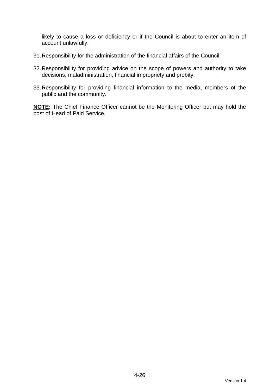likely to cause a loss or deficiency or if the Council is about to enter an item of account unlawfully.

- 31. Responsibility for the administration of the financial affairs of the Council.
- 32. Responsibility for providing advice on the scope of powers and authority to take decisions, maladministration, financial impropriety and probity.
- 33. Responsibility for providing financial information to the media, members of the public and the community.

**NOTE:** The Chief Finance Officer cannot be the Monitoring Officer but may hold the post of Head of Paid Service.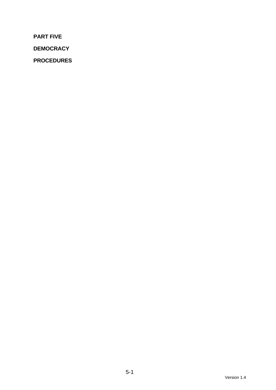**PART FIVE** 

**DEMOCRACY** 

**PROCEDURES**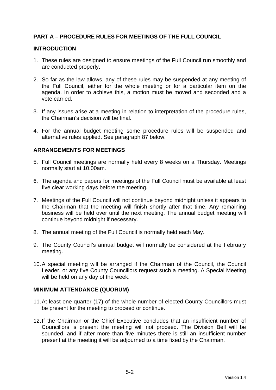## **PART A – PROCEDURE RULES FOR MEETINGS OF THE FULL COUNCIL**

#### **INTRODUCTION**

- 1. These rules are designed to ensure meetings of the Full Council run smoothly and are conducted properly.
- 2. So far as the law allows, any of these rules may be suspended at any meeting of the Full Council, either for the whole meeting or for a particular item on the agenda. In order to achieve this, a motion must be moved and seconded and a vote carried.
- 3. If any issues arise at a meeting in relation to interpretation of the procedure rules, the Chairman's decision will be final.
- 4. For the annual budget meeting some procedure rules will be suspended and alternative rules applied. See paragraph 87 below.

## **ARRANGEMENTS FOR MEETINGS**

- 5. Full Council meetings are normally held every 8 weeks on a Thursday. Meetings normally start at 10.00am.
- 6. The agenda and papers for meetings of the Full Council must be available at least five clear working days before the meeting.
- 7. Meetings of the Full Council will not continue beyond midnight unless it appears to the Chairman that the meeting will finish shortly after that time. Any remaining business will be held over until the next meeting. The annual budget meeting will continue beyond midnight if necessary.
- 8. The annual meeting of the Full Council is normally held each May.
- 9. The County Council's annual budget will normally be considered at the February meeting.
- 10. A special meeting will be arranged if the Chairman of the Council, the Council Leader, or any five County Councillors request such a meeting. A Special Meeting will be held on any day of the week.

#### **MINIMUM ATTENDANCE (QUORUM)**

- 11. At least one quarter (17) of the whole number of elected County Councillors must be present for the meeting to proceed or continue.
- 12. If the Chairman or the Chief Executive concludes that an insufficient number of Councillors is present the meeting will not proceed. The Division Bell will be sounded, and if after more than five minutes there is still an insufficient number present at the meeting it will be adjourned to a time fixed by the Chairman.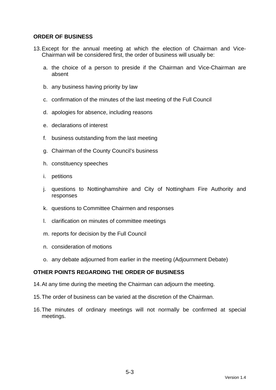## **ORDER OF BUSINESS**

- 13. Except for the annual meeting at which the election of Chairman and Vice-Chairman will be considered first, the order of business will usually be:
	- a. the choice of a person to preside if the Chairman and Vice-Chairman are absent
	- b. any business having priority by law
	- c. confirmation of the minutes of the last meeting of the Full Council
	- d. apologies for absence, including reasons
	- e. declarations of interest
	- f. business outstanding from the last meeting
	- g. Chairman of the County Council's business
	- h. constituency speeches
	- i. petitions
	- j. questions to Nottinghamshire and City of Nottingham Fire Authority and responses
	- k. questions to Committee Chairmen and responses
	- l. clarification on minutes of committee meetings
	- m. reports for decision by the Full Council
	- n. consideration of motions
	- o. any debate adjourned from earlier in the meeting (Adjournment Debate)

## **OTHER POINTS REGARDING THE ORDER OF BUSINESS**

- 14. At any time during the meeting the Chairman can adjourn the meeting.
- 15. The order of business can be varied at the discretion of the Chairman.
- 16. The minutes of ordinary meetings will not normally be confirmed at special meetings.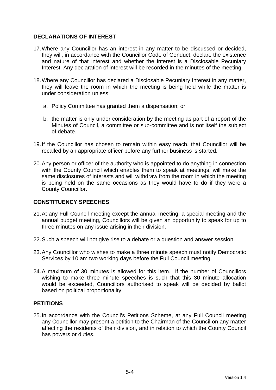## **DECLARATIONS OF INTEREST**

- 17. Where any Councillor has an interest in any matter to be discussed or decided, they will, in accordance with the Councillor Code of Conduct, declare the existence and nature of that interest and whether the interest is a Disclosable Pecuniary Interest. Any declaration of interest will be recorded in the minutes of the meeting.
- 18. Where any Councillor has declared a Disclosable Pecuniary Interest in any matter, they will leave the room in which the meeting is being held while the matter is under consideration unless:
	- a. Policy Committee has granted them a dispensation; or
	- b. the matter is only under consideration by the meeting as part of a report of the Minutes of Council, a committee or sub-committee and is not itself the subject of debate.
- 19. If the Councillor has chosen to remain within easy reach, that Councillor will be recalled by an appropriate officer before any further business is started.
- 20. Any person or officer of the authority who is appointed to do anything in connection with the County Council which enables them to speak at meetings, will make the same disclosures of interests and will withdraw from the room in which the meeting is being held on the same occasions as they would have to do if they were a County Councillor.

## **CONSTITUENCY SPEECHES**

- 21. At any Full Council meeting except the annual meeting, a special meeting and the annual budget meeting, Councillors will be given an opportunity to speak for up to three minutes on any issue arising in their division.
- 22. Such a speech will not give rise to a debate or a question and answer session.
- 23. Any Councillor who wishes to make a three minute speech must notify Democratic Services by 10 am two working days before the Full Council meeting.
- 24. A maximum of 30 minutes is allowed for this item. If the number of Councillors wishing to make three minute speeches is such that this 30 minute allocation would be exceeded, Councillors authorised to speak will be decided by ballot based on political proportionality.

## **PETITIONS**

25. In accordance with the Council's Petitions Scheme, at any Full Council meeting any Councillor may present a petition to the Chairman of the Council on any matter affecting the residents of their division, and in relation to which the County Council has powers or duties.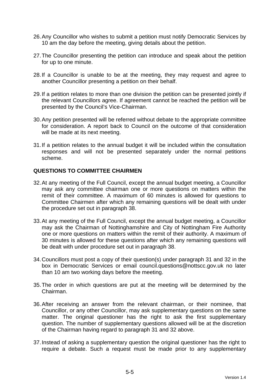- 26. Any Councillor who wishes to submit a petition must notify Democratic Services by 10 am the day before the meeting, giving details about the petition.
- 27. The Councillor presenting the petition can introduce and speak about the petition for up to one minute.
- 28. If a Councillor is unable to be at the meeting, they may request and agree to another Councillor presenting a petition on their behalf.
- 29. If a petition relates to more than one division the petition can be presented jointly if the relevant Councillors agree. If agreement cannot be reached the petition will be presented by the Council's Vice-Chairman.
- 30. Any petition presented will be referred without debate to the appropriate committee for consideration. A report back to Council on the outcome of that consideration will be made at its next meeting.
- 31. If a petition relates to the annual budget it will be included within the consultation responses and will not be presented separately under the normal petitions scheme.

## **QUESTIONS TO COMMITTEE CHAIRMEN**

- 32. At any meeting of the Full Council, except the annual budget meeting, a Councillor may ask any committee chairman one or more questions on matters within the remit of their committee. A maximum of 60 minutes is allowed for questions to Committee Chairmen after which any remaining questions will be dealt with under the procedure set out in paragraph 38.
- 33. At any meeting of the Full Council, except the annual budget meeting, a Councillor may ask the Chairman of Nottinghamshire and City of Nottingham Fire Authority one or more questions on matters within the remit of their authority. A maximum of 30 minutes is allowed for these questions after which any remaining questions will be dealt with under procedure set out in paragraph 38.
- 34. Councillors must post a copy of their question(s) under paragraph 31 and 32 in the box in Democratic Services or email council.questions@nottscc.gov.uk no later than 10 am two working days before the meeting.
- 35. The order in which questions are put at the meeting will be determined by the Chairman.
- 36. After receiving an answer from the relevant chairman, or their nominee, that Councillor, or any other Councillor, may ask supplementary questions on the same matter. The original questioner has the right to ask the first supplementary question. The number of supplementary questions allowed will be at the discretion of the Chairman having regard to paragraph 31 and 32 above.
- 37. Instead of asking a supplementary question the original questioner has the right to require a debate. Such a request must be made prior to any supplementary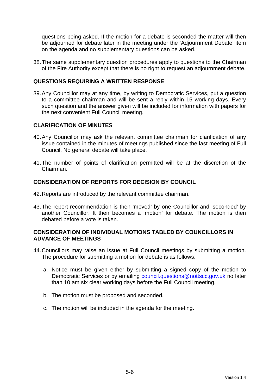questions being asked. If the motion for a debate is seconded the matter will then be adjourned for debate later in the meeting under the 'Adjournment Debate' item on the agenda and no supplementary questions can be asked.

38. The same supplementary question procedures apply to questions to the Chairman of the Fire Authority except that there is no right to request an adjournment debate.

## **QUESTIONS REQUIRING A WRITTEN RESPONSE**

39. Any Councillor may at any time, by writing to Democratic Services, put a question to a committee chairman and will be sent a reply within 15 working days. Every such question and the answer given will be included for information with papers for the next convenient Full Council meeting.

## **CLARIFICATION OF MINUTES**

- 40. Any Councillor may ask the relevant committee chairman for clarification of any issue contained in the minutes of meetings published since the last meeting of Full Council. No general debate will take place.
- 41. The number of points of clarification permitted will be at the discretion of the Chairman.

## **CONSIDERATION OF REPORTS FOR DECISION BY COUNCIL**

- 42. Reports are introduced by the relevant committee chairman.
- 43. The report recommendation is then 'moved' by one Councillor and 'seconded' by another Councillor. It then becomes a 'motion' for debate. The motion is then debated before a vote is taken.

## **CONSIDERATION OF INDIVIDUAL MOTIONS TABLED BY COUNCILLORS IN ADVANCE OF MEETINGS**

- 44. Councillors may raise an issue at Full Council meetings by submitting a motion. The procedure for submitting a motion for debate is as follows:
	- a. Notice must be given either by submitting a signed copy of the motion to Democratic Services or by emailing council.questions@nottscc.gov.uk no later than 10 am six clear working days before the Full Council meeting.
	- b. The motion must be proposed and seconded.
	- c. The motion will be included in the agenda for the meeting.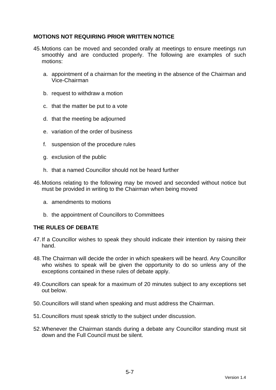## **MOTIONS NOT REQUIRING PRIOR WRITTEN NOTICE**

- 45. Motions can be moved and seconded orally at meetings to ensure meetings run smoothly and are conducted properly. The following are examples of such motions:
	- a. appointment of a chairman for the meeting in the absence of the Chairman and Vice-Chairman
	- b. request to withdraw a motion
	- c. that the matter be put to a vote
	- d. that the meeting be adjourned
	- e. variation of the order of business
	- f. suspension of the procedure rules
	- g. exclusion of the public
	- h. that a named Councillor should not be heard further
- 46. Motions relating to the following may be moved and seconded without notice but must be provided in writing to the Chairman when being moved
	- a. amendments to motions
	- b. the appointment of Councillors to Committees

## **THE RULES OF DEBATE**

- 47. If a Councillor wishes to speak they should indicate their intention by raising their hand.
- 48. The Chairman will decide the order in which speakers will be heard. Any Councillor who wishes to speak will be given the opportunity to do so unless any of the exceptions contained in these rules of debate apply.
- 49. Councillors can speak for a maximum of 20 minutes subject to any exceptions set out below.
- 50. Councillors will stand when speaking and must address the Chairman.
- 51. Councillors must speak strictly to the subject under discussion.
- 52. Whenever the Chairman stands during a debate any Councillor standing must sit down and the Full Council must be silent.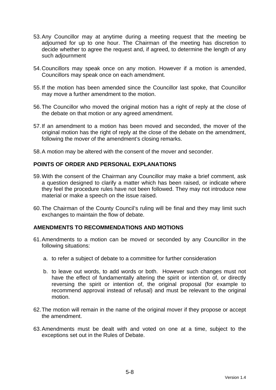- 53. Any Councillor may at anytime during a meeting request that the meeting be adjourned for up to one hour. The Chairman of the meeting has discretion to decide whether to agree the request and, if agreed, to determine the length of any such adjournment
- 54. Councillors may speak once on any motion. However if a motion is amended, Councillors may speak once on each amendment.
- 55. If the motion has been amended since the Councillor last spoke, that Councillor may move a further amendment to the motion.
- 56. The Councillor who moved the original motion has a right of reply at the close of the debate on that motion or any agreed amendment.
- 57. If an amendment to a motion has been moved and seconded, the mover of the original motion has the right of reply at the close of the debate on the amendment, following the mover of the amendment's closing remarks.
- 58. A motion may be altered with the consent of the mover and seconder.

## **POINTS OF ORDER AND PERSONAL EXPLANATIONS**

- 59. With the consent of the Chairman any Councillor may make a brief comment, ask a question designed to clarify a matter which has been raised, or indicate where they feel the procedure rules have not been followed. They may not introduce new material or make a speech on the issue raised.
- 60. The Chairman of the County Council's ruling will be final and they may limit such exchanges to maintain the flow of debate.

## **AMENDMENTS TO RECOMMENDATIONS AND MOTIONS**

- 61. Amendments to a motion can be moved or seconded by any Councillor in the following situations:
	- a. to refer a subject of debate to a committee for further consideration
	- b. to leave out words, to add words or both. However such changes must not have the effect of fundamentally altering the spirit or intention of, or directly reversing the spirit or intention of, the original proposal (for example to recommend approval instead of refusal) and must be relevant to the original motion.
- 62. The motion will remain in the name of the original mover if they propose or accept the amendment.
- 63. Amendments must be dealt with and voted on one at a time, subject to the exceptions set out in the Rules of Debate.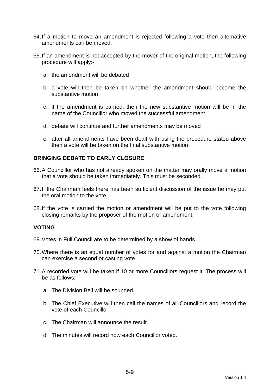- 64. If a motion to move an amendment is rejected following a vote then alternative amendments can be moved.
- 65. If an amendment is not accepted by the mover of the original motion, the following procedure will apply:
	- a. the amendment will be debated
	- b. a vote will then be taken on whether the amendment should become the substantive motion
	- c. if the amendment is carried, then the new substantive motion will be in the name of the Councillor who moved the successful amendment
	- d. debate will continue and further amendments may be moved
	- e. after all amendments have been dealt with using the procedure stated above then a vote will be taken on the final substantive motion

## **BRINGING DEBATE TO EARLY CLOSURE**

- 66. A Councillor who has not already spoken on the matter may orally move a motion that a vote should be taken immediately. This must be seconded.
- 67. If the Chairman feels there has been sufficient discussion of the issue he may put the oral motion to the vote.
- 68. If the vote is carried the motion or amendment will be put to the vote following closing remarks by the proposer of the motion or amendment.

#### **VOTING**

- 69. Votes in Full Council are to be determined by a show of hands.
- 70. Where there is an equal number of votes for and against a motion the Chairman can exercise a second or casting vote.
- 71. A recorded vote will be taken if 10 or more Councillors request it. The process will be as follows:
	- a. The Division Bell will be sounded.
	- b. The Chief Executive will then call the names of all Councillors and record the vote of each Councillor.
	- c. The Chairman will announce the result.
	- d. The minutes will record how each Councillor voted.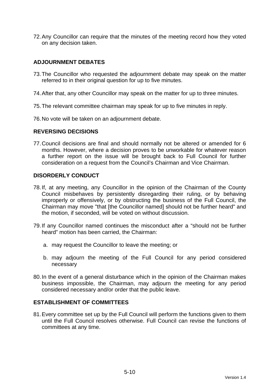72. Any Councillor can require that the minutes of the meeting record how they voted on any decision taken.

## **ADJOURNMENT DEBATES**

- 73. The Councillor who requested the adjournment debate may speak on the matter referred to in their original question for up to five minutes.
- 74. After that, any other Councillor may speak on the matter for up to three minutes.
- 75. The relevant committee chairman may speak for up to five minutes in reply.
- 76. No vote will be taken on an adjournment debate.

#### **REVERSING DECISIONS**

77. Council decisions are final and should normally not be altered or amended for 6 months. However, where a decision proves to be unworkable for whatever reason a further report on the issue will be brought back to Full Council for further consideration on a request from the Council's Chairman and Vice Chairman.

## **DISORDERLY CONDUCT**

- 78. If, at any meeting, any Councillor in the opinion of the Chairman of the County Council misbehaves by persistently disregarding their ruling, or by behaving improperly or offensively, or by obstructing the business of the Full Council, the Chairman may move "that [the Councillor named] should not be further heard" and the motion, if seconded, will be voted on without discussion.
- 79. If any Councillor named continues the misconduct after a "should not be further heard" motion has been carried, the Chairman:
	- a. may request the Councillor to leave the meeting; or
	- b. may adjourn the meeting of the Full Council for any period considered necessary
- 80. In the event of a general disturbance which in the opinion of the Chairman makes business impossible, the Chairman, may adjourn the meeting for any period considered necessary and/or order that the public leave.

## **ESTABLISHMENT OF COMMITTEES**

81. Every committee set up by the Full Council will perform the functions given to them until the Full Council resolves otherwise. Full Council can revise the functions of committees at any time.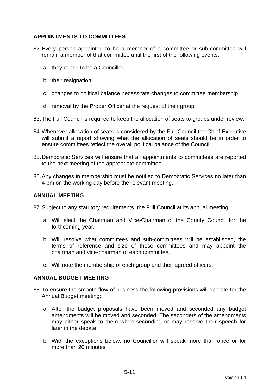## **APPOINTMENTS TO COMMITTEES**

- 82. Every person appointed to be a member of a committee or sub-committee will remain a member of that committee until the first of the following events:
	- a. they cease to be a Councillor
	- b. their resignation
	- c. changes to political balance necessitate changes to committee membership
	- d. removal by the Proper Officer at the request of their group
- 83. The Full Council is required to keep the allocation of seats to groups under review.
- 84. Whenever allocation of seats is considered by the Full Council the Chief Executive will submit a report showing what the allocation of seats should be in order to ensure committees reflect the overall political balance of the Council.
- 85. Democratic Services will ensure that all appointments to committees are reported to the next meeting of the appropriate committee.
- 86. Any changes in membership must be notified to Democratic Services no later than 4 pm on the working day before the relevant meeting.

#### **ANNUAL MEETING**

87. Subject to any statutory requirements, the Full Council at its annual meeting:

- a. Will elect the Chairman and Vice-Chairman of the County Council for the forthcoming year.
- b. Will resolve what committees and sub-committees will be established, the terms of reference and size of these committees and may appoint the chairman and vice-chairman of each committee.
- c. Will note the membership of each group and their agreed officers.

#### **ANNUAL BUDGET MEETING**

- 88. To ensure the smooth flow of business the following provisions will operate for the Annual Budget meeting:
	- a. After the budget proposals have been moved and seconded any budget amendments will be moved and seconded. The seconders of the amendments may either speak to them when seconding or may reserve their speech for later in the debate.
	- b. With the exceptions below, no Councillor will speak more than once or for more than 20 minutes: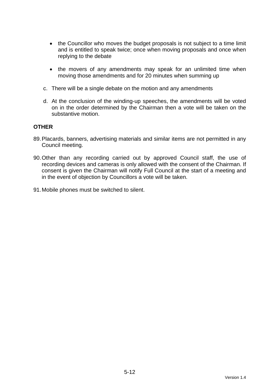- the Councillor who moves the budget proposals is not subject to a time limit and is entitled to speak twice; once when moving proposals and once when replying to the debate
- the movers of any amendments may speak for an unlimited time when moving those amendments and for 20 minutes when summing up
- c. There will be a single debate on the motion and any amendments
- d. At the conclusion of the winding-up speeches, the amendments will be voted on in the order determined by the Chairman then a vote will be taken on the substantive motion.

#### **OTHER**

- 89. Placards, banners, advertising materials and similar items are not permitted in any Council meeting.
- 90. Other than any recording carried out by approved Council staff, the use of recording devices and cameras is only allowed with the consent of the Chairman. If consent is given the Chairman will notify Full Council at the start of a meeting and in the event of objection by Councillors a vote will be taken.
- 91. Mobile phones must be switched to silent.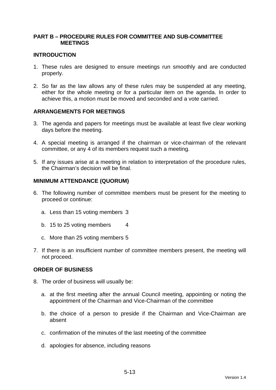## **PART B – PROCEDURE RULES FOR COMMITTEE AND SUB-COMMITTEE MEETINGS**

### **INTRODUCTION**

- 1. These rules are designed to ensure meetings run smoothly and are conducted properly.
- 2. So far as the law allows any of these rules may be suspended at any meeting, either for the whole meeting or for a particular item on the agenda. In order to achieve this, a motion must be moved and seconded and a vote carried.

## **ARRANGEMENTS FOR MEETINGS**

- 3. The agenda and papers for meetings must be available at least five clear working days before the meeting.
- 4. A special meeting is arranged if the chairman or vice-chairman of the relevant committee, or any 4 of its members request such a meeting.
- 5. If any issues arise at a meeting in relation to interpretation of the procedure rules, the Chairman's decision will be final.

#### **MINIMUM ATTENDANCE (QUORUM)**

- 6. The following number of committee members must be present for the meeting to proceed or continue:
	- a. Less than 15 voting members 3
	- b. 15 to 25 voting members 4
	- c. More than 25 voting members 5
- 7. If there is an insufficient number of committee members present, the meeting will not proceed.

#### **ORDER OF BUSINESS**

- 8. The order of business will usually be:
	- a. at the first meeting after the annual Council meeting, appointing or noting the appointment of the Chairman and Vice-Chairman of the committee
	- b. the choice of a person to preside if the Chairman and Vice-Chairman are absent
	- c. confirmation of the minutes of the last meeting of the committee
	- d. apologies for absence, including reasons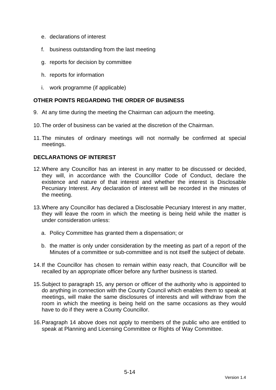- e. declarations of interest
- f. business outstanding from the last meeting
- g. reports for decision by committee
- h. reports for information
- i. work programme (if applicable)

## **OTHER POINTS REGARDING THE ORDER OF BUSINESS**

- 9. At any time during the meeting the Chairman can adjourn the meeting.
- 10. The order of business can be varied at the discretion of the Chairman.
- 11. The minutes of ordinary meetings will not normally be confirmed at special meetings.

## **DECLARATIONS OF INTEREST**

- 12. Where any Councillor has an interest in any matter to be discussed or decided, they will, in accordance with the Councilllor Code of Conduct, declare the existence and nature of that interest and whether the interest is Disclosable Pecuniary Interest. Any declaration of interest will be recorded in the minutes of the meeting.
- 13. Where any Councillor has declared a Disclosable Pecuniary Interest in any matter, they will leave the room in which the meeting is being held while the matter is under consideration unless:
	- a. Policy Committee has granted them a dispensation; or
	- b. the matter is only under consideration by the meeting as part of a report of the Minutes of a committee or sub-committee and is not itself the subject of debate.
- 14. If the Councillor has chosen to remain within easy reach, that Councillor will be recalled by an appropriate officer before any further business is started.
- 15. Subject to paragraph 15, any person or officer of the authority who is appointed to do anything in connection with the County Council which enables them to speak at meetings, will make the same disclosures of interests and will withdraw from the room in which the meeting is being held on the same occasions as they would have to do if they were a County Councillor.
- 16. Paragraph 14 above does not apply to members of the public who are entitled to speak at Planning and Licensing Committee or Rights of Way Committee.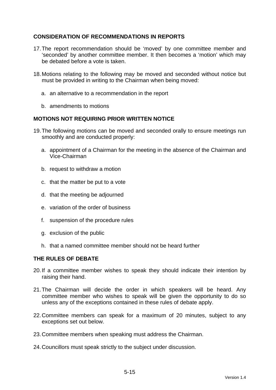## **CONSIDERATION OF RECOMMENDATIONS IN REPORTS**

- 17. The report recommendation should be 'moved' by one committee member and 'seconded' by another committee member. It then becomes a 'motion' which may be debated before a vote is taken.
- 18. Motions relating to the following may be moved and seconded without notice but must be provided in writing to the Chairman when being moved:
	- a. an alternative to a recommendation in the report
	- b. amendments to motions

## **MOTIONS NOT REQUIRING PRIOR WRITTEN NOTICE**

- 19. The following motions can be moved and seconded orally to ensure meetings run smoothly and are conducted properly:
	- a. appointment of a Chairman for the meeting in the absence of the Chairman and Vice-Chairman
	- b. request to withdraw a motion
	- c. that the matter be put to a vote
	- d. that the meeting be adjourned
	- e. variation of the order of business
	- f. suspension of the procedure rules
	- g. exclusion of the public
	- h. that a named committee member should not be heard further

## **THE RULES OF DEBATE**

- 20. If a committee member wishes to speak they should indicate their intention by raising their hand.
- 21. The Chairman will decide the order in which speakers will be heard. Any committee member who wishes to speak will be given the opportunity to do so unless any of the exceptions contained in these rules of debate apply.
- 22. Committee members can speak for a maximum of 20 minutes, subject to any exceptions set out below.
- 23. Committee members when speaking must address the Chairman.
- 24. Councillors must speak strictly to the subject under discussion.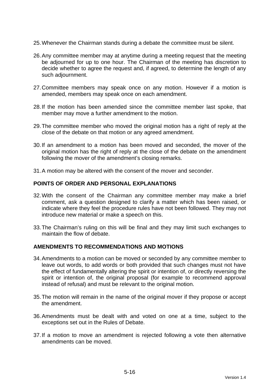- 25. Whenever the Chairman stands during a debate the committee must be silent.
- 26. Any committee member may at anytime during a meeting request that the meeting be adjourned for up to one hour. The Chairman of the meeting has discretion to decide whether to agree the request and, if agreed, to determine the length of any such adjournment.
- 27. Committee members may speak once on any motion. However if a motion is amended, members may speak once on each amendment.
- 28. If the motion has been amended since the committee member last spoke, that member may move a further amendment to the motion.
- 29. The committee member who moved the original motion has a right of reply at the close of the debate on that motion or any agreed amendment.
- 30. If an amendment to a motion has been moved and seconded, the mover of the original motion has the right of reply at the close of the debate on the amendment following the mover of the amendment's closing remarks.
- 31. A motion may be altered with the consent of the mover and seconder.

#### **POINTS OF ORDER AND PERSONAL EXPLANATIONS**

- 32. With the consent of the Chairman any committee member may make a brief comment, ask a question designed to clarify a matter which has been raised, or indicate where they feel the procedure rules have not been followed. They may not introduce new material or make a speech on this.
- 33. The Chairman's ruling on this will be final and they may limit such exchanges to maintain the flow of debate.

#### **AMENDMENTS TO RECOMMENDATIONS AND MOTIONS**

- 34. Amendments to a motion can be moved or seconded by any committee member to leave out words, to add words or both provided that such changes must not have the effect of fundamentally altering the spirit or intention of, or directly reversing the spirit or intention of, the original proposal (for example to recommend approval instead of refusal) and must be relevant to the original motion.
- 35. The motion will remain in the name of the original mover if they propose or accept the amendment.
- 36. Amendments must be dealt with and voted on one at a time, subject to the exceptions set out in the Rules of Debate.
- 37. If a motion to move an amendment is rejected following a vote then alternative amendments can be moved.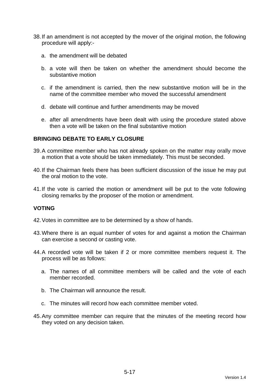- 38. If an amendment is not accepted by the mover of the original motion, the following procedure will apply:
	- a. the amendment will be debated
	- b. a vote will then be taken on whether the amendment should become the substantive motion
	- c. if the amendment is carried, then the new substantive motion will be in the name of the committee member who moved the successful amendment
	- d. debate will continue and further amendments may be moved
	- e. after all amendments have been dealt with using the procedure stated above then a vote will be taken on the final substantive motion

## **BRINGING DEBATE TO EARLY CLOSURE**

- 39. A committee member who has not already spoken on the matter may orally move a motion that a vote should be taken immediately. This must be seconded.
- 40. If the Chairman feels there has been sufficient discussion of the issue he may put the oral motion to the vote.
- 41. If the vote is carried the motion or amendment will be put to the vote following closing remarks by the proposer of the motion or amendment.

## **VOTING**

- 42. Votes in committee are to be determined by a show of hands.
- 43. Where there is an equal number of votes for and against a motion the Chairman can exercise a second or casting vote.
- 44. A recorded vote will be taken if 2 or more committee members request it. The process will be as follows:
	- a. The names of all committee members will be called and the vote of each member recorded.
	- b. The Chairman will announce the result.
	- c. The minutes will record how each committee member voted.
- 45. Any committee member can require that the minutes of the meeting record how they voted on any decision taken.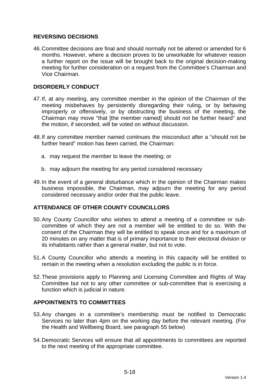## **REVERSING DECISIONS**

46. Committee decisions are final and should normally not be altered or amended for 6 months. However, where a decision proves to be unworkable for whatever reason a further report on the issue will be brought back to the original decision-making meeting for further consideration on a request from the Committee's Chairman and Vice Chairman.

## **DISORDERLY CONDUCT**

- 47. If, at any meeting, any committee member in the opinion of the Chairman of the meeting misbehaves by persistently disregarding their ruling, or by behaving improperly or offensively, or by obstructing the business of the meeting, the Chairman may move "that [the member named] should not be further heard" and the motion, if seconded, will be voted on without discussion.
- 48. If any committee member named continues the misconduct after a "should not be further heard" motion has been carried, the Chairman:
	- a. may request the member to leave the meeting; or
	- b. may adjourn the meeting for any period considered necessary
- 49. In the event of a general disturbance which in the opinion of the Chairman makes business impossible, the Chairman, may adjourn the meeting for any period considered necessary and/or order that the public leave.

## **ATTENDANCE OF OTHER COUNTY COUNCILLORS**

- 50. Any County Councillor who wishes to attend a meeting of a committee or subcommittee of which they are not a member will be entitled to do so. With the consent of the Chairman they will be entitled to speak once and for a maximum of 20 minutes on any matter that is of primary importance to their electoral division or its inhabitants rather than a general matter, but not to vote.
- 51. A County Councillor who attends a meeting in this capacity will be entitled to remain in the meeting when a resolution excluding the public is in force.
- 52. These provisions apply to Planning and Licensing Committee and Rights of Way Committee but not to any other committee or sub-committee that is exercising a function which is judicial in nature.

## **APPOINTMENTS TO COMMITTEES**

- 53. Any changes in a committee's membership must be notified to Democratic Services no later than 4pm on the working day before the relevant meeting. (For the Health and Wellbeing Board, see paragraph 55 below)
- 54. Democratic Services will ensure that all appointments to committees are reported to the next meeting of the appropriate committee.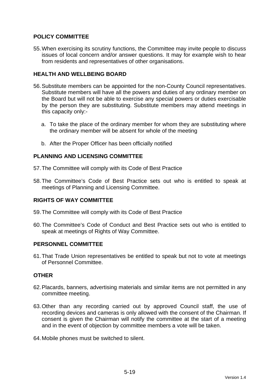## **POLICY COMMITTEE**

55. When exercising its scrutiny functions, the Committee may invite people to discuss issues of local concern and/or answer questions. It may for example wish to hear from residents and representatives of other organisations.

## **HEALTH AND WELLBEING BOARD**

- 56. Substitute members can be appointed for the non-County Council representatives. Substitute members will have all the powers and duties of any ordinary member on the Board but will not be able to exercise any special powers or duties exercisable by the person they are substituting. Substitute members may attend meetings in this capacity only:
	- a. To take the place of the ordinary member for whom they are substituting where the ordinary member will be absent for whole of the meeting
	- b. After the Proper Officer has been officially notified

## **PLANNING AND LICENSING COMMITTEE**

- 57. The Committee will comply with its Code of Best Practice
- 58. The Committee's Code of Best Practice sets out who is entitled to speak at meetings of Planning and Licensing Committee.

## **RIGHTS OF WAY COMMITTEE**

- 59. The Committee will comply with its Code of Best Practice
- 60. The Committee's Code of Conduct and Best Practice sets out who is entitled to speak at meetings of Rights of Way Committee.

## **PERSONNEL COMMITTEE**

61. That Trade Union representatives be entitled to speak but not to vote at meetings of Personnel Committee.

## **OTHER**

- 62. Placards, banners, advertising materials and similar items are not permitted in any committee meeting.
- 63. Other than any recording carried out by approved Council staff, the use of recording devices and cameras is only allowed with the consent of the Chairman. If consent is given the Chairman will notify the committee at the start of a meeting and in the event of objection by committee members a vote will be taken.
- 64. Mobile phones must be switched to silent.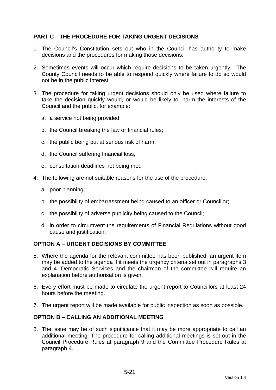## **PART C – THE PROCEDURE FOR TAKING URGENT DECISIONS**

- 1. The Council's Constitution sets out who in the Council has authority to make decisions and the procedures for making those decisions.
- 2. Sometimes events will occur which require decisions to be taken urgently. The County Council needs to be able to respond quickly where failure to do so would not be in the public interest.
- 3. The procedure for taking urgent decisions should only be used where failure to take the decision quickly would, or would be likely to, harm the interests of the Council and the public, for example:
	- a. a service not being provided;
	- b. the Council breaking the law or financial rules;
	- c. the public being put at serious risk of harm;
	- d. the Council suffering financial loss;
	- e. consultation deadlines not being met.
- 4. The following are not suitable reasons for the use of the procedure:
	- a. poor planning;
	- b. the possibility of embarrassment being caused to an officer or Councillor;
	- c. the possibility of adverse publicity being caused to the Council;
	- d. in order to circumvent the requirements of Financial Regulations without good cause and justification.

## **OPTION A – URGENT DECISIONS BY COMMITTEE**

- 5. Where the agenda for the relevant committee has been published, an urgent item may be added to the agenda if it meets the urgency criteria set out in paragraphs 3 and 4. Democratic Services and the chairman of the committee will require an explanation before authorisation is given.
- 6. Every effort must be made to circulate the urgent report to Councillors at least 24 hours before the meeting.
- 7. The urgent report will be made available for public inspection as soon as possible.

## **OPTION B – CALLING AN ADDITIONAL MEETING**

8. The issue may be of such significance that it may be more appropriate to call an additional meeting. The procedure for calling additional meetings is set out in the Council Procedure Rules at paragraph 9 and the Committee Procedure Rules at paragraph 4.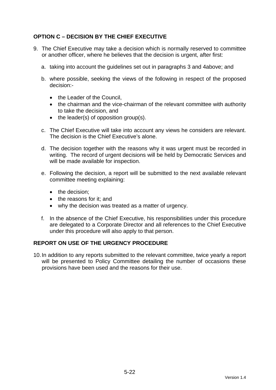## **OPTION C – DECISION BY THE CHIEF EXECUTIVE**

- 9. The Chief Executive may take a decision which is normally reserved to committee or another officer, where he believes that the decision is urgent, after first:
	- a. taking into account the guidelines set out in paragraphs 3 and 4above; and
	- b. where possible, seeking the views of the following in respect of the proposed decision:-
		- the Leader of the Council.
		- the chairman and the vice-chairman of the relevant committee with authority to take the decision, and
		- $\bullet$  the leader(s) of opposition group(s).
	- c. The Chief Executive will take into account any views he considers are relevant. The decision is the Chief Executive's alone.
	- d. The decision together with the reasons why it was urgent must be recorded in writing. The record of urgent decisions will be held by Democratic Services and will be made available for inspection.
	- e. Following the decision, a report will be submitted to the next available relevant committee meeting explaining:
		- the decision:
		- the reasons for it: and
		- why the decision was treated as a matter of urgency.
	- f. In the absence of the Chief Executive, his responsibilities under this procedure are delegated to a Corporate Director and all references to the Chief Executive under this procedure will also apply to that person.

## **REPORT ON USE OF THE URGENCY PROCEDURE**

10. In addition to any reports submitted to the relevant committee, twice yearly a report will be presented to Policy Committee detailing the number of occasions these provisions have been used and the reasons for their use.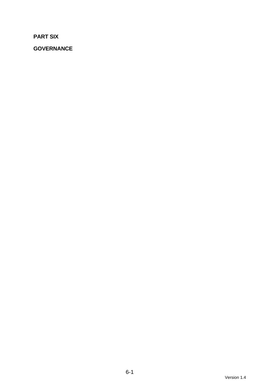**PART SIX** 

**GOVERNANCE**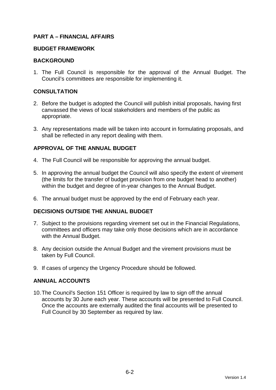## **PART A – FINANCIAL AFFAIRS**

#### **BUDGET FRAMEWORK**

### **BACKGROUND**

1. The Full Council is responsible for the approval of the Annual Budget. The Council's committees are responsible for implementing it.

## **CONSULTATION**

- 2. Before the budget is adopted the Council will publish initial proposals, having first canvassed the views of local stakeholders and members of the public as appropriate.
- 3. Any representations made will be taken into account in formulating proposals, and shall be reflected in any report dealing with them.

## **APPROVAL OF THE ANNUAL BUDGET**

- 4. The Full Council will be responsible for approving the annual budget.
- 5. In approving the annual budget the Council will also specify the extent of virement (the limits for the transfer of budget provision from one budget head to another) within the budget and degree of in-year changes to the Annual Budget.
- 6. The annual budget must be approved by the end of February each year.

## **DECISIONS OUTSIDE THE ANNUAL BUDGET**

- 7. Subject to the provisions regarding virement set out in the Financial Regulations, committees and officers may take only those decisions which are in accordance with the Annual Budget.
- 8. Any decision outside the Annual Budget and the virement provisions must be taken by Full Council.
- 9. If cases of urgency the Urgency Procedure should be followed.

## **ANNUAL ACCOUNTS**

10. The Council's Section 151 Officer is required by law to sign off the annual accounts by 30 June each year. These accounts will be presented to Full Council. Once the accounts are externally audited the final accounts will be presented to Full Council by 30 September as required by law.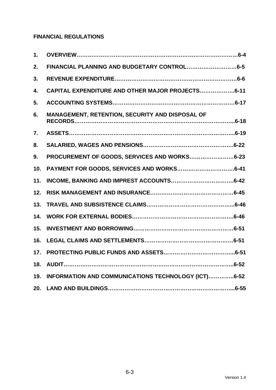# **FINANCIAL REGULATIONS**

| 1.  |                                                     |
|-----|-----------------------------------------------------|
| 2.  | FINANCIAL PLANNING AND BUDGETARY CONTROL6-5         |
| 3.  |                                                     |
| 4.  | CAPITAL EXPENDITURE AND OTHER MAJOR PROJECTS6-11    |
| 5.  |                                                     |
| 6.  | MANAGEMENT, RETENTION, SECURITY AND DISPOSAL OF     |
| 7.  |                                                     |
| 8.  |                                                     |
| 9.  | PROCUREMENT OF GOODS, SERVICES AND WORKS6-23        |
| 10. |                                                     |
| 11. |                                                     |
| 12. |                                                     |
| 13. |                                                     |
| 14. |                                                     |
| 15. |                                                     |
| 16. |                                                     |
| 17. |                                                     |
| 18. |                                                     |
| 19. | INFORMATION AND COMMUNICATIONS TECHNOLOGY (ICT)6-52 |
| 20. |                                                     |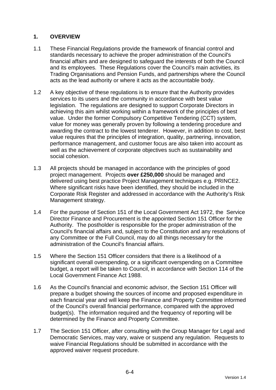## **1. OVERVIEW**

- 1.1 These Financial Regulations provide the framework of financial control and standards necessary to achieve the proper administration of the Council's financial affairs and are designed to safeguard the interests of both the Council and its employees. These Regulations cover the Council's main activities, its Trading Organisations and Pension Funds, and partnerships where the Council acts as the lead authority or where it acts as the accountable body.
- 1.2 A key objective of these regulations is to ensure that the Authority provides services to its users and the community in accordance with best value legislation. The regulations are designed to support Corporate Directors in achieving this aim whilst working within a framework of the principles of best value. Under the former Compulsory Competitive Tendering (CCT) system, value for money was generally proven by following a tendering procedure and awarding the contract to the lowest tenderer. However, in addition to cost, best value requires that the principles of integration, quality, partnering, innovation, performance management, and customer focus are also taken into account as well as the achievement of corporate objectives such as sustainability and social cohesion.
- 1.3 All projects should be managed in accordance with the principles of good project management. Projects **over £250,000** should be managed and delivered using best practice Project Management techniques e.g. PRINCE2. Where significant risks have been identified, they should be included in the Corporate Risk Register and addressed in accordance with the Authority's Risk Management strategy.
- 1.4 For the purpose of Section 151 of the Local Government Act 1972, the Service Director Finance and Procurement is the appointed Section 151 Officer for the Authority. The postholder is responsible for the proper administration of the Council's financial affairs and, subject to the Constitution and any resolutions of any Committee or the Full Council, may do all things necessary for the administration of the Council's financial affairs.
- 1.5 Where the Section 151 Officer considers that there is a likelihood of a significant overall overspending, or a significant overspending on a Committee budget, a report will be taken to Council, in accordance with Section 114 of the Local Government Finance Act 1988.
- 1.6 As the Council's financial and economic advisor, the Section 151 Officer will prepare a budget showing the sources of income and proposed expenditure in each financial year and will keep the Finance and Property Committee informed of the Council's overall financial performance, compared with the approved budget(s). The information required and the frequency of reporting will be determined by the Finance and Property Committee.
- 1.7 The Section 151 Officer, after consulting with the Group Manager for Legal and Democratic Services, may vary, waive or suspend any regulation. Requests to waive Financial Regulations should be submitted in accordance with the approved waiver request procedure.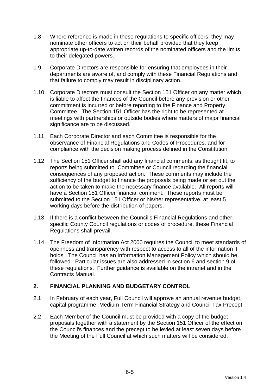- 1.8 Where reference is made in these regulations to specific officers, they may nominate other officers to act on their behalf provided that they keep appropriate up-to-date written records of the nominated officers and the limits to their delegated powers.
- 1.9 Corporate Directors are responsible for ensuring that employees in their departments are aware of, and comply with these Financial Regulations and that failure to comply may result in disciplinary action.
- 1.10 Corporate Directors must consult the Section 151 Officer on any matter which is liable to affect the finances of the Council before any provision or other commitment is incurred or before reporting to the Finance and Property Committee. The Section 151 Officer has the right to be represented at meetings with partnerships or outside bodies where matters of major financial significance are to be discussed.
- 1.11 Each Corporate Director and each Committee is responsible for the observance of Financial Regulations and Codes of Procedures, and for compliance with the decision making process defined in the Constitution.
- 1.12 The Section 151 Officer shall add any financial comments, as thought fit, to reports being submitted to Committee or Council regarding the financial consequences of any proposed action. These comments may include the sufficiency of the budget to finance the proposals being made or set out the action to be taken to make the necessary finance available. All reports will have a Section 151 Officer financial comment. These reports must be submitted to the Section 151 Officer or his/her representative, at least 5 working days before the distribution of papers.
- 1.13 If there is a conflict between the Council's Financial Regulations and other specific County Council regulations or codes of procedure, these Financial Regulations shall prevail.
- 1.14 The Freedom of Information Act 2000 requires the Council to meet standards of openness and transparency with respect to access to all of the information it holds. The Council has an Information Management Policy which should be followed. Particular issues are also addressed in section 6 and section 9 of these regulations. Further guidance is available on the intranet and in the Contracts Manual.

# **2. FINANCIAL PLANNING AND BUDGETARY CONTROL**

- 2.1 In February of each year, Full Council will approve an annual revenue budget, capital programme, Medium Term Financial Strategy and Council Tax Precept.
- 2.2 Each Member of the Council must be provided with a copy of the budget proposals together with a statement by the Section 151 Officer of the effect on the Council's finances and the precept to be levied at least seven days before the Meeting of the Full Council at which such matters will be considered.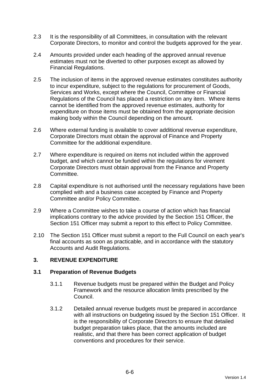- 2.3 It is the responsibility of all Committees, in consultation with the relevant Corporate Directors, to monitor and control the budgets approved for the year.
- 2.4 Amounts provided under each heading of the approved annual revenue estimates must not be diverted to other purposes except as allowed by Financial Regulations.
- 2.5 The inclusion of items in the approved revenue estimates constitutes authority to incur expenditure, subject to the regulations for procurement of Goods, Services and Works, except where the Council, Committee or Financial Regulations of the Council has placed a restriction on any item. Where items cannot be identified from the approved revenue estimates, authority for expenditure on those items must be obtained from the appropriate decision making body within the Council depending on the amount.
- 2.6 Where external funding is available to cover additional revenue expenditure, Corporate Directors must obtain the approval of Finance and Property Committee for the additional expenditure.
- 2.7 Where expenditure is required on items not included within the approved budget, and which cannot be funded within the regulations for virement Corporate Directors must obtain approval from the Finance and Property Committee.
- 2.8 Capital expenditure is not authorised until the necessary regulations have been complied with and a business case accepted by Finance and Property Committee and/or Policy Committee.
- 2.9 Where a Committee wishes to take a course of action which has financial implications contrary to the advice provided by the Section 151 Officer, the Section 151 Officer may submit a report to this effect to Policy Committee.
- 2.10 The Section 151 Officer must submit a report to the Full Council on each year's final accounts as soon as practicable, and in accordance with the statutory Accounts and Audit Regulations.

# **3. REVENUE EXPENDITURE**

### **3.1 Preparation of Revenue Budgets**

- 3.1.1 Revenue budgets must be prepared within the Budget and Policy Framework and the resource allocation limits prescribed by the Council.
- 3.1.2 Detailed annual revenue budgets must be prepared in accordance with all instructions on budgeting issued by the Section 151 Officer. It is the responsibility of Corporate Directors to ensure that detailed budget preparation takes place, that the amounts included are realistic, and that there has been correct application of budget conventions and procedures for their service.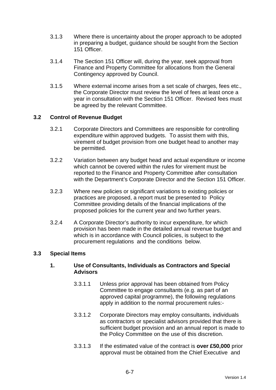- 3.1.3 Where there is uncertainty about the proper approach to be adopted in preparing a budget, guidance should be sought from the Section 151 Officer.
- 3.1.4 The Section 151 Officer will, during the year, seek approval from Finance and Property Committee for allocations from the General Contingency approved by Council.
- 3.1.5 Where external income arises from a set scale of charges, fees etc., the Corporate Director must review the level of fees at least once a year in consultation with the Section 151 Officer. Revised fees must be agreed by the relevant Committee.

### **3.2 Control of Revenue Budget**

- 3.2.1 Corporate Directors and Committees are responsible for controlling expenditure within approved budgets. To assist them with this, virement of budget provision from one budget head to another may be permitted.
- 3.2.2 Variation between any budget head and actual expenditure or income which cannot be covered within the rules for virement must be reported to the Finance and Property Committee after consultation with the Department's Corporate Director and the Section 151 Officer.
- 3.2.3 Where new policies or significant variations to existing policies or practices are proposed, a report must be presented to Policy Committee providing details of the financial implications of the proposed policies for the current year and two further years.
- 3.2.4 A Corporate Director's authority to incur expenditure, for which provision has been made in the detailed annual revenue budget and which is in accordance with Council policies, is subject to the procurement regulations and the conditions below.

### **3.3 Special Items**

### **1. Use of Consultants, Individuals as Contractors and Special Advisors**

- 3.3.1.1 Unless prior approval has been obtained from Policy Committee to engage consultants (e.g. as part of an approved capital programme), the following regulations apply in addition to the normal procurement rules:-
- 3.3.1.2 Corporate Directors may employ consultants, individuals as contractors or specialist advisors provided that there is sufficient budget provision and an annual report is made to the Policy Committee on the use of this discretion.
- 3.3.1.3 If the estimated value of the contract is **over £50,000** prior approval must be obtained from the Chief Executive and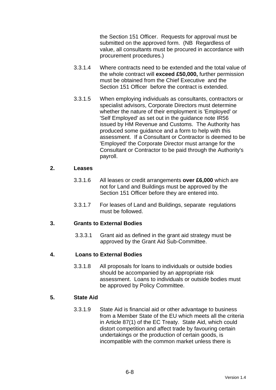the Section 151 Officer. Requests for approval must be submitted on the approved form. (NB Regardless of value, all consultants must be procured in accordance with procurement procedures.)

- 3.3.1.4 Where contracts need to be extended and the total value of the whole contract will **exceed £50,000,** further permission must be obtained from the Chief Executive and the Section 151 Officer before the contract is extended.
- 3.3.1.5 When employing individuals as consultants, contractors or specialist advisors, Corporate Directors must determine whether the nature of their employment is 'Employed' or 'Self Employed' as set out in the guidance note IR56 issued by HM Revenue and Customs. The Authority has produced some guidance and a form to help with this assessment. If a Consultant or Contractor is deemed to be 'Employed' the Corporate Director must arrange for the Consultant or Contractor to be paid through the Authority's payroll.

#### **2. Leases**

- 3.3.1.6 All leases or credit arrangements **over £6,000** which are not for Land and Buildings must be approved by the Section 151 Officer before they are entered into.
- 3.3.1.7 For leases of Land and Buildings, separate regulations must be followed.

### **3. Grants to External Bodies**

3.3.3.1 Grant aid as defined in the grant aid strategy must be approved by the Grant Aid Sub-Committee.

### **4. Loans to External Bodies**

3.3.1.8 All proposals for loans to individuals or outside bodies should be accompanied by an appropriate risk assessment. Loans to individuals or outside bodies must be approved by Policy Committee.

# **5. State Aid**

3.3.1.9 State Aid is financial aid or other advantage to business from a Member State of the EU which meets all the criteria in Article 87(1) of the EC Treaty. State Aid, which could distort competition and affect trade by favouring certain undertakings or the production of certain goods, is incompatible with the common market unless there is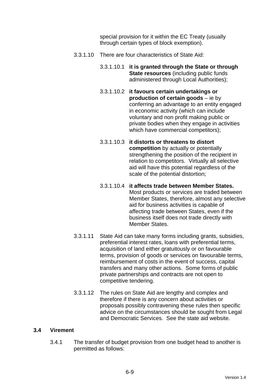special provision for it within the EC Treaty (usually through certain types of block exemption).

- 3.3.1.10 There are four characteristics of State Aid:
	- 3.3.1.10.1 **it is granted through the State or through State resources** (including public funds administered through Local Authorities);
	- 3.3.1.10.2 **it favours certain undertakings or production of certain goods** – ie by conferring an advantage to an entity engaged in economic activity (which can include voluntary and non profit making public or private bodies when they engage in activities which have commercial competitors);
	- 3.3.1.10.3 **it distorts or threatens to distort competition** by actually or potentially strengthening the position of the recipient in relation to competitors. Virtually all selective aid will have this potential regardless of the scale of the potential distortion;
	- 3.3.1.10.4 **it affects trade between Member States.** Most products or services are traded between Member States, therefore, almost any selective aid for business activities is capable of affecting trade between States, even if the business itself does not trade directly with Member States.
- 3.3.1.11 State Aid can take many forms including grants, subsidies, preferential interest rates, loans with preferential terms, acquisition of land either gratuitously or on favourable terms, provision of goods or services on favourable terms, reimbursement of costs in the event of success, capital transfers and many other actions. Some forms of public private partnerships and contracts are not open to competitive tendering.
- 3.3.1.12 The rules on State Aid are lengthy and complex and therefore if there is any concern about activities or proposals possibly contravening these rules then specific advice on the circumstances should be sought from Legal and Democratic Services. See the state aid website.

### **3.4 Virement**

3.4.1 The transfer of budget provision from one budget head to another is permitted as follows: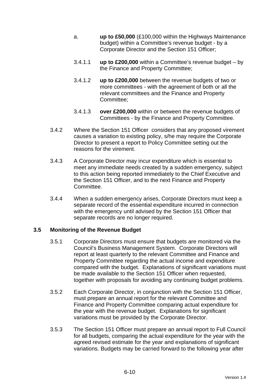- a. **up to £50,000** (£100,000 within the Highways Maintenance budget) within a Committee's revenue budget - by a Corporate Director and the Section 151 Officer;
- 3.4.1.1 **up to £200,000** within a Committee's revenue budget by the Finance and Property Committee;
- 3.4.1.2 **up to £200,000** between the revenue budgets of two or more committees - with the agreement of both or all the relevant committees and the Finance and Property Committee;
- 3.4.1.3 **over £200,000** within or between the revenue budgets of Committees - by the Finance and Property Committee.
- 3.4.2 Where the Section 151 Officer considers that any proposed virement causes a variation to existing policy, s/he may require the Corporate Director to present a report to Policy Committee setting out the reasons for the virement.
- 3.4.3 A Corporate Director may incur expenditure which is essential to meet any immediate needs created by a sudden emergency, subject to this action being reported immediately to the Chief Executive and the Section 151 Officer, and to the next Finance and Property Committee.
- 3.4.4 When a sudden emergency arises, Corporate Directors must keep a separate record of the essential expenditure incurred in connection with the emergency until advised by the Section 151 Officer that separate records are no longer required.

### **3.5 Monitoring of the Revenue Budget**

- 3.5.1 Corporate Directors must ensure that budgets are monitored via the Council's Business Management System. Corporate Directors will report at least quarterly to the relevant Committee and Finance and Property Committee regarding the actual income and expenditure compared with the budget. Explanations of significant variations must be made available to the Section 151 Officer when requested, together with proposals for avoiding any continuing budget problems.
- 3.5.2 Each Corporate Director, in conjunction with the Section 151 Officer, must prepare an annual report for the relevant Committee and Finance and Property Committee comparing actual expenditure for the year with the revenue budget. Explanations for significant variations must be provided by the Corporate Director.
- 3.5.3 The Section 151 Officer must prepare an annual report to Full Council for all budgets, comparing the actual expenditure for the year with the agreed revised estimate for the year and explanations of significant variations. Budgets may be carried forward to the following year after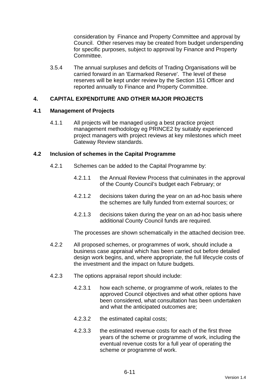consideration by Finance and Property Committee and approval by Council. Other reserves may be created from budget underspending for specific purposes, subject to approval by Finance and Property Committee.

3.5.4 The annual surpluses and deficits of Trading Organisations will be carried forward in an 'Earmarked Reserve'. The level of these reserves will be kept under review by the Section 151 Officer and reported annually to Finance and Property Committee.

### **4. CAPITAL EXPENDITURE AND OTHER MAJOR PROJECTS**

#### **4.1 Management of Projects**

4.1.1 All projects will be managed using a best practice project management methodology eg PRINCE2 by suitably experienced project managers with project reviews at key milestones which meet Gateway Review standards.

#### **4.2 Inclusion of schemes in the Capital Programme**

- 4.2.1 Schemes can be added to the Capital Programme by:
	- 4.2.1.1 the Annual Review Process that culminates in the approval of the County Council's budget each February; or
	- 4.2.1.2 decisions taken during the year on an ad-hoc basis where the schemes are fully funded from external sources; or
	- 4.2.1.3 decisions taken during the year on an ad-hoc basis where additional County Council funds are required.

The processes are shown schematically in the attached decision tree.

- 4.2.2 All proposed schemes, or programmes of work, should include a business case appraisal which has been carried out before detailed design work begins, and, where appropriate, the full lifecycle costs of the investment and the impact on future budgets.
- 4.2.3 The options appraisal report should include:
	- 4.2.3.1 how each scheme, or programme of work, relates to the approved Council objectives and what other options have been considered, what consultation has been undertaken and what the anticipated outcomes are;
	- 4.2.3.2 the estimated capital costs;
	- 4.2.3.3 the estimated revenue costs for each of the first three years of the scheme or programme of work, including the eventual revenue costs for a full year of operating the scheme or programme of work.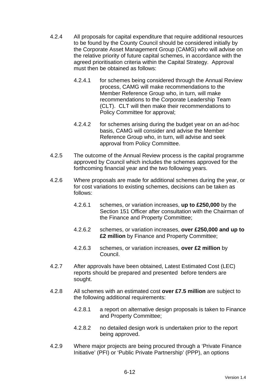- 4.2.4 All proposals for capital expenditure that require additional resources to be found by the County Council should be considered initially by the Corporate Asset Management Group (CAMG) who will advise on the relative priority of future capital schemes, in accordance with the agreed prioritisation criteria within the Capital Strategy. Approval must then be obtained as follows:
	- 4.2.4.1 for schemes being considered through the Annual Review process, CAMG will make recommendations to the Member Reference Group who, in turn, will make recommendations to the Corporate Leadership Team (CLT). CLT will then make their recommendations to Policy Committee for approval;
	- 4.2.4.2 for schemes arising during the budget year on an ad-hoc basis, CAMG will consider and advise the Member Reference Group who, in turn, will advise and seek approval from Policy Committee.
- 4.2.5 The outcome of the Annual Review process is the capital programme approved by Council which includes the schemes approved for the forthcoming financial year and the two following years.
- 4.2.6 Where proposals are made for additional schemes during the year, or for cost variations to existing schemes, decisions can be taken as follows:
	- 4.2.6.1 schemes, or variation increases, **up to £250,000** by the Section 151 Officer after consultation with the Chairman of the Finance and Property Committee;
	- 4.2.6.2 schemes, or variation increases, **over £250,000 and up to £2 million** by Finance and Property Committee;
	- 4.2.6.3 schemes, or variation increases, **over £2 million** by Council.
- 4.2.7 After approvals have been obtained, Latest Estimated Cost (LEC) reports should be prepared and presented before tenders are sought.
- 4.2.8 All schemes with an estimated cost **over £7.5 million** are subject to the following additional requirements:
	- 4.2.8.1 a report on alternative design proposals is taken to Finance and Property Committee;
	- 4.2.8.2 no detailed design work is undertaken prior to the report being approved.
- 4.2.9 Where major projects are being procured through a 'Private Finance Initiative' (PFI) or 'Public Private Partnership' (PPP), an options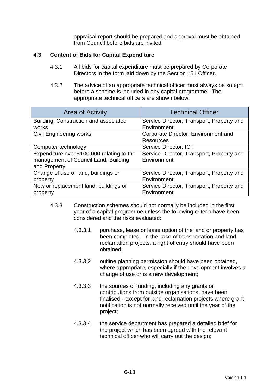appraisal report should be prepared and approval must be obtained from Council before bids are invited.

# **4.3 Content of Bids for Capital Expenditure**

- 4.3.1 All bids for capital expenditure must be prepared by Corporate Directors in the form laid down by the Section 151 Officer.
- 4.3.2 The advice of an appropriate technical officer must always be sought before a scheme is included in any capital programme. The appropriate technical officers are shown below:

| <b>Area of Activity</b>                   | <b>Technical Officer</b>                  |  |
|-------------------------------------------|-------------------------------------------|--|
| Building, Construction and associated     | Service Director, Transport, Property and |  |
| works                                     | Environment                               |  |
| <b>Civil Engineering works</b>            | Corporate Director, Environment and       |  |
|                                           | <b>Resources</b>                          |  |
| Computer technology                       | Service Director, ICT                     |  |
| Expenditure over £100,000 relating to the | Service Director, Transport, Property and |  |
| management of Council Land, Building      | Environment                               |  |
| and Property                              |                                           |  |
| Change of use of land, buildings or       | Service Director, Transport, Property and |  |
| property                                  | Environment                               |  |
| New or replacement land, buildings or     | Service Director, Transport, Property and |  |
| property                                  | Environment                               |  |

- 4.3.3 Construction schemes should not normally be included in the first year of a capital programme unless the following criteria have been considered and the risks evaluated:
	- 4.3.3.1 purchase, lease or lease option of the land or property has been completed. In the case of transportation and land reclamation projects, a right of entry should have been obtained;
	- 4.3.3.2 outline planning permission should have been obtained, where appropriate, especially if the development involves a change of use or is a new development;
	- 4.3.3.3 the sources of funding, including any grants or contributions from outside organisations, have been finalised - except for land reclamation projects where grant notification is not normally received until the year of the project;
	- 4.3.3.4 the service department has prepared a detailed brief for the project which has been agreed with the relevant technical officer who will carry out the design;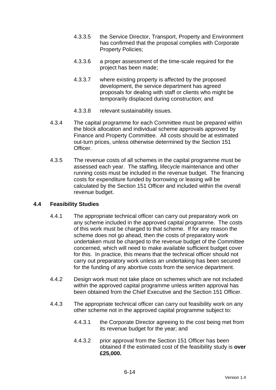- 4.3.3.5 the Service Director, Transport, Property and Environment has confirmed that the proposal complies with Corporate Property Policies;
- 4.3.3.6 a proper assessment of the time-scale required for the project has been made;
- 4.3.3.7 where existing property is affected by the proposed development, the service department has agreed proposals for dealing with staff or clients who might be temporarily displaced during construction; and
- 4.3.3.8 relevant sustainability issues.
- 4.3.4 The capital programme for each Committee must be prepared within the block allocation and individual scheme approvals approved by Finance and Property Committee. All costs should be at estimated out-turn prices, unless otherwise determined by the Section 151 Officer.
- 4.3.5 The revenue costs of all schemes in the capital programme must be assessed each year. The staffing, lifecycle maintenance and other running costs must be included in the revenue budget. The financing costs for expenditure funded by borrowing or leasing will be calculated by the Section 151 Officer and included within the overall revenue budget.

### **4.4 Feasibility Studies**

- 4.4.1 The appropriate technical officer can carry out preparatory work on any scheme included in the approved capital programme. The costs of this work must be charged to that scheme. If for any reason the scheme does not go ahead, then the costs of preparatory work undertaken must be charged to the revenue budget of the Committee concerned, which will need to make available sufficient budget cover for this. In practice, this means that the technical officer should not carry out preparatory work unless an undertaking has been secured for the funding of any abortive costs from the service department.
- 4.4.2 Design work must not take place on schemes which are not included within the approved capital programme unless written approval has been obtained from the Chief Executive and the Section 151 Officer.
- 4.4.3 The appropriate technical officer can carry out feasibility work on any other scheme not in the approved capital programme subject to:
	- 4.4.3.1 the Corporate Director agreeing to the cost being met from its revenue budget for the year; and
	- 4.4.3.2 prior approval from the Section 151 Officer has been obtained if the estimated cost of the feasibility study is **over £25,000.**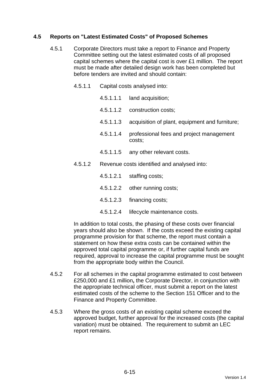# **4.5 Reports on "Latest Estimated Costs" of Proposed Schemes**

- 4.5.1 Corporate Directors must take a report to Finance and Property Committee setting out the latest estimated costs of all proposed capital schemes where the capital cost is over £1 million. The report must be made after detailed design work has been completed but before tenders are invited and should contain:
	- 4.5.1.1 Capital costs analysed into:
		- 4.5.1.1.1 land acquisition;
		- 4.5.1.1.2 construction costs;
		- 4.5.1.1.3 acquisition of plant, equipment and furniture;
		- 4.5.1.1.4 professional fees and project management costs;
		- 4.5.1.1.5 any other relevant costs.
	- 4.5.1.2 Revenue costs identified and analysed into:
		- 4.5.1.2.1 staffing costs;
		- 4.5.1.2.2 other running costs;
		- 4.5.1.2.3 financing costs;
		- 4.5.1.2.4 lifecycle maintenance costs.

In addition to total costs, the phasing of these costs over financial years should also be shown. If the costs exceed the existing capital programme provision for that scheme, the report must contain a statement on how these extra costs can be contained within the approved total capital programme or, if further capital funds are required, approval to increase the capital programme must be sought from the appropriate body within the Council.

- 4.5.2 For all schemes in the capital programme estimated to cost between £250,000 and £1 million**,** the Corporate Director, in conjunction with the appropriate technical officer, must submit a report on the latest estimated costs of the scheme to the Section 151 Officer and to the Finance and Property Committee.
- 4.5.3 Where the gross costs of an existing capital scheme exceed the approved budget, further approval for the increased costs (the capital variation) must be obtained. The requirement to submit an LEC report remains.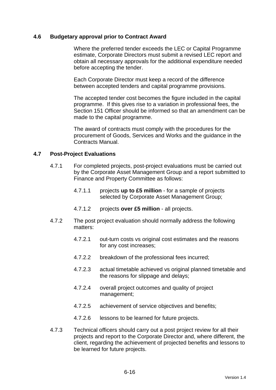#### **4.6 Budgetary approval prior to Contract Award**

 Where the preferred tender exceeds the LEC or Capital Programme estimate, Corporate Directors must submit a revised LEC report and obtain all necessary approvals for the additional expenditure needed before accepting the tender.

 Each Corporate Director must keep a record of the difference between accepted tenders and capital programme provisions.

 The accepted tender cost becomes the figure included in the capital programme. If this gives rise to a variation in professional fees, the Section 151 Officer should be informed so that an amendment can be made to the capital programme.

 The award of contracts must comply with the procedures for the procurement of Goods, Services and Works and the guidance in the Contracts Manual.

#### **4.7 Post-Project Evaluations**

- 4.7.1 For completed projects, post-project evaluations must be carried out by the Corporate Asset Management Group and a report submitted to Finance and Property Committee as follows:
	- 4.7.1.1 projects **up to £5 million** for a sample of projects selected by Corporate Asset Management Group;
	- 4.7.1.2 projects **over £5 million** all projects.
- 4.7.2 The post project evaluation should normally address the following matters:
	- 4.7.2.1 out-turn costs vs original cost estimates and the reasons for any cost increases;
	- 4.7.2.2 breakdown of the professional fees incurred;
	- 4.7.2.3 actual timetable achieved vs original planned timetable and the reasons for slippage and delays;
	- 4.7.2.4 overall project outcomes and quality of project management;
	- 4.7.2.5 achievement of service objectives and benefits;
	- 4.7.2.6 lessons to be learned for future projects.
- 4.7.3 Technical officers should carry out a post project review for all their projects and report to the Corporate Director and, where different, the client, regarding the achievement of projected benefits and lessons to be learned for future projects.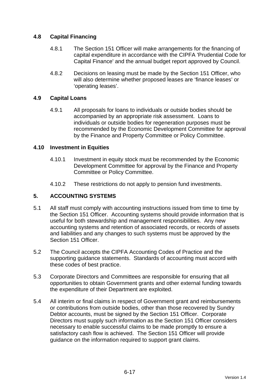# **4.8 Capital Financing**

- 4.8.1 The Section 151 Officer will make arrangements for the financing of capital expenditure in accordance with the CIPFA 'Prudential Code for Capital Finance' and the annual budget report approved by Council.
- 4.8.2 Decisions on leasing must be made by the Section 151 Officer, who will also determine whether proposed leases are 'finance leases' or 'operating leases'.

### **4.9 Capital Loans**

4.9.1 All proposals for loans to individuals or outside bodies should be accompanied by an appropriate risk assessment. Loans to individuals or outside bodies for regeneration purposes must be recommended by the Economic Development Committee for approval by the Finance and Property Committee or Policy Committee.

#### **4.10 Investment in Equities**

- 4.10.1 Investment in equity stock must be recommended by the Economic Development Committee for approval by the Finance and Property Committee or Policy Committee.
- 4.10.2 These restrictions do not apply to pension fund investments.

### **5. ACCOUNTING SYSTEMS**

- 5.1 All staff must comply with accounting instructions issued from time to time by the Section 151 Officer. Accounting systems should provide information that is useful for both stewardship and management responsibilities. Any new accounting systems and retention of associated records, or records of assets and liabilities and any changes to such systems must be approved by the Section 151 Officer.
- 5.2 The Council accepts the CIPFA Accounting Codes of Practice and the supporting guidance statements. Standards of accounting must accord with these codes of best practice.
- 5.3 Corporate Directors and Committees are responsible for ensuring that all opportunities to obtain Government grants and other external funding towards the expenditure of their Department are exploited.
- 5.4 All interim or final claims in respect of Government grant and reimbursements or contributions from outside bodies, other than those recovered by Sundry Debtor accounts, must be signed by the Section 151 Officer. Corporate Directors must supply such information as the Section 151 Officer considers necessary to enable successful claims to be made promptly to ensure a satisfactory cash flow is achieved. The Section 151 Officer will provide guidance on the information required to support grant claims.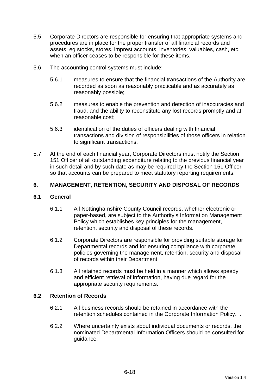- 5.5 Corporate Directors are responsible for ensuring that appropriate systems and procedures are in place for the proper transfer of all financial records and assets, eg stocks, stores, imprest accounts, inventories, valuables, cash, etc, when an officer ceases to be responsible for these items.
- 5.6 The accounting control systems must include:
	- 5.6.1 measures to ensure that the financial transactions of the Authority are recorded as soon as reasonably practicable and as accurately as reasonably possible;
	- 5.6.2 measures to enable the prevention and detection of inaccuracies and fraud, and the ability to reconstitute any lost records promptly and at reasonable cost;
	- 5.6.3 identification of the duties of officers dealing with financial transactions and division of responsibilities of those officers in relation to significant transactions.
- 5.7 At the end of each financial year, Corporate Directors must notify the Section 151 Officer of all outstanding expenditure relating to the previous financial year in such detail and by such date as may be required by the Section 151 Officer so that accounts can be prepared to meet statutory reporting requirements.

# **6. MANAGEMENT, RETENTION, SECURITY AND DISPOSAL OF RECORDS**

### **6.1 General**

- 6.1.1 All Nottinghamshire County Council records, whether electronic or paper-based, are subject to the Authority's Information Management Policy which establishes key principles for the management, retention, security and disposal of these records.
- 6.1.2 Corporate Directors are responsible for providing suitable storage for Departmental records and for ensuring compliance with corporate policies governing the management, retention, security and disposal of records within their Department.
- 6.1.3 All retained records must be held in a manner which allows speedy and efficient retrieval of information, having due regard for the appropriate security requirements.

### **6.2 Retention of Records**

- 6.2.1 All business records should be retained in accordance with the retention schedules contained in the Corporate Information Policy. .
- 6.2.2 Where uncertainty exists about individual documents or records, the nominated Departmental Information Officers should be consulted for guidance.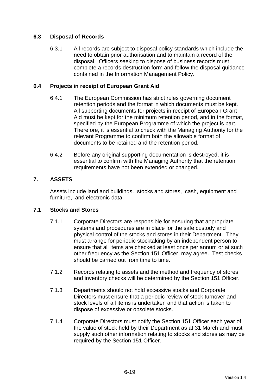# **6.3 Disposal of Records**

6.3.1 All records are subject to disposal policy standards which include the need to obtain prior authorisation and to maintain a record of the disposal. Officers seeking to dispose of business records must complete a records destruction form and follow the disposal guidance contained in the Information Management Policy.

# **6.4 Projects in receipt of European Grant Aid**

- 6.4.1 The European Commission has strict rules governing document retention periods and the format in which documents must be kept. All supporting documents for projects in receipt of European Grant Aid must be kept for the minimum retention period, and in the format, specified by the European Programme of which the project is part. Therefore, it is essential to check with the Managing Authority for the relevant Programme to confirm both the allowable format of documents to be retained and the retention period.
- 6.4.2 Before any original supporting documentation is destroyed, it is essential to confirm with the Managing Authority that the retention requirements have not been extended or changed.

# **7. ASSETS**

Assets include land and buildings, stocks and stores, cash, equipment and furniture, and electronic data.

### **7.1 Stocks and Stores**

- 7.1.1 Corporate Directors are responsible for ensuring that appropriate systems and procedures are in place for the safe custody and physical control of the stocks and stores in their Department. They must arrange for periodic stocktaking by an independent person to ensure that all items are checked at least once per annum or at such other frequency as the Section 151 Officer may agree. Test checks should be carried out from time to time.
- 7.1.2 Records relating to assets and the method and frequency of stores and inventory checks will be determined by the Section 151 Officer.
- 7.1.3 Departments should not hold excessive stocks and Corporate Directors must ensure that a periodic review of stock turnover and stock levels of all items is undertaken and that action is taken to dispose of excessive or obsolete stocks.
- 7.1.4 Corporate Directors must notify the Section 151 Officer each year of the value of stock held by their Department as at 31 March and must supply such other information relating to stocks and stores as may be required by the Section 151 Officer.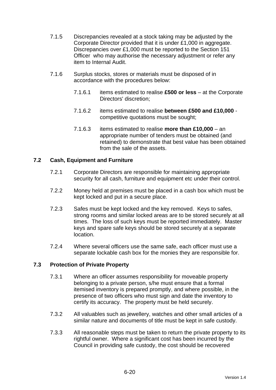- 7.1.5 Discrepancies revealed at a stock taking may be adjusted by the Corporate Director provided that it is under £1,000 in aggregate. Discrepancies over £1,000 must be reported to the Section 151 Officer who may authorise the necessary adjustment or refer any item to Internal Audit.
- 7.1.6 Surplus stocks, stores or materials must be disposed of in accordance with the procedures below:
	- 7.1.6.1 items estimated to realise **£500 or less** at the Corporate Directors' discretion;
	- 7.1.6.2 items estimated to realise **between £500 and £10,000** competitive quotations must be sought;
	- 7.1.6.3 items estimated to realise **more than £10,000** an appropriate number of tenders must be obtained (and retained) to demonstrate that best value has been obtained from the sale of the assets.

# **7.2 Cash, Equipment and Furniture**

- 7.2.1 Corporate Directors are responsible for maintaining appropriate security for all cash, furniture and equipment etc under their control.
- 7.2.2 Money held at premises must be placed in a cash box which must be kept locked and put in a secure place.
- 7.2.3 Safes must be kept locked and the key removed. Keys to safes, strong rooms and similar locked areas are to be stored securely at all times. The loss of such keys must be reported immediately. Master keys and spare safe keys should be stored securely at a separate location.
- 7.2.4 Where several officers use the same safe, each officer must use a separate lockable cash box for the monies they are responsible for.

### **7.3 Protection of Private Property**

- 7.3.1 Where an officer assumes responsibility for moveable property belonging to a private person, s/he must ensure that a formal itemised inventory is prepared promptly, and where possible, in the presence of two officers who must sign and date the inventory to certify its accuracy. The property must be held securely.
- 7.3.2 All valuables such as jewellery, watches and other small articles of a similar nature and documents of title must be kept in safe custody.
- 7.3.3 All reasonable steps must be taken to return the private property to its rightful owner. Where a significant cost has been incurred by the Council in providing safe custody, the cost should be recovered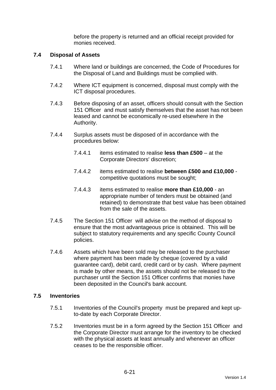before the property is returned and an official receipt provided for monies received.

#### **7.4 Disposal of Assets**

- 7.4.1 Where land or buildings are concerned, the Code of Procedures for the Disposal of Land and Buildings must be complied with.
- 7.4.2 Where ICT equipment is concerned, disposal must comply with the ICT disposal procedures.
- 7.4.3 Before disposing of an asset, officers should consult with the Section 151 Officer and must satisfy themselves that the asset has not been leased and cannot be economically re-used elsewhere in the Authority.
- 7.4.4 Surplus assets must be disposed of in accordance with the procedures below:
	- 7.4.4.1 items estimated to realise **less than £500** at the Corporate Directors' discretion;
	- 7.4.4.2 items estimated to realise **between £500 and £10,000** competitive quotations must be sought;
	- 7.4.4.3 items estimated to realise **more than £10,000** an appropriate number of tenders must be obtained (and retained) to demonstrate that best value has been obtained from the sale of the assets.
- 7.4.5 The Section 151 Officer will advise on the method of disposal to ensure that the most advantageous price is obtained. This will be subject to statutory requirements and any specific County Council policies.
- 7.4.6 Assets which have been sold may be released to the purchaser where payment has been made by cheque (covered by a valid guarantee card), debit card, credit card or by cash. Where payment is made by other means, the assets should not be released to the purchaser until the Section 151 Officer confirms that monies have been deposited in the Council's bank account.

#### **7.5 Inventories**

- 7.5.1 Inventories of the Council's property must be prepared and kept upto-date by each Corporate Director.
- 7.5.2 Inventories must be in a form agreed by the Section 151 Officer and the Corporate Director must arrange for the inventory to be checked with the physical assets at least annually and whenever an officer ceases to be the responsible officer.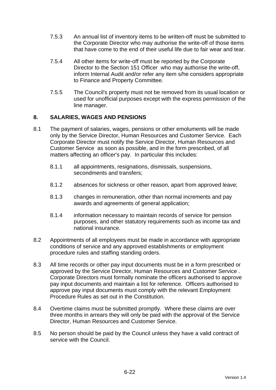- 7.5.3 An annual list of inventory items to be written-off must be submitted to the Corporate Director who may authorise the write-off of those items that have come to the end of their useful life due to fair wear and tear.
- 7.5.4 All other items for write-off must be reported by the Corporate Director to the Section 151 Officer who may authorise the write-off, inform Internal Audit and/or refer any item s/he considers appropriate to Finance and Property Committee.
- 7.5.5 The Council's property must not be removed from its usual location or used for unofficial purposes except with the express permission of the line manager.

# **8. SALARIES, WAGES AND PENSIONS**

- 8.1 The payment of salaries, wages, pensions or other emoluments will be made only by the Service Director, Human Resources and Customer Service. Each Corporate Director must notify the Service Director, Human Resources and Customer Service as soon as possible, and in the form prescribed, of all matters affecting an officer's pay. In particular this includes:
	- 8.1.1 all appointments, resignations, dismissals, suspensions, secondments and transfers;
	- 8.1.2 absences for sickness or other reason, apart from approved leave;
	- 8.1.3 changes in remuneration, other than normal increments and pay awards and agreements of general application;
	- 8.1.4 information necessary to maintain records of service for pension purposes, and other statutory requirements such as income tax and national insurance.
- 8.2 Appointments of all employees must be made in accordance with appropriate conditions of service and any approved establishments or employment procedure rules and staffing standing orders.
- 8.3 All time records or other pay input documents must be in a form prescribed or approved by the Service Director, Human Resources and Customer Service . Corporate Directors must formally nominate the officers authorised to approve pay input documents and maintain a list for reference. Officers authorised to approve pay input documents must comply with the relevant Employment Procedure Rules as set out in the Constitution.
- 8.4 Overtime claims must be submitted promptly. Where these claims are over three months in arrears they will only be paid with the approval of the Service Director, Human Resources and Customer Service.
- 8.5 No person should be paid by the Council unless they have a valid contract of service with the Council.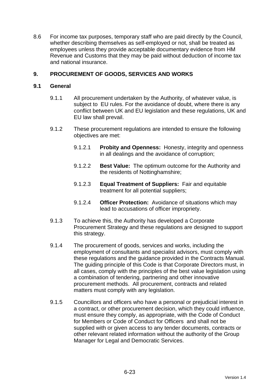8.6 For income tax purposes, temporary staff who are paid directly by the Council, whether describing themselves as self-employed or not, shall be treated as employees unless they provide acceptable documentary evidence from HM Revenue and Customs that they may be paid without deduction of income tax and national insurance.

# **9. PROCUREMENT OF GOODS, SERVICES AND WORKS**

### **9.1 General**

- 9.1.1 All procurement undertaken by the Authority, of whatever value, is subject to EU rules. For the avoidance of doubt, where there is any conflict between UK and EU legislation and these regulations, UK and EU law shall prevail.
- 9.1.2 These procurement regulations are intended to ensure the following objectives are met:
	- 9.1.2.1 **Probity and Openness:** Honesty, integrity and openness in all dealings and the avoidance of corruption;
	- 9.1.2.2 **Best Value:** The optimum outcome for the Authority and the residents of Nottinghamshire;
	- 9.1.2.3 **Equal Treatment of Suppliers:** Fair and equitable treatment for all potential suppliers;
	- 9.1.2.4 **Officer Protection:** Avoidance of situations which may lead to accusations of officer impropriety.
- 9.1.3 To achieve this, the Authority has developed a Corporate Procurement Strategy and these regulations are designed to support this strategy.
- 9.1.4 The procurement of goods, services and works, including the employment of consultants and specialist advisors, must comply with these regulations and the guidance provided in the Contracts Manual. The guiding principle of this Code is that Corporate Directors must, in all cases, comply with the principles of the best value legislation using a combination of tendering, partnering and other innovative procurement methods. All procurement, contracts and related matters must comply with any legislation.
- 9.1.5 Councillors and officers who have a personal or prejudicial interest in a contract, or other procurement decision, which they could influence, must ensure they comply, as appropriate, with the Code of Conduct for Members or Code of Conduct for Officers and shall not be supplied with or given access to any tender documents, contracts or other relevant related information without the authority of the Group Manager for Legal and Democratic Services.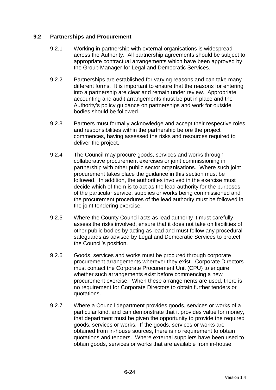### **9.2 Partnerships and Procurement**

- 9.2.1 Working in partnership with external organisations is widespread across the Authority. All partnership agreements should be subject to appropriate contractual arrangements which have been approved by the Group Manager for Legal and Democratic Services.
- 9.2.2 Partnerships are established for varying reasons and can take many different forms. It is important to ensure that the reasons for entering into a partnership are clear and remain under review. Appropriate accounting and audit arrangements must be put in place and the Authority's policy guidance on partnerships and work for outside bodies should be followed.
- 9.2.3 Partners must formally acknowledge and accept their respective roles and responsibilities within the partnership before the project commences, having assessed the risks and resources required to deliver the project.
- 9.2.4 The Council may procure goods, services and works through collaborative procurement exercises or joint commissioning in partnership with other public sector organisations. Where such joint procurement takes place the guidance in this section must be followed. In addition, the authorities involved in the exercise must decide which of them is to act as the lead authority for the purposes of the particular service, supplies or works being commissioned and the procurement procedures of the lead authority must be followed in the joint tendering exercise.
- 9.2.5 Where the County Council acts as lead authority it must carefully assess the risks involved, ensure that it does not take on liabilities of other public bodies by acting as lead and must follow any procedural safeguards as advised by Legal and Democratic Services to protect the Council's position.
- 9.2.6 Goods, services and works must be procured through corporate procurement arrangements wherever they exist. Corporate Directors must contact the Corporate Procurement Unit (CPU) to enquire whether such arrangements exist before commencing a new procurement exercise. When these arrangements are used, there is no requirement for Corporate Directors to obtain further tenders or quotations.
- 9.2.7 Where a Council department provides goods, services or works of a particular kind, and can demonstrate that it provides value for money, that department must be given the opportunity to provide the required goods, services or works. If the goods, services or works are obtained from in-house sources, there is no requirement to obtain quotations and tenders. Where external suppliers have been used to obtain goods, services or works that are available from in-house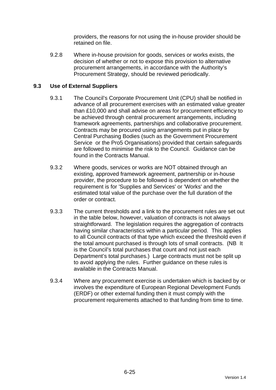providers, the reasons for not using the in-house provider should be retained on file.

9.2.8 Where in-house provision for goods, services or works exists, the decision of whether or not to expose this provision to alternative procurement arrangements, in accordance with the Authority's Procurement Strategy, should be reviewed periodically.

# **9.3 Use of External Suppliers**

- 9.3.1 The Council's Corporate Procurement Unit (CPU) shall be notified in advance of all procurement exercises with an estimated value greater than £10,000 and shall advise on areas for procurement efficiency to be achieved through central procurement arrangements, including framework agreements, partnerships and collaborative procurement. Contracts may be procured using arrangements put in place by Central Purchasing Bodies (such as the Government Procurement Service or the Pro5 Organisations) provided that certain safeguards are followed to minimise the risk to the Council. Guidance can be found in the Contracts Manual.
- 9.3.2 Where goods, services or works are NOT obtained through an existing, approved framework agreement, partnership or in-house provider, the procedure to be followed is dependent on whether the requirement is for 'Supplies and Services' or 'Works' and the estimated total value of the purchase over the full duration of the order or contract.
- 9.3.3 The current thresholds and a link to the procurement rules are set out in the table below, however, valuation of contracts is not always straightforward. The legislation requires the aggregation of contracts having similar characteristics within a particular period. This applies to all Council contracts of that type which exceed the threshold even if the total amount purchased is through lots of small contracts. (NB It is the Council's total purchases that count and not just each Department's total purchases.) Large contracts must not be split up to avoid applying the rules. Further guidance on these rules is available in the Contracts Manual.
- 9.3.4 Where any procurement exercise is undertaken which is backed by or involves the expenditure of European Regional Development Funds (ERDF) or other external funding then it must comply with the procurement requirements attached to that funding from time to time.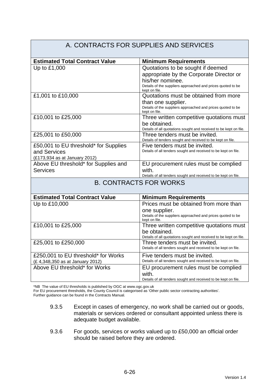#### A. CONTRACTS FOR SUPPLIES AND SERVICES **Estimated Total Contract Value | Minimum Requirements** Up to £1,000  $\vert$  Quotations to be sought if deemed appropriate by the Corporate Director or his/her nominee. Details of the suppliers approached and prices quoted to be kept on file. £1,001 to £10,000 Quotations must be obtained from more than one supplier. Details of the suppliers approached and prices quoted to be kept on file. £10,001 to £25,000 Three written competitive quotations must be obtained. Details of all quotations sought and received to be kept on file. £25,001 to £50,000 Three tenders must be invited. Details of tenders sought and received to be kept on file. £50,001 to EU threshold\* for Supplies and Services (£173,934 as at January 2012) Five tenders must be invited. Details of all tenders sought and received to be kept on file. Above EU threshold\* for Supplies and **Services** EU procurement rules must be complied with. Details of all tenders sought and received to be kept on file. B. CONTRACTS FOR WORKS **Estimated Total Contract Value Minimum Requirements** Up to £10,000 Prices must be obtained from more than one supplier. Details of the suppliers approached and prices quoted to be kept on file. £10,001 to £25,000 Three written competitive quotations must be obtained. Details of all quotations sought and received to be kept on file. £25,001 to £250,000 Three tenders must be invited. Details of all tenders sought and received to be kept on file. £250,001 to EU threshold\* for Works (£ 4,348,350 as at January 2012) Five tenders must be invited. Details of all tenders sought and received to be kept on file. Above EU threshold\* for Works **EU** procurement rules must be complied with. Details of all tenders sought and received to be kept on file.

\*NB The value of EU thresholds is published by OGC at www.ogc.gov.uk

For EU procurement thresholds, the County Council is categorised as 'Other public sector contracting authorities'.

Further guidance can be found in the Contracts Manual.

- 9.3.5 Except in cases of emergency, no work shall be carried out or goods, materials or services ordered or consultant appointed unless there is adequate budget available.
- 9.3.6 For goods, services or works valued up to £50,000 an official order should be raised before they are ordered.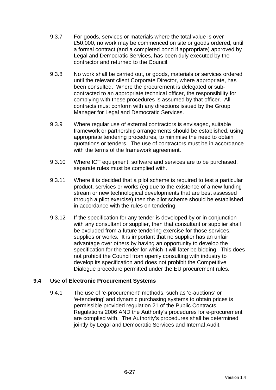- 9.3.7 For goods, services or materials where the total value is over £50,000, no work may be commenced on site or goods ordered, until a formal contract (and a completed bond if appropriate) approved by Legal and Democratic Services, has been duly executed by the contractor and returned to the Council.
- 9.3.8 No work shall be carried out, or goods, materials or services ordered until the relevant client Corporate Director, where appropriate, has been consulted. Where the procurement is delegated or subcontracted to an appropriate technical officer, the responsibility for complying with these procedures is assumed by that officer. All contracts must conform with any directions issued by the Group Manager for Legal and Democratic Services.
- 9.3.9 Where regular use of external contractors is envisaged, suitable framework or partnership arrangements should be established, using appropriate tendering procedures, to minimise the need to obtain quotations or tenders. The use of contractors must be in accordance with the terms of the framework agreement.
- 9.3.10 Where ICT equipment, software and services are to be purchased, separate rules must be complied with.
- 9.3.11 Where it is decided that a pilot scheme is required to test a particular product, services or works (eg due to the existence of a new funding stream or new technological developments that are best assessed through a pilot exercise) then the pilot scheme should be established in accordance with the rules on tendering.
- 9.3.12 If the specification for any tender is developed by or in conjunction with any consultant or supplier, then that consultant or supplier shall be excluded from a future tendering exercise for those services, supplies or works. It is important that no supplier has an unfair advantage over others by having an opportunity to develop the specification for the tender for which it will later be bidding. This does not prohibit the Council from openly consulting with industry to develop its specification and does not prohibit the Competitive Dialogue procedure permitted under the EU procurement rules.

### **9.4 Use of Electronic Procurement Systems**

9.4.1 The use of 'e-procurement' methods, such as 'e-auctions' or 'e-tendering' and dynamic purchasing systems to obtain prices is permissible provided regulation 21 of the Public Contracts Regulations 2006 AND the Authority's procedures for e-procurement are complied with. The Authority's procedures shall be determined jointly by Legal and Democratic Services and Internal Audit.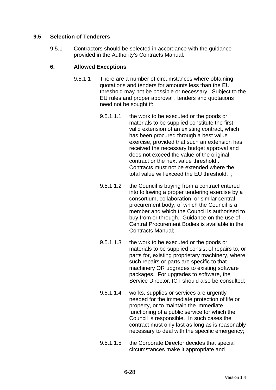# **9.5 Selection of Tenderers**

9.5.1 Contractors should be selected in accordance with the guidance provided in the Authority's Contracts Manual.

### **6. Allowed Exceptions**

- 9.5.1.1 There are a number of circumstances where obtaining quotations and tenders for amounts less than the EU threshold may not be possible or necessary. Subject to the EU rules and proper approval , tenders and quotations need not be sought if:
	- 9.5.1.1.1 the work to be executed or the goods or materials to be supplied constitute the first valid extension of an existing contract, which has been procured through a best value exercise, provided that such an extension has received the necessary budget approval and does not exceed the value of the original contract or the next value threshold . Contracts must not be extended where the total value will exceed the EU threshold. ;
	- 9.5.1.1.2 the Council is buying from a contract entered into following a proper tendering exercise by a consortium, collaboration, or similar central procurement body, of which the Council is a member and which the Council is authorised to buy from or through. Guidance on the use of Central Procurement Bodies is available in the Contracts Manual;
	- 9.5.1.1.3 the work to be executed or the goods or materials to be supplied consist of repairs to, or parts for, existing proprietary machinery, where such repairs or parts are specific to that machinery OR upgrades to existing software packages. For upgrades to software, the Service Director, ICT should also be consulted;
	- 9.5.1.1.4 works, supplies or services are urgently needed for the immediate protection of life or property, or to maintain the immediate functioning of a public service for which the Council is responsible. In such cases the contract must only last as long as is reasonably necessary to deal with the specific emergency;
	- 9.5.1.1.5 the Corporate Director decides that special circumstances make it appropriate and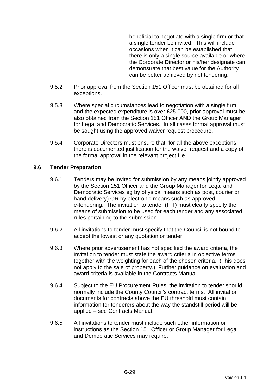beneficial to negotiate with a single firm or that a single tender be invited. This will include occasions when it can be established that there is only a single source available or where the Corporate Director or his/her designate can demonstrate that best value for the Authority can be better achieved by not tendering.

- 9.5.2 Prior approval from the Section 151 Officer must be obtained for all exceptions.
- 9.5.3 Where special circumstances lead to negotiation with a single firm and the expected expenditure is over £25,000, prior approval must be also obtained from the Section 151 Officer AND the Group Manager for Legal and Democratic Services. In all cases formal approval must be sought using the approved waiver request procedure.
- 9.5.4 Corporate Directors must ensure that, for all the above exceptions, there is documented justification for the waiver request and a copy of the formal approval in the relevant project file.

### **9.6 Tender Preparation**

- 9.6.1 Tenders may be invited for submission by any means jointly approved by the Section 151 Officer and the Group Manager for Legal and Democratic Services eg by physical means such as post, courier or hand delivery) OR by electronic means such as approved e-tendering. The invitation to tender (ITT) must clearly specify the means of submission to be used for each tender and any associated rules pertaining to the submission.
- 9.6.2 All invitations to tender must specify that the Council is not bound to accept the lowest or any quotation or tender.
- 9.6.3 Where prior advertisement has not specified the award criteria, the invitation to tender must state the award criteria in objective terms together with the weighting for each of the chosen criteria. (This does not apply to the sale of property.) Further guidance on evaluation and award criteria is available in the Contracts Manual.
- 9.6.4 Subject to the EU Procurement Rules, the invitation to tender should normally include the County Council's contract terms. All invitation documents for contracts above the EU threshold must contain information for tenderers about the way the standstill period will be applied – see Contracts Manual.
- 9.6.5 All invitations to tender must include such other information or instructions as the Section 151 Officer or Group Manager for Legal and Democratic Services may require.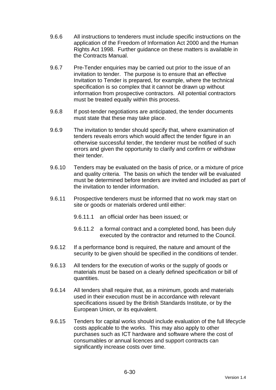- 9.6.6 All instructions to tenderers must include specific instructions on the application of the Freedom of Information Act 2000 and the Human Rights Act 1998. Further guidance on these matters is available in the Contracts Manual.
- 9.6.7 Pre-Tender enquiries may be carried out prior to the issue of an invitation to tender. The purpose is to ensure that an effective Invitation to Tender is prepared, for example, where the technical specification is so complex that it cannot be drawn up without information from prospective contractors. All potential contractors must be treated equally within this process.
- 9.6.8 If post-tender negotiations are anticipated, the tender documents must state that these may take place.
- 9.6.9 The invitation to tender should specify that, where examination of tenders reveals errors which would affect the tender figure in an otherwise successful tender, the tenderer must be notified of such errors and given the opportunity to clarify and confirm or withdraw their tender.
- 9.6.10 Tenders may be evaluated on the basis of price, or a mixture of price and quality criteria. The basis on which the tender will be evaluated must be determined before tenders are invited and included as part of the invitation to tender information.
- 9.6.11 Prospective tenderers must be informed that no work may start on site or goods or materials ordered until either:
	- 9.6.11.1 an official order has been issued; or
	- 9.6.11.2 a formal contract and a completed bond, has been duly executed by the contractor and returned to the Council.
- 9.6.12 If a performance bond is required, the nature and amount of the security to be given should be specified in the conditions of tender.
- 9.6.13 All tenders for the execution of works or the supply of goods or materials must be based on a clearly defined specification or bill of quantities.
- 9.6.14 All tenders shall require that, as a minimum, goods and materials used in their execution must be in accordance with relevant specifications issued by the British Standards Institute, or by the European Union, or its equivalent.
- 9.6.15 Tenders for capital works should include evaluation of the full lifecycle costs applicable to the works. This may also apply to other purchases such as ICT hardware and software where the cost of consumables or annual licences and support contracts can significantly increase costs over time.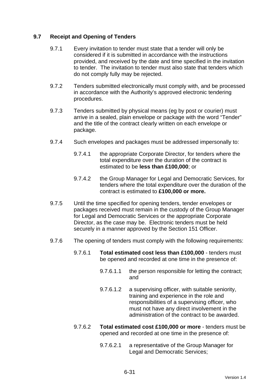# **9.7 Receipt and Opening of Tenders**

- 9.7.1 Every invitation to tender must state that a tender will only be considered if it is submitted in accordance with the instructions provided, and received by the date and time specified in the invitation to tender. The invitation to tender must also state that tenders which do not comply fully may be rejected.
- 9.7.2 Tenders submitted electronically must comply with, and be processed in accordance with the Authority's approved electronic tendering procedures.
- 9.7.3 Tenders submitted by physical means (eg by post or courier) must arrive in a sealed, plain envelope or package with the word "Tender" and the title of the contract clearly written on each envelope or package.
- 9.7.4 Such envelopes and packages must be addressed impersonally to:
	- 9.7.4.1 the appropriate Corporate Director, for tenders where the total expenditure over the duration of the contract is estimated to be **less than £100,000**; or
	- 9.7.4.2 the Group Manager for Legal and Democratic Services, for tenders where the total expenditure over the duration of the contract is estimated to **£100,000 or more.**
- 9.7.5 Until the time specified for opening tenders, tender envelopes or packages received must remain in the custody of the Group Manager for Legal and Democratic Services or the appropriate Corporate Director, as the case may be. Electronic tenders must be held securely in a manner approved by the Section 151 Officer.
- 9.7.6 The opening of tenders must comply with the following requirements:
	- 9.7.6.1 **Total estimated cost less than £100,000** tenders must be opened and recorded at one time in the presence of:
		- 9.7.6.1.1 the person responsible for letting the contract; and
		- 9.7.6.1.2 a supervising officer, with suitable seniority, training and experience in the role and responsibilities of a supervising officer, who must not have any direct involvement in the administration of the contract to be awarded.
	- 9.7.6.2 **Total estimated cost £100,000 or more** tenders must be opened and recorded at one time in the presence of:
		- 9.7.6.2.1 a representative of the Group Manager for Legal and Democratic Services;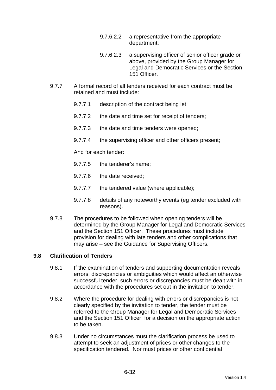- 9.7.6.2.2 a representative from the appropriate department;
- 9.7.6.2.3 a supervising officer of senior officer grade or above, provided by the Group Manager for Legal and Democratic Services or the Section 151 Officer.
- 9.7.7 A formal record of all tenders received for each contract must be retained and must include:
	- 9.7.7.1 description of the contract being let;
	- 9.7.7.2 the date and time set for receipt of tenders;
	- 9.7.7.3 the date and time tenders were opened;
	- 9.7.7.4 the supervising officer and other officers present;

And for each tender:

- 9.7.7.5 the tenderer's name;
- 9.7.7.6 the date received;
- 9.7.7.7 the tendered value (where applicable);
- 9.7.7.8 details of any noteworthy events (eg tender excluded with reasons).
- 9.7.8 The procedures to be followed when opening tenders will be determined by the Group Manager for Legal and Democratic Services and the Section 151 Officer. These procedures must include provision for dealing with late tenders and other complications that may arise – see the Guidance for Supervising Officers.

### **9.8 Clarification of Tenders**

- 9.8.1 If the examination of tenders and supporting documentation reveals errors, discrepancies or ambiguities which would affect an otherwise successful tender, such errors or discrepancies must be dealt with in accordance with the procedures set out in the invitation to tender.
- 9.8.2 Where the procedure for dealing with errors or discrepancies is not clearly specified by the invitation to tender, the tender must be referred to the Group Manager for Legal and Democratic Services and the Section 151 Officer for a decision on the appropriate action to be taken.
- 9.8.3 Under no circumstances must the clarification process be used to attempt to seek an adjustment of prices or other changes to the specification tendered. Nor must prices or other confidential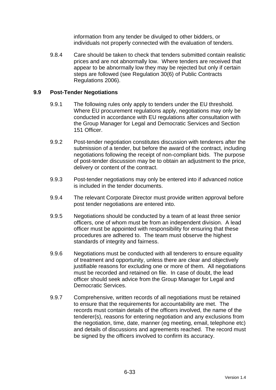information from any tender be divulged to other bidders, or individuals not properly connected with the evaluation of tenders.

9.8.4 Care should be taken to check that tenders submitted contain realistic prices and are not abnormally low. Where tenders are received that appear to be abnormally low they may be rejected but only if certain steps are followed (see Regulation 30(6) of Public Contracts Regulations 2006).

### **9.9 Post-Tender Negotiations**

- 9.9.1 The following rules only apply to tenders under the EU threshold. Where EU procurement regulations apply, negotiations may only be conducted in accordance with EU regulations after consultation with the Group Manager for Legal and Democratic Services and Section 151 Officer.
- 9.9.2 Post-tender negotiation constitutes discussion with tenderers after the submission of a tender, but before the award of the contract, including negotiations following the receipt of non-compliant bids. The purpose of post-tender discussion may be to obtain an adjustment to the price, delivery or content of the contract.
- 9.9.3 Post-tender negotiations may only be entered into if advanced notice is included in the tender documents.
- 9.9.4 The relevant Corporate Director must provide written approval before post tender negotiations are entered into.
- 9.9.5 Negotiations should be conducted by a team of at least three senior officers, one of whom must be from an independent division. A lead officer must be appointed with responsibility for ensuring that these procedures are adhered to. The team must observe the highest standards of integrity and fairness.
- 9.9.6 Negotiations must be conducted with all tenderers to ensure equality of treatment and opportunity, unless there are clear and objectively justifiable reasons for excluding one or more of them. All negotiations must be recorded and retained on file. In case of doubt, the lead officer should seek advice from the Group Manager for Legal and Democratic Services.
- 9.9.7 Comprehensive, written records of all negotiations must be retained to ensure that the requirements for accountability are met. The records must contain details of the officers involved, the name of the tenderer(s), reasons for entering negotiation and any exclusions from the negotiation, time, date, manner (eg meeting, email, telephone etc) and details of discussions and agreements reached. The record must be signed by the officers involved to confirm its accuracy.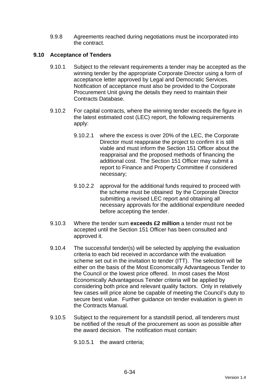9.9.8 Agreements reached during negotiations must be incorporated into the contract.

# **9.10 Acceptance of Tenders**

- 9.10.1 Subject to the relevant requirements a tender may be accepted as the winning tender by the appropriate Corporate Director using a form of acceptance letter approved by Legal and Democratic Services. Notification of acceptance must also be provided to the Corporate Procurement Unit giving the details they need to maintain their Contracts Database.
- 9.10.2 For capital contracts, where the winning tender exceeds the figure in the latest estimated cost (LEC) report, the following requirements apply:
	- 9.10.2.1 where the excess is over 20% of the LEC, the Corporate Director must reappraise the project to confirm it is still viable and must inform the Section 151 Officer about the reappraisal and the proposed methods of financing the additional cost. The Section 151 Officer may submit a report to Finance and Property Committee if considered necessary;
	- 9.10.2.2 approval for the additional funds required to proceed with the scheme must be obtained by the Corporate Director submitting a revised LEC report and obtaining all necessary approvals for the additional expenditure needed before accepting the tender.
- 9.10.3 Where the tender sum **exceeds £2 million** a tender must not be accepted until the Section 151 Officer has been consulted and approved it.
- 9.10.4 The successful tender(s) will be selected by applying the evaluation criteria to each bid received in accordance with the evaluation scheme set out in the invitation to tender (ITT). The selection will be either on the basis of the Most Economically Advantageous Tender to the Council or the lowest price offered. In most cases the Most Economically Advantageous Tender criteria will be applied by considering both price and relevant quality factors. Only in relatively few cases will price alone be capable of meeting the Council's duty to secure best value. Further guidance on tender evaluation is given in the Contracts Manual.
- 9.10.5 Subject to the requirement for a standstill period, all tenderers must be notified of the result of the procurement as soon as possible after the award decision. The notification must contain:

9.10.5.1 the award criteria;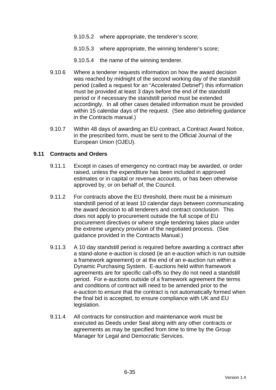- 9.10.5.2 where appropriate, the tenderer's score;
- 9.10.5.3 where appropriate, the winning tenderer's score;
- 9.10.5.4 the name of the winning tenderer.
- 9.10.6 Where a tenderer requests information on how the award decision was reached by midnight of the second working day of the standstill period (called a request for an "Accelerated Debrief") this information must be provided at least 3 days before the end of the standstill period or if necessary the standstill period must be extended accordingly. In all other cases detailed information must be provided within 15 calendar days of the request. (See also debriefing quidance in the Contracts manual.)
- 9.10.7 Within 48 days of awarding an EU contract, a Contract Award Notice, in the prescribed form, must be sent to the Official Journal of the European Union (OJEU).

#### **9.11 Contracts and Orders**

- 9.11.1 Except in cases of emergency no contract may be awarded, or order raised, unless the expenditure has been included in approved estimates or in capital or revenue accounts, or has been otherwise approved by, or on behalf of, the Council.
- 9.11.2 For contracts above the EU threshold, there must be a minimum standstill period of at least 10 calendar days between communicating the award decision to all tenderers and contract conclusion. This does not apply to procurement outside the full scope of EU procurement directives or where single tendering takes place under the extreme urgency provision of the negotiated process. (See guidance provided in the Contracts Manual.)
- 9.11.3 A 10 day standstill period is required before awarding a contract after a stand-alone e-auction is closed (ie an e-auction which is run outside a framework agreement) or at the end of an e-auction run within a Dynamic Purchasing System. E-auctions held within framework agreements are for specific call-offs so they do not need a standstill period. For e-auctions outside of a framework agreement the terms and conditions of contract will need to be amended prior to the e-auction to ensure that the contract is not automatically formed when the final bid is accepted, to ensure compliance with UK and EU legislation.
- 9.11.4 All contracts for construction and maintenance work must be executed as Deeds under Seal along with any other contracts or agreements as may be specified from time to time by the Group Manager for Legal and Democratic Services.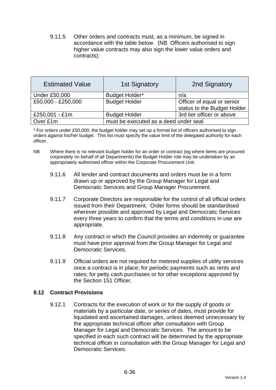9.11.5 Other orders and contracts must, as a minimum, be signed in accordance with the table below. (NB Officers authorised to sign higher value contracts may also sign the lower value orders and contracts):

| <b>Estimated Value</b> | <b>1st Signatory</b>                  | 2nd Signatory               |
|------------------------|---------------------------------------|-----------------------------|
| <b>Under £50,000</b>   | Budget Holder*                        | n/a                         |
| £50,000 - £250,000     | <b>Budget Holder</b>                  | Officer of equal or senior  |
|                        |                                       | status to the Budget Holder |
| £250,001 - £1m         | <b>Budget Holder</b>                  | 3rd tier officer or above   |
| Over £1m               | must be executed as a deed under seal |                             |

\* For orders under £50,000, the budget holder may set up a formal list of officers authorised to sign orders against his/her budget. This list must specify the value limit of the delegated authority for each officer.

- NB Where there is no relevant budget holder for an order or contract (eg where items are procured corporately on behalf of all Departments) the Budget Holder role may be undertaken by an appropriately authorised officer within the Corporate Procurement Unit.
	- 9.11.6 All tender and contract documents and orders must be in a form drawn up or approved by the Group Manager for Legal and Democratic Services and Group Manager Procurement.
	- 9.11.7 Corporate Directors are responsible for the control of all official orders issued from their Department. Order forms should be standardised wherever possible and approved by Legal and Democratic Services every three years to confirm that the terms and conditions in use are appropriate.
	- 9.11.8 Any contract in which the Council provides an indemnity or guarantee must have prior approval from the Group Manager for Legal and Democratic Services.
	- 9.11.9 Official orders are not required for metered supplies of utility services once a contract is in place; for periodic payments such as rents and rates; for petty cash purchases or for other exceptions approved by the Section 151 Officer.

### **9.12 Contract Provisions**

9.12.1 Contracts for the execution of work or for the supply of goods or materials by a particular date, or series of dates, must provide for liquidated and ascertained damages, unless deemed unnecessary by the appropriate technical officer after consultation with Group Manager for Legal and Democratic Services. The amount to be specified in each such contract will be determined by the appropriate technical officer in consultation with the Group Manager for Legal and Democratic Services.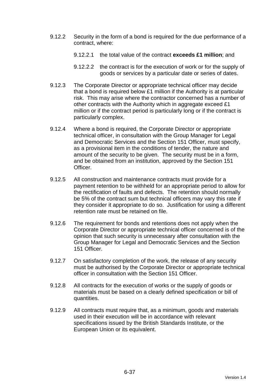- 9.12.2 Security in the form of a bond is required for the due performance of a contract, where:
	- 9.12.2.1 the total value of the contract **exceeds £1 million**; and
	- 9.12.2.2 the contract is for the execution of work or for the supply of goods or services by a particular date or series of dates.
- 9.12.3 The Corporate Director or appropriate technical officer may decide that a bond is required below £1 million if the Authority is at particular risk. This may arise where the contractor concerned has a number of other contracts with the Authority which in aggregate exceed £1 million or if the contract period is particularly long or if the contract is particularly complex.
- 9.12.4 Where a bond is required, the Corporate Director or appropriate technical officer, in consultation with the Group Manager for Legal and Democratic Services and the Section 151 Officer, must specify, as a provisional item in the conditions of tender, the nature and amount of the security to be given. The security must be in a form, and be obtained from an institution, approved by the Section 151 Officer.
- 9.12.5 All construction and maintenance contracts must provide for a payment retention to be withheld for an appropriate period to allow for the rectification of faults and defects. The retention should normally be 5% of the contract sum but technical officers may vary this rate if they consider it appropriate to do so. Justification for using a different retention rate must be retained on file.
- 9.12.6 The requirement for bonds and retentions does not apply when the Corporate Director or appropriate technical officer concerned is of the opinion that such security is unnecessary after consultation with the Group Manager for Legal and Democratic Services and the Section 151 Officer.
- 9.12.7 On satisfactory completion of the work, the release of any security must be authorised by the Corporate Director or appropriate technical officer in consultation with the Section 151 Officer.
- 9.12.8 All contracts for the execution of works or the supply of goods or materials must be based on a clearly defined specification or bill of quantities.
- 9.12.9 All contracts must require that, as a minimum, goods and materials used in their execution will be in accordance with relevant specifications issued by the British Standards Institute, or the European Union or its equivalent.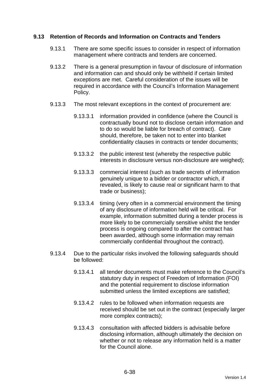### **9.13 Retention of Records and Information on Contracts and Tenders**

- 9.13.1 There are some specific issues to consider in respect of information management where contracts and tenders are concerned.
- 9.13.2 There is a general presumption in favour of disclosure of information and information can and should only be withheld if certain limited exceptions are met. Careful consideration of the issues will be required in accordance with the Council's Information Management Policy.
- 9.13.3 The most relevant exceptions in the context of procurement are:
	- 9.13.3.1 information provided in confidence (where the Council is contractually bound not to disclose certain information and to do so would be liable for breach of contract). Care should, therefore, be taken not to enter into blanket confidentiality clauses in contracts or tender documents;
	- 9.13.3.2 the public interest test (whereby the respective public interests in disclosure versus non-disclosure are weighed);
	- 9.13.3.3 commercial interest (such as trade secrets of information genuinely unique to a bidder or contractor which, if revealed, is likely to cause real or significant harm to that trade or business);
	- 9.13.3.4 timing (very often in a commercial environment the timing of any disclosure of information held will be critical. For example, information submitted during a tender process is more likely to be commercially sensitive whilst the tender process is ongoing compared to after the contract has been awarded, although some information may remain commercially confidential throughout the contract).
- 9.13.4 Due to the particular risks involved the following safeguards should be followed:
	- 9.13.4.1 all tender documents must make reference to the Council's statutory duty in respect of Freedom of Information (FOI) and the potential requirement to disclose information submitted unless the limited exceptions are satisfied;
	- 9.13.4.2 rules to be followed when information requests are received should be set out in the contract (especially larger more complex contracts);
	- 9.13.4.3 consultation with affected bidders is advisable before disclosing information, although ultimately the decision on whether or not to release any information held is a matter for the Council alone.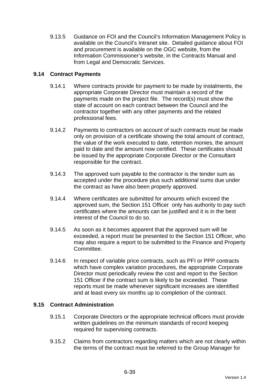9.13.5 Guidance on FOI and the Council's Information Management Policy is available on the Council's Intranet site. Detailed guidance about FOI and procurement is available on the OGC website, from the Information Commissioner's website, in the Contracts Manual and from Legal and Democratic Services.

# **9.14 Contract Payments**

- 9.14.1 Where contracts provide for payment to be made by instalments, the appropriate Corporate Director must maintain a record of the payments made on the project file. The record(s) must show the state of account on each contract between the Council and the contractor together with any other payments and the related professional fees.
- 9.14.2 Payments to contractors on account of such contracts must be made only on provision of a certificate showing the total amount of contract, the value of the work executed to date, retention monies, the amount paid to date and the amount now certified. These certificates should be issued by the appropriate Corporate Director or the Consultant responsible for the contract.
- 9.14.3 The approved sum payable to the contractor is the tender sum as accepted under the procedure plus such additional sums due under the contract as have also been properly approved.
- 9.14.4 Where certificates are submitted for amounts which exceed the approved sum, the Section 151 Officer only has authority to pay such certificates where the amounts can be justified and it is in the best interest of the Council to do so.
- 9.14.5 As soon as it becomes apparent that the approved sum will be exceeded, a report must be presented to the Section 151 Officer, who may also require a report to be submitted to the Finance and Property Committee.
- 9.14.6 In respect of variable price contracts, such as PFI or PPP contracts which have complex variation procedures, the appropriate Corporate Director must periodically review the cost and report to the Section 151 Officer if the contract sum is likely to be exceeded. These reports must be made whenever significant increases are identified and at least every six months up to completion of the contract.

### **9.15 Contract Administration**

- 9.15.1 Corporate Directors or the appropriate technical officers must provide written guidelines on the minimum standards of record keeping required for supervising contracts.
- 9.15.2 Claims from contractors regarding matters which are not clearly within the terms of the contract must be referred to the Group Manager for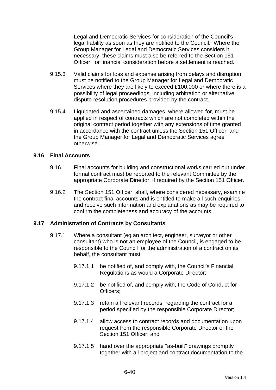Legal and Democratic Services for consideration of the Council's legal liability as soon as they are notified to the Council. Where the Group Manager for Legal and Democratic Services considers it necessary, these claims must also be referred to the Section 151 Officer for financial consideration before a settlement is reached.

- 9.15.3 Valid claims for loss and expense arising from delays and disruption must be notified to the Group Manager for Legal and Democratic Services where they are likely to exceed £100,000 or where there is a possibility of legal proceedings, including arbitration or alternative dispute resolution procedures provided by the contract.
- 9.15.4 Liquidated and ascertained damages, where allowed for, must be applied in respect of contracts which are not completed within the original contract period together with any extensions of time granted in accordance with the contract unless the Section 151 Officer and the Group Manager for Legal and Democratic Services agree otherwise.

#### **9.16 Final Accounts**

- 9.16.1 Final accounts for building and constructional works carried out under formal contract must be reported to the relevant Committee by the appropriate Corporate Director, if required by the Section 151 Officer.
- 9.16.2 The Section 151 Officer shall, where considered necessary, examine the contract final accounts and is entitled to make all such enquiries and receive such information and explanations as may be required to confirm the completeness and accuracy of the accounts.

### **9.17 Administration of Contracts by Consultants**

- 9.17.1 Where a consultant (eg an architect, engineer, surveyor or other consultant) who is not an employee of the Council, is engaged to be responsible to the Council for the administration of a contract on its behalf, the consultant must:
	- 9.17.1.1 be notified of, and comply with, the Council's Financial Regulations as would a Corporate Director;
	- 9.17.1.2 be notified of, and comply with, the Code of Conduct for Officers;
	- 9.17.1.3 retain all relevant records regarding the contract for a period specified by the responsible Corporate Director;
	- 9.17.1.4 allow access to contract records and documentation upon request from the responsible Corporate Director or the Section 151 Officer: and
	- 9.17.1.5 hand over the appropriate "as-built" drawings promptly together with all project and contract documentation to the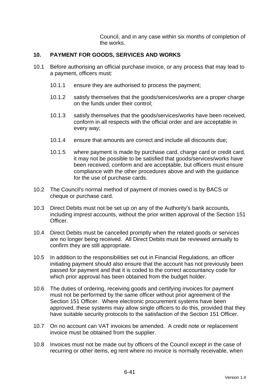Council, and in any case within six months of completion of the works.

### **10. PAYMENT FOR GOODS, SERVICES AND WORKS**

- 10.1 Before authorising an official purchase invoice, or any process that may lead to a payment, officers must:
	- 10.1.1 ensure they are authorised to process the payment;
	- 10.1.2 satisfy themselves that the goods/services/works are a proper charge on the funds under their control;
	- 10.1.3 satisfy themselves that the goods/services/works have been received, conform in all respects with the official order and are acceptable in every way;
	- 10.1.4 ensure that amounts are correct and include all discounts due;
	- 10.1.5 where payment is made by purchase card, charge card or credit card, it may not be possible to be satisfied that goods/services/works have been received, conform and are acceptable, but officers must ensure compliance with the other procedures above and with the guidance for the use of purchase cards.
- 10.2 The Council's normal method of payment of monies owed is by BACS or cheque or purchase card.
- 10.3 Direct Debits must not be set up on any of the Authority's bank accounts, including imprest accounts, without the prior written approval of the Section 151 Officer.
- 10.4 Direct Debits must be cancelled promptly when the related goods or services are no longer being received. All Direct Debits must be reviewed annually to confirm they are still appropriate.
- 10.5 In addition to the responsibilities set out in Financial Regulations, an officer initiating payment should also ensure that the account has not previously been passed for payment and that it is coded to the correct accountancy code for which prior approval has been obtained from the budget holder.
- 10.6 The duties of ordering, receiving goods and certifying invoices for payment must not be performed by the same officer without prior agreement of the Section 151 Officer. Where electronic procurement systems have been approved, these systems may allow single officers to do this, provided that they have suitable security protocols to the satisfaction of the Section 151 Officer.
- 10.7 On no account can VAT invoices be amended. A credit note or replacement invoice must be obtained from the supplier.
- 10.8 Invoices must not be made out by officers of the Council except in the case of recurring or other items, eg rent where no invoice is normally receivable, when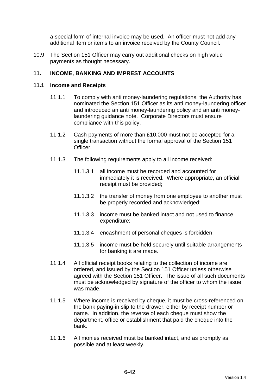a special form of internal invoice may be used. An officer must not add any additional item or items to an invoice received by the County Council.

10.9 The Section 151 Officer may carry out additional checks on high value payments as thought necessary.

### **11. INCOME, BANKING AND IMPREST ACCOUNTS**

#### **11.1 Income and Receipts**

- 11.1.1 To comply with anti money-laundering regulations, the Authority has nominated the Section 151 Officer as its anti money-laundering officer and introduced an anti money-laundering policy and an anti moneylaundering guidance note. Corporate Directors must ensure compliance with this policy.
- 11.1.2 Cash payments of more than £10,000 must not be accepted for a single transaction without the formal approval of the Section 151 Officer.
- 11.1.3 The following requirements apply to all income received:
	- 11.1.3.1 all income must be recorded and accounted for immediately it is received. Where appropriate, an official receipt must be provided;
	- 11.1.3.2 the transfer of money from one employee to another must be properly recorded and acknowledged;
	- 11.1.3.3 income must be banked intact and not used to finance expenditure;
	- 11.1.3.4 encashment of personal cheques is forbidden;
	- 11.1.3.5 income must be held securely until suitable arrangements for banking it are made.
- 11.1.4 All official receipt books relating to the collection of income are ordered, and issued by the Section 151 Officer unless otherwise agreed with the Section 151 Officer. The issue of all such documents must be acknowledged by signature of the officer to whom the issue was made.
- 11.1.5 Where income is received by cheque, it must be cross-referenced on the bank paying-in slip to the drawer, either by receipt number or name. In addition, the reverse of each cheque must show the department, office or establishment that paid the cheque into the bank.
- 11.1.6 All monies received must be banked intact, and as promptly as possible and at least weekly.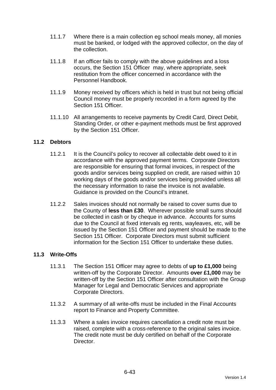- 11.1.7 Where there is a main collection eg school meals money, all monies must be banked, or lodged with the approved collector, on the day of the collection.
- 11.1.8 If an officer fails to comply with the above guidelines and a loss occurs, the Section 151 Officer may, where appropriate, seek restitution from the officer concerned in accordance with the Personnel Handbook.
- 11.1.9 Money received by officers which is held in trust but not being official Council money must be properly recorded in a form agreed by the Section 151 Officer
- 11.1.10 All arrangements to receive payments by Credit Card, Direct Debit, Standing Order, or other e-payment methods must be first approved by the Section 151 Officer.

### **11.2 Debtors**

- 11.2.1 It is the Council's policy to recover all collectable debt owed to it in accordance with the approved payment terms. Corporate Directors are responsible for ensuring that formal invoices, in respect of the goods and/or services being supplied on credit, are raised within 10 working days of the goods and/or services being provided unless all the necessary information to raise the invoice is not available. Guidance is provided on the Council's intranet.
- 11.2.2 Sales invoices should not normally be raised to cover sums due to the County of **less than £30**. Wherever possible small sums should be collected in cash or by cheque in advance. Accounts for sums due to the Council at fixed intervals eg rents, wayleaves, etc, will be issued by the Section 151 Officer and payment should be made to the Section 151 Officer. Corporate Directors must submit sufficient information for the Section 151 Officer to undertake these duties.

### **11.3 Write-Offs**

- 11.3.1 The Section 151 Officer may agree to debts of **up to £1,000** being written-off by the Corporate Director. Amounts **over £1,000** may be written-off by the Section 151 Officer after consultation with the Group Manager for Legal and Democratic Services and appropriate Corporate Directors.
- 11.3.2 A summary of all write-offs must be included in the Final Accounts report to Finance and Property Committee.
- 11.3.3 Where a sales invoice requires cancellation a credit note must be raised, complete with a cross-reference to the original sales invoice. The credit note must be duly certified on behalf of the Corporate Director.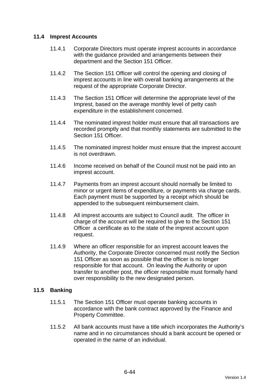### **11.4 Imprest Accounts**

- 11.4.1 Corporate Directors must operate imprest accounts in accordance with the guidance provided and arrangements between their department and the Section 151 Officer.
- 11.4.2 The Section 151 Officer will control the opening and closing of imprest accounts in line with overall banking arrangements at the request of the appropriate Corporate Director.
- 11.4.3 The Section 151 Officer will determine the appropriate level of the Imprest, based on the average monthly level of petty cash expenditure in the establishment concerned.
- 11.4.4 The nominated imprest holder must ensure that all transactions are recorded promptly and that monthly statements are submitted to the Section 151 Officer.
- 11.4.5 The nominated imprest holder must ensure that the imprest account is not overdrawn.
- 11.4.6 Income received on behalf of the Council must not be paid into an imprest account.
- 11.4.7 Payments from an imprest account should normally be limited to minor or urgent items of expenditure, or payments via charge cards. Each payment must be supported by a receipt which should be appended to the subsequent reimbursement claim.
- 11.4.8 All imprest accounts are subject to Council audit. The officer in charge of the account will be required to give to the Section 151 Officer a certificate as to the state of the imprest account upon request.
- 11.4.9 Where an officer responsible for an imprest account leaves the Authority, the Corporate Director concerned must notify the Section 151 Officer as soon as possible that the officer is no longer responsible for that account. On leaving the Authority or upon transfer to another post, the officer responsible must formally hand over responsibility to the new designated person.

### **11.5 Banking**

- 11.5.1 The Section 151 Officer must operate banking accounts in accordance with the bank contract approved by the Finance and Property Committee.
- 11.5.2 All bank accounts must have a title which incorporates the Authority's name and in no circumstances should a bank account be opened or operated in the name of an individual.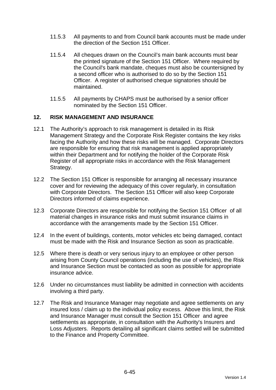- 11.5.3 All payments to and from Council bank accounts must be made under the direction of the Section 151 Officer.
- 11.5.4 All cheques drawn on the Council's main bank accounts must bear the printed signature of the Section 151 Officer. Where required by the Council's bank mandate, cheques must also be countersigned by a second officer who is authorised to do so by the Section 151 Officer. A register of authorised cheque signatories should be maintained.
- 11.5.5 All payments by CHAPS must be authorised by a senior officer nominated by the Section 151 Officer.

### **12. RISK MANAGEMENT AND INSURANCE**

- 12.1 The Authority's approach to risk management is detailed in its Risk Management Strategy and the Corporate Risk Register contains the key risks facing the Authority and how these risks will be managed. Corporate Directors are responsible for ensuring that risk management is applied appropriately within their Department and for notifying the holder of the Corporate Risk Register of all appropriate risks in accordance with the Risk Management Strategy.
- 12.2 The Section 151 Officer is responsible for arranging all necessary insurance cover and for reviewing the adequacy of this cover regularly, in consultation with Corporate Directors. The Section 151 Officer will also keep Corporate Directors informed of claims experience.
- 12.3 Corporate Directors are responsible for notifying the Section 151 Officer of all material changes in insurance risks and must submit insurance claims in accordance with the arrangements made by the Section 151 Officer.
- 12.4 In the event of buildings, contents, motor vehicles etc being damaged, contact must be made with the Risk and Insurance Section as soon as practicable.
- 12.5 Where there is death or very serious injury to an employee or other person arising from County Council operations (including the use of vehicles), the Risk and Insurance Section must be contacted as soon as possible for appropriate insurance advice.
- 12.6 Under no circumstances must liability be admitted in connection with accidents involving a third party.
- 12.7 The Risk and Insurance Manager may negotiate and agree settlements on any insured loss / claim up to the individual policy excess. Above this limit, the Risk and Insurance Manager must consult the Section 151 Officer and agree settlements as appropriate, in consultation with the Authority's Insurers and Loss Adjusters. Reports detailing all significant claims settled will be submitted to the Finance and Property Committee.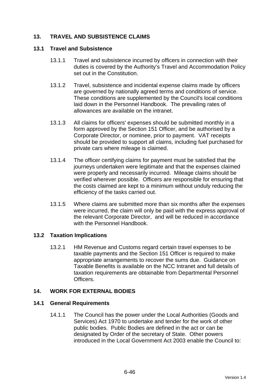# **13. TRAVEL AND SUBSISTENCE CLAIMS**

#### **13.1 Travel and Subsistence**

- 13.1.1 Travel and subsistence incurred by officers in connection with their duties is covered by the Authority's Travel and Accommodation Policy set out in the Constitution.
- 13.1.2 Travel, subsistence and incidental expense claims made by officers are governed by nationally agreed terms and conditions of service. These conditions are supplemented by the Council's local conditions laid down in the Personnel Handbook. The prevailing rates of allowances are available on the intranet.
- 13.1.3 All claims for officers' expenses should be submitted monthly in a form approved by the Section 151 Officer, and be authorised by a Corporate Director, or nominee, prior to payment. VAT receipts should be provided to support all claims, including fuel purchased for private cars where mileage is claimed.
- 13.1.4 The officer certifying claims for payment must be satisfied that the journeys undertaken were legitimate and that the expenses claimed were properly and necessarily incurred. Mileage claims should be verified wherever possible. Officers are responsible for ensuring that the costs claimed are kept to a minimum without unduly reducing the efficiency of the tasks carried out.
- 13.1.5 Where claims are submitted more than six months after the expenses were incurred, the claim will only be paid with the express approval of the relevant Corporate Director, and will be reduced in accordance with the Personnel Handbook.

### **13.2 Taxation Implications**

13.2.1 HM Revenue and Customs regard certain travel expenses to be taxable payments and the Section 151 Officer is required to make appropriate arrangements to recover the sums due. Guidance on Taxable Benefits is available on the NCC Intranet and full details of taxation requirements are obtainable from Departmental Personnel **Officers** 

### **14. WORK FOR EXTERNAL BODIES**

### **14.1 General Requirements**

14.1.1 The Council has the power under the Local Authorities (Goods and Services) Act 1970 to undertake and tender for the work of other public bodies. Public Bodies are defined in the act or can be designated by Order of the secretary of State. Other powers introduced in the Local Government Act 2003 enable the Council to: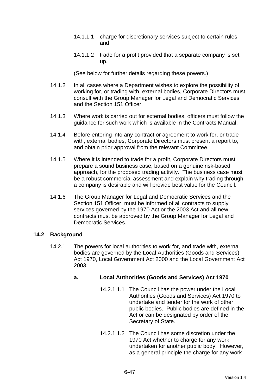- 14.1.1.1 charge for discretionary services subject to certain rules; and
- 14.1.1.2 trade for a profit provided that a separate company is set up.

(See below for further details regarding these powers.)

- 14.1.2 In all cases where a Department wishes to explore the possibility of working for, or trading with, external bodies, Corporate Directors must consult with the Group Manager for Legal and Democratic Services and the Section 151 Officer.
- 14.1.3 Where work is carried out for external bodies, officers must follow the guidance for such work which is available in the Contracts Manual.
- 14.1.4 Before entering into any contract or agreement to work for, or trade with, external bodies, Corporate Directors must present a report to, and obtain prior approval from the relevant Committee.
- 14.1.5 Where it is intended to trade for a profit, Corporate Directors must prepare a sound business case, based on a genuine risk-based approach, for the proposed trading activity. The business case must be a robust commercial assessment and explain why trading through a company is desirable and will provide best value for the Council.
- 14.1.6 The Group Manager for Legal and Democratic Services and the Section 151 Officer must be informed of all contracts to supply services governed by the 1970 Act or the 2003 Act and all new contracts must be approved by the Group Manager for Legal and Democratic Services.

### **14.2 Background**

14.2.1 The powers for local authorities to work for, and trade with, external bodies are governed by the Local Authorities (Goods and Services) Act 1970, Local Government Act 2000 and the Local Government Act 2003.

# **a. Local Authorities (Goods and Services) Act 1970**

- 14.2.1.1.1 The Council has the power under the Local Authorities (Goods and Services) Act 1970 to undertake and tender for the work of other public bodies. Public bodies are defined in the Act or can be designated by order of the Secretary of State.
- 14.2.1.1.2 The Council has some discretion under the 1970 Act whether to charge for any work undertaken for another public body. However, as a general principle the charge for any work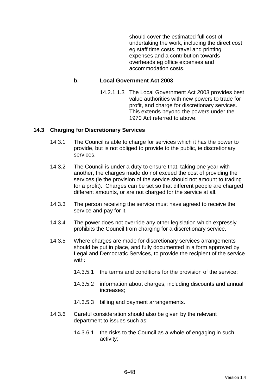should cover the estimated full cost of undertaking the work, including the direct cost eg staff time costs, travel and printing expenses and a contribution towards overheads eg office expenses and accommodation costs.

### **b. Local Government Act 2003**

14.2.1.1.3 The Local Government Act 2003 provides best value authorities with new powers to trade for profit, and charge for discretionary services. This extends beyond the powers under the 1970 Act referred to above.

#### **14.3 Charging for Discretionary Services**

- 14.3.1 The Council is able to charge for services which it has the power to provide, but is not obliged to provide to the public, ie discretionary services.
- 14.3.2 The Council is under a duty to ensure that, taking one year with another, the charges made do not exceed the cost of providing the services (ie the provision of the service should not amount to trading for a profit). Charges can be set so that different people are charged different amounts, or are not charged for the service at all.
- 14.3.3 The person receiving the service must have agreed to receive the service and pay for it.
- 14.3.4 The power does not override any other legislation which expressly prohibits the Council from charging for a discretionary service.
- 14.3.5 Where charges are made for discretionary services arrangements should be put in place, and fully documented in a form approved by Legal and Democratic Services, to provide the recipient of the service with:
	- 14.3.5.1 the terms and conditions for the provision of the service;
	- 14.3.5.2 information about charges, including discounts and annual increases;
	- 14.3.5.3 billing and payment arrangements.
- 14.3.6 Careful consideration should also be given by the relevant department to issues such as:
	- 14.3.6.1 the risks to the Council as a whole of engaging in such activity;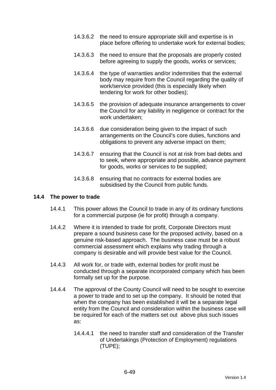- 14.3.6.2 the need to ensure appropriate skill and expertise is in place before offering to undertake work for external bodies;
- 14.3.6.3 the need to ensure that the proposals are properly costed before agreeing to supply the goods, works or services;
- 14.3.6.4 the type of warranties and/or indemnities that the external body may require from the Council regarding the quality of work/service provided (this is especially likely when tendering for work for other bodies);
- 14.3.6.5 the provision of adequate insurance arrangements to cover the Council for any liability in negligence or contract for the work undertaken;
- 14.3.6.6 due consideration being given to the impact of such arrangements on the Council's core duties, functions and obligations to prevent any adverse impact on them;
- 14.3.6.7 ensuring that the Council is not at risk from bad debts and to seek, where appropriate and possible, advance payment for goods, works or services to be supplied;
- 14.3.6.8 ensuring that no contracts for external bodies are subsidised by the Council from public funds.

#### **14.4 The power to trade**

- 14.4.1 This power allows the Council to trade in any of its ordinary functions for a commercial purpose (ie for profit) through a company.
- 14.4.2 Where it is intended to trade for profit, Corporate Directors must prepare a sound business case for the proposed activity, based on a genuine risk-based approach. The business case must be a robust commercial assessment which explains why trading through a company is desirable and will provide best value for the Council.
- 14.4.3 All work for, or trade with, external bodies for profit must be conducted through a separate incorporated company which has been formally set up for the purpose.
- 14.4.4 The approval of the County Council will need to be sought to exercise a power to trade and to set up the company. It should be noted that when the company has been established it will be a separate legal entity from the Council and consideration within the business case will be required for each of the matters set out above plus such issues as:
	- 14.4.4.1 the need to transfer staff and consideration of the Transfer of Undertakings (Protection of Employment) regulations (TUPE);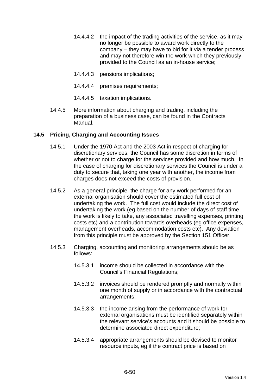- 14.4.4.2 the impact of the trading activities of the service, as it may no longer be possible to award work directly to the company – they may have to bid for it via a tender process and may not therefore win the work which they previously provided to the Council as an in-house service;
- 14.4.4.3 pensions implications;
- 14.4.4.4 premises requirements;
- 14.4.4.5 taxation implications.
- 14.4.5 More information about charging and trading, including the preparation of a business case, can be found in the Contracts Manual.

### **14.5 Pricing, Charging and Accounting Issues**

- 14.5.1 Under the 1970 Act and the 2003 Act in respect of charging for discretionary services, the Council has some discretion in terms of whether or not to charge for the services provided and how much. In the case of charging for discretionary services the Council is under a duty to secure that, taking one year with another, the income from charges does not exceed the costs of provision.
- 14.5.2 As a general principle, the charge for any work performed for an external organisation should cover the estimated full cost of undertaking the work. The full cost would include the direct cost of undertaking the work (eg based on the number of days of staff time the work is likely to take, any associated travelling expenses, printing costs etc) and a contribution towards overheads (eg office expenses, management overheads, accommodation costs etc). Any deviation from this principle must be approved by the Section 151 Officer.
- 14.5.3 Charging, accounting and monitoring arrangements should be as follows:
	- 14.5.3.1 income should be collected in accordance with the Council's Financial Regulations;
	- 14.5.3.2 invoices should be rendered promptly and normally within one month of supply or in accordance with the contractual arrangements;
	- 14.5.3.3 the income arising from the performance of work for external organisations must be identified separately within the relevant service's accounts and it should be possible to determine associated direct expenditure;
	- 14.5.3.4 appropriate arrangements should be devised to monitor resource inputs, eg if the contract price is based on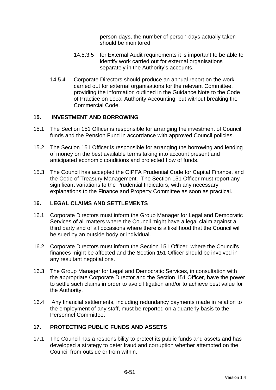person-days, the number of person-days actually taken should be monitored;

- 14.5.3.5 for External Audit requirements it is important to be able to identify work carried out for external organisations separately in the Authority's accounts.
- 14.5.4 Corporate Directors should produce an annual report on the work carried out for external organisations for the relevant Committee, providing the information outlined in the Guidance Note to the Code of Practice on Local Authority Accounting, but without breaking the Commercial Code.

### **15. INVESTMENT AND BORROWING**

- 15.1 The Section 151 Officer is responsible for arranging the investment of Council funds and the Pension Fund in accordance with approved Council policies.
- 15.2 The Section 151 Officer is responsible for arranging the borrowing and lending of money on the best available terms taking into account present and anticipated economic conditions and projected flow of funds.
- 15.3 The Council has accepted the CIPFA Prudential Code for Capital Finance, and the Code of Treasury Management. The Section 151 Officer must report any significant variations to the Prudential Indicators, with any necessary explanations to the Finance and Property Committee as soon as practical.

### **16. LEGAL CLAIMS AND SETTLEMENTS**

- 16.1 Corporate Directors must inform the Group Manager for Legal and Democratic Services of all matters where the Council might have a legal claim against a third party and of all occasions where there is a likelihood that the Council will be sued by an outside body or individual.
- 16.2 Corporate Directors must inform the Section 151 Officer where the Council's finances might be affected and the Section 151 Officer should be involved in any resultant negotiations.
- 16.3 The Group Manager for Legal and Democratic Services, in consultation with the appropriate Corporate Director and the Section 151 Officer, have the power to settle such claims in order to avoid litigation and/or to achieve best value for the Authority.
- 16.4 Any financial settlements, including redundancy payments made in relation to the employment of any staff, must be reported on a quarterly basis to the Personnel Committee.

### **17. PROTECTING PUBLIC FUNDS AND ASSETS**

17.1 The Council has a responsibility to protect its public funds and assets and has developed a strategy to deter fraud and corruption whether attempted on the Council from outside or from within.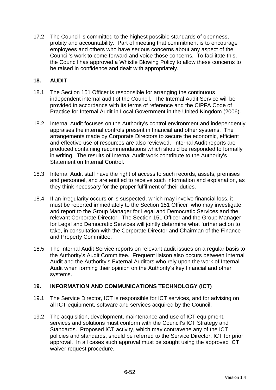17.2 The Council is committed to the highest possible standards of openness, probity and accountability. Part of meeting that commitment is to encourage employees and others who have serious concerns about any aspect of the Council's work to come forward and voice those concerns. To facilitate this, the Council has approved a Whistle Blowing Policy to allow these concerns to be raised in confidence and dealt with appropriately.

### **18. AUDIT**

- 18.1 The Section 151 Officer is responsible for arranging the continuous independent internal audit of the Council. The Internal Audit Service will be provided in accordance with its terms of reference and the CIPFA Code of Practice for Internal Audit in Local Government in the United Kingdom (2006).
- 18.2 Internal Audit focuses on the Authority's control environment and independently appraises the internal controls present in financial and other systems. The arrangements made by Corporate Directors to secure the economic, efficient and effective use of resources are also reviewed. Internal Audit reports are produced containing recommendations which should be responded to formally in writing. The results of Internal Audit work contribute to the Authority's Statement on Internal Control.
- 18.3 Internal Audit staff have the right of access to such records, assets, premises and personnel, and are entitled to receive such information and explanation, as they think necessary for the proper fulfilment of their duties.
- 18.4 If an irregularity occurs or is suspected, which may involve financial loss, it must be reported immediately to the Section 151 Officer who may investigate and report to the Group Manager for Legal and Democratic Services and the relevant Corporate Director. The Section 151 Officer and the Group Manager for Legal and Democratic Services will jointly determine what further action to take, in consultation with the Corporate Director and Chairman of the Finance and Property Committee.
- 18.5 The Internal Audit Service reports on relevant audit issues on a regular basis to the Authority's Audit Committee. Frequent liaison also occurs between Internal Audit and the Authority's External Auditors who rely upon the work of Internal Audit when forming their opinion on the Authority's key financial and other systems.

# **19. INFORMATION AND COMMUNICATIONS TECHNOLOGY (ICT)**

- 19.1 The Service Director, ICT is responsible for ICT services, and for advising on all ICT equipment, software and services acquired by the Council.
- 19.2 The acquisition, development, maintenance and use of ICT equipment, services and solutions must conform with the Council's ICT Strategy and Standards. Proposed ICT activity, which may contravene any of the ICT policies and standards, should be referred to the Service Director, ICT for prior approval. In all cases such approval must be sought using the approved ICT waiver request procedure.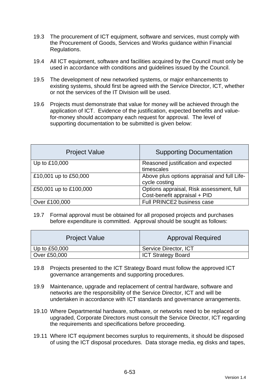- 19.3 The procurement of ICT equipment, software and services, must comply with the Procurement of Goods, Services and Works guidance within Financial Regulations.
- 19.4 All ICT equipment, software and facilities acquired by the Council must only be used in accordance with conditions and guidelines issued by the Council.
- 19.5 The development of new networked systems, or major enhancements to existing systems, should first be agreed with the Service Director, ICT, whether or not the services of the IT Division will be used.
- 19.6 Projects must demonstrate that value for money will be achieved through the application of ICT. Evidence of the justification, expected benefits and valuefor-money should accompany each request for approval. The level of supporting documentation to be submitted is given below:

| <b>Project Value</b>   | <b>Supporting Documentation</b>                                          |
|------------------------|--------------------------------------------------------------------------|
| Up to £10,000          | Reasoned justification and expected<br>timescales                        |
| £10,001 up to £50,000  | Above plus options appraisal and full Life-<br>cycle costing             |
| £50,001 up to £100,000 | Options appraisal, Risk assessment, full<br>Cost-benefit appraisal + PID |
| Over £100,000          | Full PRINCE2 business case                                               |

19.7 Formal approval must be obtained for all proposed projects and purchases before expenditure is committed. Approval should be sought as follows:

| <b>Project Value</b> | <b>Approval Required</b>  |
|----------------------|---------------------------|
| Up to $£50,000$      | Service Director, ICT     |
| Over £50,000         | <b>ICT Strategy Board</b> |

- 19.8 Projects presented to the ICT Strategy Board must follow the approved ICT governance arrangements and supporting procedures.
- 19.9 Maintenance, upgrade and replacement of central hardware, software and networks are the responsibility of the Service Director, ICT and will be undertaken in accordance with ICT standards and governance arrangements.
- 19.10 Where Departmental hardware, software, or networks need to be replaced or upgraded, Corporate Directors must consult the Service Director, ICT regarding the requirements and specifications before proceeding.
- 19.11 Where ICT equipment becomes surplus to requirements, it should be disposed of using the ICT disposal procedures. Data storage media, eg disks and tapes,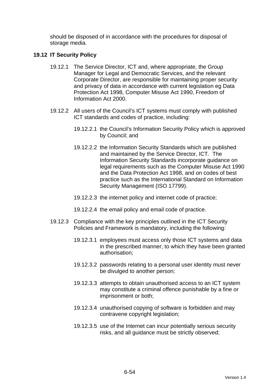should be disposed of in accordance with the procedures for disposal of storage media.

### **19.12 IT Security Policy**

- 19.12.1 The Service Director, ICT and, where appropriate, the Group Manager for Legal and Democratic Services, and the relevant Corporate Director, are responsible for maintaining proper security and privacy of data in accordance with current legislation eg Data Protection Act 1998, Computer Misuse Act 1990, Freedom of Information Act 2000.
- 19.12.2 All users of the Council's ICT systems must comply with published ICT standards and codes of practice, including:
	- 19.12.2.1 the Council's Information Security Policy which is approved by Council; and
	- 19.12.2.2 the Information Security Standards which are published and maintained by the Service Director, ICT. The Information Security Standards incorporate guidance on legal requirements such as the Computer Misuse Act 1990 and the Data Protection Act 1998, and on codes of best practice such as the International Standard on Information Security Management (ISO 17799).
	- 19.12.2.3 the internet policy and internet code of practice;
	- 19.12.2.4 the email policy and email code of practice.
- 19.12.3 Compliance with the key principles outlined in the ICT Security Policies and Framework is mandatory, including the following:
	- 19.12.3.1 employees must access only those ICT systems and data in the prescribed manner, to which they have been granted authorisation;
	- 19.12.3.2 passwords relating to a personal user identity must never be divulged to another person;
	- 19.12.3.3 attempts to obtain unauthorised access to an ICT system may constitute a criminal offence punishable by a fine or imprisonment or both;
	- 19.12.3.4 unauthorised copying of software is forbidden and may contravene copyright legislation;
	- 19.12.3.5 use of the Internet can incur potentially serious security risks, and all guidance must be strictly observed;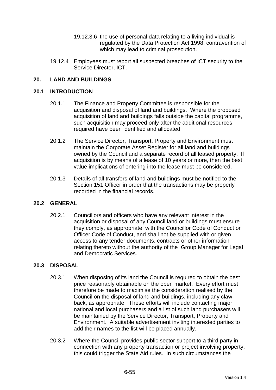- 19.12.3.6 the use of personal data relating to a living individual is regulated by the Data Protection Act 1998, contravention of which may lead to criminal prosecution.
- 19.12.4 Employees must report all suspected breaches of ICT security to the Service Director, ICT.

# **20. LAND AND BUILDINGS**

#### **20.1 INTRODUCTION**

- 20.1.1 The Finance and Property Committee is responsible for the acquisition and disposal of land and buildings. Where the proposed acquisition of land and buildings falls outside the capital programme, such acquisition may proceed only after the additional resources required have been identified and allocated.
- 20.1.2 The Service Director, Transport, Property and Environment must maintain the Corporate Asset Register for all land and buildings owned by the Council and a separate record of all leased property. If acquisition is by means of a lease of 10 years or more, then the best value implications of entering into the lease must be considered.
- 20.1.3 Details of all transfers of land and buildings must be notified to the Section 151 Officer in order that the transactions may be properly recorded in the financial records.

### **20.2 GENERAL**

20.2.1 Councillors and officers who have any relevant interest in the acquisition or disposal of any Council land or buildings must ensure they comply, as appropriate, with the Councillor Code of Conduct or Officer Code of Conduct, and shall not be supplied with or given access to any tender documents, contracts or other information relating thereto without the authority of the Group Manager for Legal and Democratic Services.

#### **20.3 DISPOSAL**

- 20.3.1 When disposing of its land the Council is required to obtain the best price reasonably obtainable on the open market. Every effort must therefore be made to maximise the consideration realised by the Council on the disposal of land and buildings, including any clawback, as appropriate. These efforts will include contacting major national and local purchasers and a list of such land purchasers will be maintained by the Service Director, Transport, Property and Environment. A suitable advertisement inviting interested parties to add their names to the list will be placed annually.
- 20.3.2 Where the Council provides public sector support to a third party in connection with any property transaction or project involving property, this could trigger the State Aid rules. In such circumstances the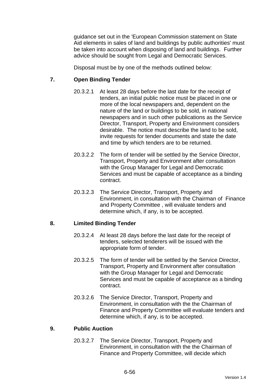guidance set out in the 'European Commission statement on State Aid elements in sales of land and buildings by public authorities' must be taken into account when disposing of land and buildings. Further advice should be sought from Legal and Democratic Services.

Disposal must be by one of the methods outlined below:

### **7. Open Binding Tender**

- 20.3.2.1 At least 28 days before the last date for the receipt of tenders, an initial public notice must be placed in one or more of the local newspapers and, dependent on the nature of the land or buildings to be sold, in national newspapers and in such other publications as the Service Director, Transport, Property and Environment considers desirable. The notice must describe the land to be sold, invite requests for tender documents and state the date and time by which tenders are to be returned.
- 20.3.2.2 The form of tender will be settled by the Service Director, Transport, Property and Environment after consultation with the Group Manager for Legal and Democratic Services and must be capable of acceptance as a binding contract.
- 20.3.2.3 The Service Director, Transport, Property and Environment, in consultation with the Chairman of Finance and Property Committee , will evaluate tenders and determine which, if any, is to be accepted.

### **8. Limited Binding Tender**

- 20.3.2.4 At least 28 days before the last date for the receipt of tenders, selected tenderers will be issued with the appropriate form of tender.
- 20.3.2.5 The form of tender will be settled by the Service Director, Transport, Property and Environment after consultation with the Group Manager for Legal and Democratic Services and must be capable of acceptance as a binding contract.
- 20.3.2.6 The Service Director, Transport, Property and Environment, in consultation with the the Chairman of Finance and Property Committee will evaluate tenders and determine which, if any, is to be accepted.

### **9. Public Auction**

20.3.2.7 The Service Director, Transport, Property and Environment, in consultation with the the Chairman of Finance and Property Committee, will decide which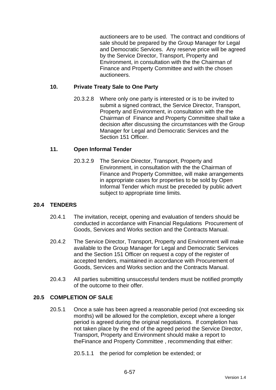auctioneers are to be used. The contract and conditions of sale should be prepared by the Group Manager for Legal and Democratic Services. Any reserve price will be agreed by the Service Director, Transport, Property and Environment, in consultation with the the Chairman of Finance and Property Committee and with the chosen auctioneers.

# **10. Private Treaty Sale to One Party**

20.3.2.8 Where only one party is interested or is to be invited to submit a signed contract, the Service Director, Transport, Property and Environment, in consultation with the the Chairman of Finance and Property Committee shall take a decision after discussing the circumstances with the Group Manager for Legal and Democratic Services and the Section 151 Officer.

### **11. Open Informal Tender**

20.3.2.9 The Service Director, Transport, Property and Environment, in consultation with the the Chairman of Finance and Property Committee, will make arrangements in appropriate cases for properties to be sold by Open Informal Tender which must be preceded by public advert subject to appropriate time limits.

# **20.4 TENDERS**

- 20.4.1 The invitation, receipt, opening and evaluation of tenders should be conducted in accordance with Financial Regulations Procurement of Goods, Services and Works section and the Contracts Manual.
- 20.4.2 The Service Director, Transport, Property and Environment will make available to the Group Manager for Legal and Democratic Services and the Section 151 Officer on request a copy of the register of accepted tenders, maintained in accordance with Procurement of Goods, Services and Works section and the Contracts Manual.
- 20.4.3 All parties submitting unsuccessful tenders must be notified promptly of the outcome to their offer.

### **20.5 COMPLETION OF SALE**

20.5.1 Once a sale has been agreed a reasonable period (not exceeding six months) will be allowed for the completion, except where a longer period is agreed during the original negotiations. If completion has not taken place by the end of the agreed period the Service Director, Transport, Property and Environment should make a report to theFinance and Property Committee , recommending that either:

20.5.1.1 the period for completion be extended; or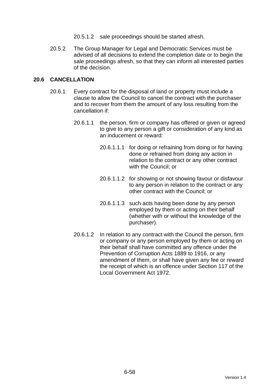- 20.5.1.2 sale proceedings should be started afresh.
- 20.5.2 The Group Manager for Legal and Democratic Services must be advised of all decisions to extend the completion date or to begin the sale proceedings afresh, so that they can inform all interested parties of the decision.

### **20.6 CANCELLATION**

- 20.6.1 Every contract for the disposal of land or property must include a clause to allow the Council to cancel the contract with the purchaser and to recover from them the amount of any loss resulting from the cancellation if:
	- 20.6.1.1 the person, firm or company has offered or given or agreed to give to any person a gift or consideration of any kind as an inducement or reward:
		- 20.6.1.1.1 for doing or refraining from doing or for having done or refrained from doing any action in relation to the contract or any other contract with the Council; or
		- 20.6.1.1.2 for showing or not showing favour or disfavour to any person in relation to the contract or any other contract with the Council; or
		- 20.6.1.1.3 such acts having been done by any person employed by them or acting on their behalf (whether with or without the knowledge of the purchaser).
	- 20.6.1.2 In relation to any contract with the Council the person, firm or company or any person employed by them or acting on their behalf shall have committed any offence under the Prevention of Corruption Acts 1889 to 1916, or any amendment of them, or shall have given any fee or reward the receipt of which is an offence under Section 117 of the Local Government Act 1972.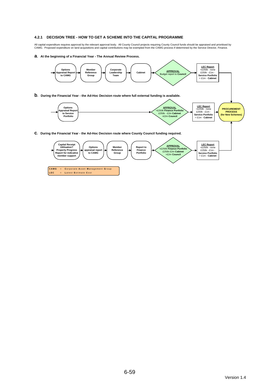#### **4.2.1 DECISION TREE - HOW TO GET A SCHEME INTO THE CAPITAL PROGRAMME**

All capital expenditure requires approval by the relevant approval body. All County Council projects requiring County Council funds should be appraised and prioritised by<br>CAMG. Proposed expenditure on land acquisitions an

**a. At the beginning of a Financial Year - The Annual Review Process.**

**LEC** = **L** atest **E** stimate **C** ost

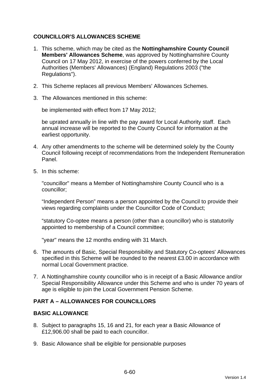# **COUNCILLOR'S ALLOWANCES SCHEME**

- 1. This scheme, which may be cited as the **Nottinghamshire County Council Members' Allowances Scheme**, was approved by Nottinghamshire County Council on 17 May 2012, in exercise of the powers conferred by the Local Authorities (Members' Allowances) (England) Regulations 2003 ("the Regulations").
- 2. This Scheme replaces all previous Members' Allowances Schemes.
- 3. The Allowances mentioned in this scheme:

be implemented with effect from 17 May 2012;

be uprated annually in line with the pay award for Local Authority staff. Each annual increase will be reported to the County Council for information at the earliest opportunity.

- 4. Any other amendments to the scheme will be determined solely by the County Council following receipt of recommendations from the Independent Remuneration Panel.
- 5. In this scheme:

"councillor" means a Member of Nottinghamshire County Council who is a councillor;

"Independent Person" means a person appointed by the Council to provide their views regarding complaints under the Councillor Code of Conduct;

"statutory Co-optee means a person (other than a councillor) who is statutorily appointed to membership of a Council committee;

"year" means the 12 months ending with 31 March.

- 6. The amounts of Basic, Special Responsibility and Statutory Co-optees' Allowances specified in this Scheme will be rounded to the nearest £3.00 in accordance with normal Local Government practice.
- 7. A Nottinghamshire county councillor who is in receipt of a Basic Allowance and/or Special Responsibility Allowance under this Scheme and who is under 70 years of age is eligible to join the Local Government Pension Scheme.

# **PART A – ALLOWANCES FOR COUNCILLORS**

### **BASIC ALLOWANCE**

- 8. Subject to paragraphs 15, 16 and 21, for each year a Basic Allowance of £12,906.00 shall be paid to each councillor.
- 9. Basic Allowance shall be eligible for pensionable purposes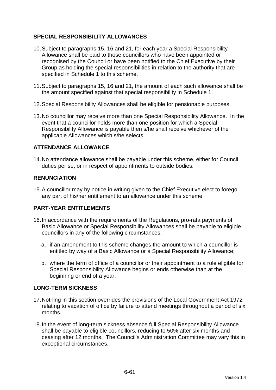# **SPECIAL RESPONSIBILITY ALLOWANCES**

- 10. Subject to paragraphs 15, 16 and 21, for each year a Special Responsibility Allowance shall be paid to those councillors who have been appointed or recognised by the Council or have been notified to the Chief Executive by their Group as holding the special responsibilities in relation to the authority that are specified in Schedule 1 to this scheme.
- 11. Subject to paragraphs 15, 16 and 21, the amount of each such allowance shall be the amount specified against that special responsibility in Schedule 1.
- 12. Special Responsibility Allowances shall be eligible for pensionable purposes.
- 13. No councillor may receive more than one Special Responsibility Allowance. In the event that a councillor holds more than one position for which a Special Responsibility Allowance is payable then s/he shall receive whichever of the applicable Allowances which s/he selects.

### **ATTENDANCE ALLOWANCE**

14. No attendance allowance shall be payable under this scheme, either for Council duties per se, or in respect of appointments to outside bodies.

### **RENUNCIATION**

15. A councillor may by notice in writing given to the Chief Executive elect to forego any part of his/her entitlement to an allowance under this scheme.

# **PART-YEAR ENTITLEMENTS**

- 16. In accordance with the requirements of the Regulations, pro-rata payments of Basic Allowance or Special Responsibility Allowances shall be payable to eligible councillors in any of the following circumstances:
	- a. if an amendment to this scheme changes the amount to which a councillor is entitled by way of a Basic Allowance or a Special Responsibility Allowance;
	- b. where the term of office of a councillor or their appointment to a role eligible for Special Responsibility Allowance begins or ends otherwise than at the beginning or end of a year.

# **LONG-TERM SICKNESS**

- 17. Nothing in this section overrides the provisions of the Local Government Act 1972 relating to vacation of office by failure to attend meetings throughout a period of six months.
- 18. In the event of long-term sickness absence full Special Responsibility Allowance shall be payable to eligible councillors, reducing to 50% after six months and ceasing after 12 months. The Council's Administration Committee may vary this in exceptional circumstances.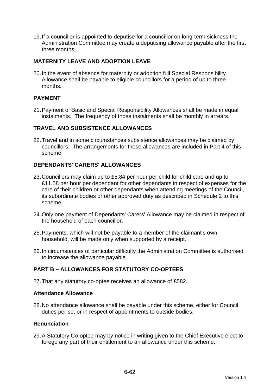19. If a councillor is appointed to deputise for a councillor on long-term sickness the Administration Committee may create a deputising allowance payable after the first three months.

# **MATERNITY LEAVE AND ADOPTION LEAVE**

20. In the event of absence for maternity or adoption full Special Responsibility Allowance shall be payable to eligible councillors for a period of up to three months.

### **PAYMENT**

21. Payment of Basic and Special Responsibility Allowances shall be made in equal instalments. The frequency of those instalments shall be monthly in arrears.

### **TRAVEL AND SUBSISTENCE ALLOWANCES**

22. Travel and in some circumstances subsistence allowances may be claimed by councillors. The arrangements for these allowances are included in Part 4 of this scheme.

### **DEPENDANTS' CARERS' ALLOWANCES**

- 23. Councillors may claim up to £5.84 per hour per child for child care and up to £11.58 per hour per dependant for other dependants in respect of expenses for the care of their children or other dependants when attending meetings of the Council, its subordinate bodies or other approved duty as described in Schedule 2 to this scheme.
- 24. Only one payment of Dependants' Carers' Allowance may be claimed in respect of the household of each councillor.
- 25. Payments, which will not be payable to a member of the claimant's own household, will be made only when supported by a receipt.
- 26. In circumstances of particular difficulty the Administration Committee is authorised to increase the allowance payable.

# **PART B – ALLOWANCES FOR STATUTORY CO-OPTEES**

27. That any statutory co-optee receives an allowance of £582.

#### **Attendance Allowance**

28. No attendance allowance shall be payable under this scheme, either for Council duties per se, or in respect of appointments to outside bodies.

### **Renunciation**

29. A Statutory Co-optee may by notice in writing given to the Chief Executive elect to forego any part of their entitlement to an allowance under this scheme.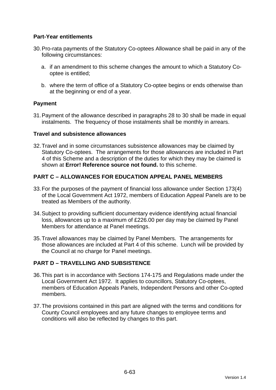# **Part-Year entitlements**

- 30. Pro-rata payments of the Statutory Co-optees Allowance shall be paid in any of the following circumstances:
	- a. if an amendment to this scheme changes the amount to which a Statutory Cooptee is entitled;
	- b. where the term of office of a Statutory Co-optee begins or ends otherwise than at the beginning or end of a year.

### **Payment**

31. Payment of the allowance described in paragraphs 28 to 30 shall be made in equal instalments. The frequency of those instalments shall be monthly in arrears.

### **Travel and subsistence allowances**

32. Travel and in some circumstances subsistence allowances may be claimed by Statutory Co-optees. The arrangements for those allowances are included in Part 4 of this Scheme and a description of the duties for which they may be claimed is shown at **Error! Reference source not found.** to this scheme.

### **PART C – ALLOWANCES FOR EDUCATION APPEAL PANEL MEMBERS**

- 33. For the purposes of the payment of financial loss allowance under Section 173(4) of the Local Government Act 1972, members of Education Appeal Panels are to be treated as Members of the authority.
- 34. Subject to providing sufficient documentary evidence identifying actual financial loss, allowances up to a maximum of £226.00 per day may be claimed by Panel Members for attendance at Panel meetings.
- 35. Travel allowances may be claimed by Panel Members. The arrangements for those allowances are included at Part 4 of this scheme. Lunch will be provided by the Council at no charge for Panel meetings.

# **PART D – TRAVELLING AND SUBSISTENCE**

- 36. This part is in accordance with Sections 174-175 and Regulations made under the Local Government Act 1972. It applies to councillors, Statutory Co-optees, members of Education Appeals Panels, Independent Persons and other Co-opted members.
- 37. The provisions contained in this part are aligned with the terms and conditions for County Council employees and any future changes to employee terms and conditions will also be reflected by changes to this part.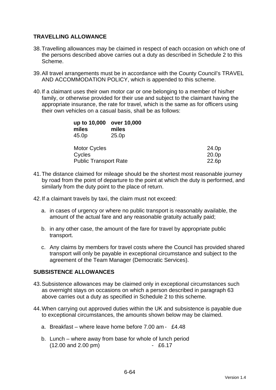### **TRAVELLING ALLOWANCE**

- 38. Travelling allowances may be claimed in respect of each occasion on which one of the persons described above carries out a duty as described in Schedule 2 to this Scheme.
- 39. All travel arrangements must be in accordance with the County Council's TRAVEL AND ACCOMMODATION POLICY, which is appended to this scheme.
- 40. If a claimant uses their own motor car or one belonging to a member of his/her family, or otherwise provided for their use and subject to the claimant having the appropriate insurance, the rate for travel, which is the same as for officers using their own vehicles on a casual basis, shall be as follows:

| up to 10,000<br>miles<br>45.0p | over 10,000<br>miles<br>25.0 <sub>p</sub> |                   |
|--------------------------------|-------------------------------------------|-------------------|
| <b>Motor Cycles</b>            |                                           | 24.0p             |
| Cycles                         |                                           | 20.0 <sub>p</sub> |
|                                | <b>Public Transport Rate</b>              | 22.6p             |

- 41. The distance claimed for mileage should be the shortest most reasonable journey by road from the point of departure to the point at which the duty is performed, and similarly from the duty point to the place of return.
- 42. If a claimant travels by taxi, the claim must not exceed:
	- a. in cases of urgency or where no public transport is reasonably available, the amount of the actual fare and any reasonable gratuity actually paid;
	- b. in any other case, the amount of the fare for travel by appropriate public transport.
	- c. Any claims by members for travel costs where the Council has provided shared transport will only be payable in exceptional circumstance and subject to the agreement of the Team Manager (Democratic Services).

### **SUBSISTENCE ALLOWANCES**

- 43. Subsistence allowances may be claimed only in exceptional circumstances such as overnight stays on occasions on which a person described in paragraph 63 above carries out a duty as specified in Schedule 2 to this scheme.
- 44. When carrying out approved duties within the UK and subsistence is payable due to exceptional circumstances, the amounts shown below may be claimed.
	- a. Breakfast where leave home before 7.00 am £4.48
	- b. Lunch where away from base for whole of lunch period (12.00 and 2.00 pm) - £6.17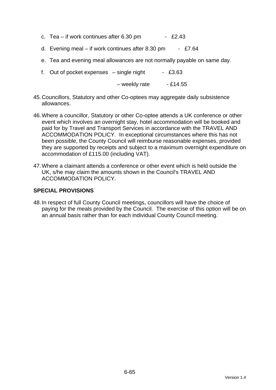- c. Tea if work continues after  $6.30 \text{ pm}$  £2.43
- d. Evening meal if work continues after 8.30 pm £7.64
- e. Tea and evening meal allowances are not normally payable on same day.
- f. Out of pocket expenses  $-$  single night  $-$  £3.63

 $-$  weekly rate  $-$  £14.55

- 45. Councillors, Statutory and other Co-optees may aggregate daily subsistence allowances.
- 46. Where a councillor, Statutory or other Co-optee attends a UK conference or other event which involves an overnight stay, hotel accommodation will be booked and paid for by Travel and Transport Services in accordance with the TRAVEL AND ACCOMMODATION POLICY. In exceptional circumstances where this has not been possible, the County Council will reimburse reasonable expenses, provided they are supported by receipts and subject to a maximum overnight expenditure on accommodation of £115.00 (including VAT).
- 47. Where a claimant attends a conference or other event which is held outside the UK, s/he may claim the amounts shown in the Council's TRAVEL AND ACCOMMODATION POLICY.

### **SPECIAL PROVISIONS**

48. In respect of full County Council meetings, councillors will have the choice of paying for the meals provided by the Council. The exercise of this option will be on an annual basis rather than for each individual County Council meeting.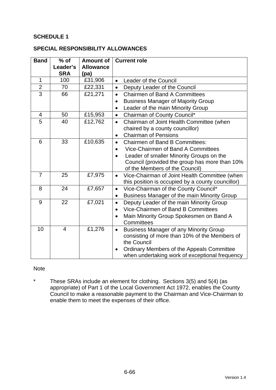# **SCHEDULE 1**

### **SPECIAL RESPONSIBILITY ALLOWANCES**

| <b>Band</b>    | $%$ of                 | <b>Amount of</b>         | <b>Current role</b>                                        |  |
|----------------|------------------------|--------------------------|------------------------------------------------------------|--|
|                | Leader's<br><b>SRA</b> | <b>Allowance</b><br>(pa) |                                                            |  |
| $\mathbf{1}$   | 100                    | £31,906                  | Leader of the Council<br>$\bullet$                         |  |
| $\overline{2}$ | 70                     | £22,331                  | Deputy Leader of the Council<br>$\bullet$                  |  |
| $\overline{3}$ | 66                     | £21,271                  | <b>Chairmen of Band A Committees</b><br>$\bullet$          |  |
|                |                        |                          | <b>Business Manager of Majority Group</b><br>$\bullet$     |  |
|                |                        |                          | Leader of the main Minority Group                          |  |
| $\overline{4}$ | 50                     | £15,953                  | Chairman of County Council*<br>$\bullet$                   |  |
| 5              | 40                     | £12,762                  | Chairman of Joint Health Committee (when<br>$\bullet$      |  |
|                |                        |                          | chaired by a county councillor)                            |  |
|                |                        |                          | <b>Chairman of Pensions</b><br>$\bullet$                   |  |
| 6              | 33                     | £10,635                  | <b>Chairmen of Band B Committees:</b><br>$\bullet$         |  |
|                |                        |                          | Vice-Chairmen of Band A Committees                         |  |
|                |                        |                          | Leader of smaller Minority Groups on the<br>$\bullet$      |  |
|                |                        |                          | Council (provided the group has more than 10%              |  |
|                |                        |                          | of the Members of the Council)                             |  |
| $\overline{7}$ | 25                     | £7,975                   | Vice-Chairman of Joint Health Committee (when<br>$\bullet$ |  |
|                |                        |                          | this position is occupied by a county councillor)          |  |
| 8              | 24                     | £7,657                   | Vice-Chairman of the County Council*<br>$\bullet$          |  |
|                |                        |                          | Business Manager of the main Minority Group<br>$\bullet$   |  |
| 9              | 22                     | £7,021                   | Deputy Leader of the main Minority Group<br>$\bullet$      |  |
|                |                        |                          | Vice-Chairmen of Band B Committees<br>$\bullet$            |  |
|                |                        |                          | Main Minority Group Spokesmen on Band A                    |  |
|                |                        |                          | Committees                                                 |  |
| 10             | $\overline{4}$         | £1,276                   | <b>Business Manager of any Minority Group</b><br>$\bullet$ |  |
|                |                        |                          | consisting of more than 10% of the Members of              |  |
|                |                        |                          | the Council                                                |  |
|                |                        |                          | Ordinary Members of the Appeals Committee<br>$\bullet$     |  |
|                |                        |                          | when undertaking work of exceptional frequency             |  |

#### **Note**

\* These SRAs include an element for clothing. Sections 3(5) and 5(4) (as appropriate) of Part 1 of the Local Government Act 1972, enables the County Council to make a reasonable payment to the Chairman and Vice-Chairman to enable them to meet the expenses of their office.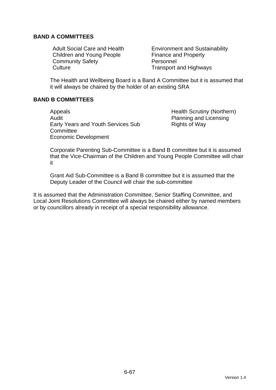## **BAND A COMMITTEES**

Children and Young People Finance and Property Community Safety **Personnel** Culture Culture **Transport and Highways** 

Adult Social Care and Health **Environment and Sustainability** 

The Health and Wellbeing Board is a Band A Committee but it is assumed that it will always be chaired by the holder of an existing SRA

### **BAND B COMMITTEES**

Appeals Appeals **Health Scrutiny (Northern)** Audit **Audit** Planning and Licensing Early Years and Youth Services Sub **Committee** Economic Development

Rights of Way

Corporate Parenting Sub-Committee is a Band B committee but it is assumed that the Vice-Chairman of the Children and Young People Committee will chair it

Grant Aid Sub-Committee is a Band B committee but it is assumed that the Deputy Leader of the Council will chair the sub-committee

It is assumed that the Administration Committee, Senior Staffing Committee, and Local Joint Resolutions Committee will always be chaired either by named members or by councillors already in receipt of a special responsibility allowance.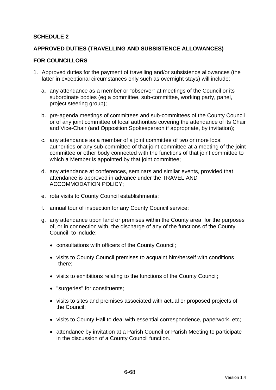### **SCHEDULE 2**

### **APPROVED DUTIES (TRAVELLING AND SUBSISTENCE ALLOWANCES)**

#### **FOR COUNCILLORS**

- 1. Approved duties for the payment of travelling and/or subsistence allowances (the latter in exceptional circumstances only such as overnight stays) will include:
	- a. any attendance as a member or "observer" at meetings of the Council or its subordinate bodies (eg a committee, sub-committee, working party, panel, project steering group);
	- b. pre-agenda meetings of committees and sub-committees of the County Council or of any joint committee of local authorities covering the attendance of its Chair and Vice-Chair (and Opposition Spokesperson if appropriate, by invitation);
	- c. any attendance as a member of a joint committee of two or more local authorities or any sub-committee of that joint committee at a meeting of the joint committee or other body connected with the functions of that joint committee to which a Member is appointed by that joint committee;
	- d. any attendance at conferences, seminars and similar events, provided that attendance is approved in advance under the TRAVEL AND ACCOMMODATION POLICY;
	- e. rota visits to County Council establishments;
	- f. annual tour of inspection for any County Council service;
	- g. any attendance upon land or premises within the County area, for the purposes of, or in connection with, the discharge of any of the functions of the County Council, to include:
		- consultations with officers of the County Council;
		- visits to County Council premises to acquaint him/herself with conditions there;
		- visits to exhibitions relating to the functions of the County Council;
		- "surgeries" for constituents;
		- visits to sites and premises associated with actual or proposed projects of the Council;
		- visits to County Hall to deal with essential correspondence, paperwork, etc;
		- attendance by invitation at a Parish Council or Parish Meeting to participate in the discussion of a County Council function.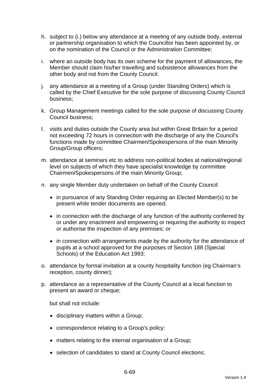- h. subject to (i.) below any attendance at a meeting of any outside body, external or partnership organisation to which the Councillor has been appointed by, or on the nomination of the Council or the Administration Committee;
- i. where an outside body has its own scheme for the payment of allowances, the Member should claim his/her travelling and subsistence allowances from the other body and not from the County Council.
- j. any attendance at a meeting of a Group (under Standing Orders) which is called by the Chief Executive for the sole purpose of discussing County Council business;
- k. Group Management meetings called for the sole purpose of discussing County Council business;
- l. visits and duties outside the County area but within Great Britain for a period not exceeding 72 hours in connection with the discharge of any the Council's functions made by committee Chairmen/Spokespersons of the main Minority Group/Group officers;
- m. attendance at seminars etc to address non-political bodies at national/regional level on subjects of which they have specialist knowledge by committee Chairmen/Spokespersons of the main Minority Group;
- n. any single Member duty undertaken on behalf of the County Council:
	- in pursuance of any Standing Order requiring an Elected Member(s) to be present while tender documents are opened;
	- in connection with the discharge of any function of the authority conferred by or under any enactment and empowering or requiring the authority to inspect or authorise the inspection of any premises; or
	- in connection with arrangements made by the authority for the attendance of pupils at a school approved for the purposes of Section 188 (Special Schools) of the Education Act 1993;
- o. attendance by formal invitation at a county hospitality function (eg Chairman's reception, county dinner);
- p. attendance as a representative of the County Council at a local function to present an award or cheque;

but shall not include:

- disciplinary matters within a Group;
- correspondence relating to a Group's policy:
- matters relating to the internal organisation of a Group;
- selection of candidates to stand at County Council elections;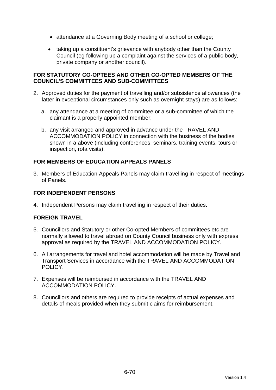- attendance at a Governing Body meeting of a school or college;
- taking up a constituent's grievance with anybody other than the County Council (eg following up a complaint against the services of a public body, private company or another council).

### **FOR STATUTORY CO-OPTEES AND OTHER CO-OPTED MEMBERS OF THE COUNCIL'S COMMITTEES AND SUB-COMMITTEES**

- 2. Approved duties for the payment of travelling and/or subsistence allowances (the latter in exceptional circumstances only such as overnight stays) are as follows:
	- a. any attendance at a meeting of committee or a sub-committee of which the claimant is a properly appointed member;
	- b. any visit arranged and approved in advance under the TRAVEL AND ACCOMMODATION POLICY in connection with the business of the bodies shown in a above (including conferences, seminars, training events, tours or inspection, rota visits).

# **FOR MEMBERS OF EDUCATION APPEALS PANELS**

3. Members of Education Appeals Panels may claim travelling in respect of meetings of Panels.

# **FOR INDEPENDENT PERSONS**

4. Independent Persons may claim travelling in respect of their duties.

# **FOREIGN TRAVEL**

- 5. Councillors and Statutory or other Co-opted Members of committees etc are normally allowed to travel abroad on County Council business only with express approval as required by the TRAVEL AND ACCOMMODATION POLICY.
- 6. All arrangements for travel and hotel accommodation will be made by Travel and Transport Services in accordance with the TRAVEL AND ACCOMMODATION POLICY.
- 7. Expenses will be reimbursed in accordance with the TRAVEL AND ACCOMMODATION POLICY.
- 8. Councillors and others are required to provide receipts of actual expenses and details of meals provided when they submit claims for reimbursement.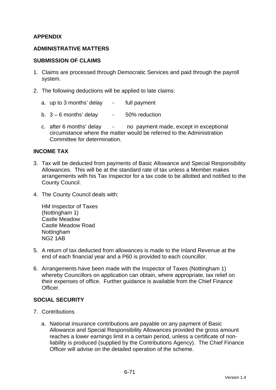# **APPENDIX**

### **ADMINISTRATIVE MATTERS**

#### **SUBMISSION OF CLAIMS**

- 1. Claims are processed through Democratic Services and paid through the payroll system.
- 2. The following deductions will be applied to late claims:
	- a. up to 3 months' delay full payment
	- b.  $3 6$  months' delay  $-50\%$  reduction
	- c. after 6 months' delay no payment made, except in exceptional circumstance where the matter would be referred to the Administration Committee for determination.

### **INCOME TAX**

- 3. Tax will be deducted from payments of Basic Allowance and Special Responsibility Allowances. This will be at the standard rate of tax unless a Member makes arrangements with his Tax Inspector for a tax code to be allotted and notified to the County Council.
- 4. The County Council deals with:

HM Inspector of Taxes (Nottingham 1) Castle Meadow Castle Meadow Road Nottingham NG2 1AB

- 5. A return of tax deducted from allowances is made to the Inland Revenue at the end of each financial year and a P60 is provided to each councillor.
- 6. Arrangements have been made with the Inspector of Taxes (Nottingham 1) whereby Councillors on application can obtain, where appropriate, tax relief on their expenses of office. Further guidance is available from the Chief Finance Officer.

### **SOCIAL SECURITY**

- 7. Contributions
	- a. National insurance contributions are payable on any payment of Basic Allowance and Special Responsibility Allowances provided the gross amount reaches a lower earnings limit in a certain period, unless a certificate of nonliability is produced (supplied by the Contributions Agency). The Chief Finance Officer will advise on the detailed operation of the scheme.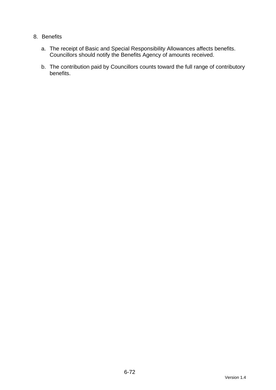# 8. Benefits

- a. The receipt of Basic and Special Responsibility Allowances affects benefits. Councillors should notify the Benefits Agency of amounts received.
- b. The contribution paid by Councillors counts toward the full range of contributory benefits.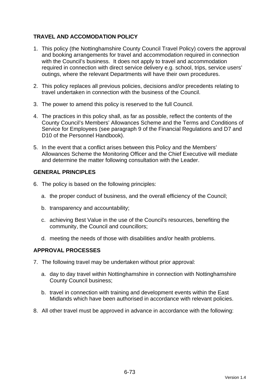# **TRAVEL AND ACCOMODATION POLICY**

- 1. This policy (the Nottinghamshire County Council Travel Policy) covers the approval and booking arrangements for travel and accommodation required in connection with the Council's business. It does not apply to travel and accommodation required in connection with direct service delivery e.g. school, trips, service users' outings, where the relevant Departments will have their own procedures.
- 2. This policy replaces all previous policies, decisions and/or precedents relating to travel undertaken in connection with the business of the Council.
- 3. The power to amend this policy is reserved to the full Council.
- 4. The practices in this policy shall, as far as possible, reflect the contents of the County Council's Members' Allowances Scheme and the Terms and Conditions of Service for Employees (see paragraph 9 of the Financial Regulations and D7 and D10 of the Personnel Handbook).
- 5. In the event that a conflict arises between this Policy and the Members' Allowances Scheme the Monitoring Officer and the Chief Executive will mediate and determine the matter following consultation with the Leader.

### **GENERAL PRINCIPLES**

- 6. The policy is based on the following principles:
	- a. the proper conduct of business, and the overall efficiency of the Council;
	- b. transparency and accountability;
	- c. achieving Best Value in the use of the Council's resources, benefiting the community, the Council and councillors;
	- d. meeting the needs of those with disabilities and/or health problems.

### **APPROVAL PROCESSES**

- 7. The following travel may be undertaken without prior approval:
	- a. day to day travel within Nottinghamshire in connection with Nottinghamshire County Council business;
	- b. travel in connection with training and development events within the East Midlands which have been authorised in accordance with relevant policies.
- 8. All other travel must be approved in advance in accordance with the following: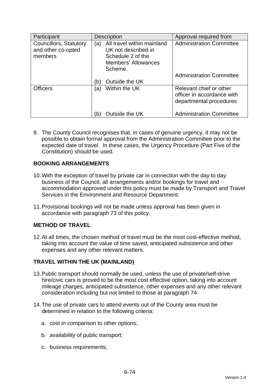| Participant                                             | <b>Description</b>                                                                                                     | Approval required from                                                           |
|---------------------------------------------------------|------------------------------------------------------------------------------------------------------------------------|----------------------------------------------------------------------------------|
| Councillors, Statutory<br>and other co-opted<br>members | All travel within mainland<br>(a)<br>UK not described in<br>Schedule 2 of the<br><b>Members' Allowances</b><br>Scheme. | <b>Administration Committee</b>                                                  |
|                                                         | Outside the UK<br>(b)                                                                                                  | <b>Administration Committee</b>                                                  |
| <b>Officers</b>                                         | Within the UK<br>(a)                                                                                                   | Relevant chief or other<br>officer in accordance with<br>departmental procedures |
|                                                         | Outside the UK<br>(b)                                                                                                  | <b>Administration Committee</b>                                                  |

9. The County Council recognises that, in cases of genuine urgency, it may not be possible to obtain formal approval from the Administration Committee prior to the expected date of travel. In these cases, the Urgency Procedure (Part Five of the Constitution) should be used.

### **BOOKING ARRANGEMENTS**

- 10. With the exception of travel by private car in connection with the day to day business of the Council, all arrangements and/or bookings for travel and accommodation approved under this policy must be made by Transport and Travel Services in the Environment and Resource Department.
- 11. Provisional bookings will not be made unless approval has been given in accordance with paragraph 73 of this policy.

### **METHOD OF TRAVEL**

12. At all times, the chosen method of travel must be the most cost-effective method, taking into account the value of time saved, anticipated subsistence and other expenses and any other relevant matters.

#### **TRAVEL WITHIN THE UK (MAINLAND)**

- 13. Public transport should normally be used, unless the use of private/self-drive hire/civic cars is proved to be the most cost effective option, taking into account mileage charges, anticipated subsistence, other expenses and any other relevant consideration including but not limited to those at paragraph 74
- 14. The use of private cars to attend events out of the County area must be determined in relation to the following criteria:
	- a. cost in comparison to other options;
	- b. availability of public transport;
	- c. business requirements;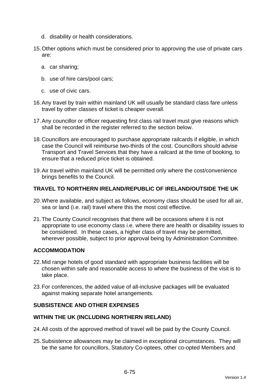- d. disability or health considerations.
- 15. Other options which must be considered prior to approving the use of private cars are:
	- a. car sharing;
	- b. use of hire cars/pool cars;
	- c. use of civic cars.
- 16. Any travel by train within mainland UK will usually be standard class fare unless travel by other classes of ticket is cheaper overall.
- 17. Any councillor or officer requesting first class rail travel must give reasons which shall be recorded in the register referred to the section below.
- 18. Councillors are encouraged to purchase appropriate railcards if eligible, in which case the Council will reimburse two-thirds of the cost. Councillors should advise Transport and Travel Services that they have a railcard at the time of booking, to ensure that a reduced price ticket is obtained.
- 19. Air travel within mainland UK will be permitted only where the cost/convenience brings benefits to the Council.

# **TRAVEL TO NORTHERN IRELAND/REPUBLIC OF IRELAND/OUTSIDE THE UK**

- 20. Where available, and subject as follows, economy class should be used for all air, sea or land (i.e. rail) travel where this the most cost effective.
- 21. The County Council recognises that there will be occasions where it is not appropriate to use economy class i.e. where there are health or disability issues to be considered. In these cases, a higher class of travel may be permitted, wherever possible, subject to prior approval being by Administration Committee.

# **ACCOMMODATION**

- 22. Mid range hotels of good standard with appropriate business facilities will be chosen within safe and reasonable access to where the business of the visit is to take place.
- 23. For conferences, the added value of all-inclusive packages will be evaluated against making separate hotel arrangements.

### **SUBSISTENCE AND OTHER EXPENSES**

### **WITHIN THE UK (INCLUDING NORTHERN IRELAND)**

- 24. All costs of the approved method of travel will be paid by the County Council.
- 25. Subsistence allowances may be claimed in exceptional circumstances. They will be the same for councillors, Statutory Co-optees, other co-opted Members and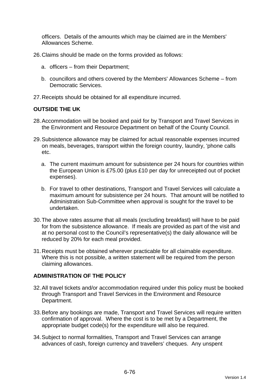officers. Details of the amounts which may be claimed are in the Members' Allowances Scheme.

- 26. Claims should be made on the forms provided as follows:
	- a. officers from their Department;
	- b. councillors and others covered by the Members' Allowances Scheme from Democratic Services.
- 27. Receipts should be obtained for all expenditure incurred.

### **OUTSIDE THE UK**

- 28. Accommodation will be booked and paid for by Transport and Travel Services in the Environment and Resource Department on behalf of the County Council.
- 29. Subsistence allowance may be claimed for actual reasonable expenses incurred on meals, beverages, transport within the foreign country, laundry, 'phone calls etc.
	- a. The current maximum amount for subsistence per 24 hours for countries within the European Union is £75.00 (plus £10 per day for unreceipted out of pocket expenses).
	- b. For travel to other destinations, Transport and Travel Services will calculate a maximum amount for subsistence per 24 hours. That amount will be notified to Administration Sub-Committee when approval is sought for the travel to be undertaken.
- 30. The above rates assume that all meals (excluding breakfast) will have to be paid for from the subsistence allowance. If meals are provided as part of the visit and at no personal cost to the Council's representative(s) the daily allowance will be reduced by 20% for each meal provided.
- 31. Receipts must be obtained wherever practicable for all claimable expenditure. Where this is not possible, a written statement will be required from the person claiming allowances.

### **ADMINISTRATION OF THE POLICY**

- 32. All travel tickets and/or accommodation required under this policy must be booked through Transport and Travel Services in the Environment and Resource Department.
- 33. Before any bookings are made, Transport and Travel Services will require written confirmation of approval. Where the cost is to be met by a Department, the appropriate budget code(s) for the expenditure will also be required.
- 34. Subject to normal formalities, Transport and Travel Services can arrange advances of cash, foreign currency and travellers' cheques. Any unspent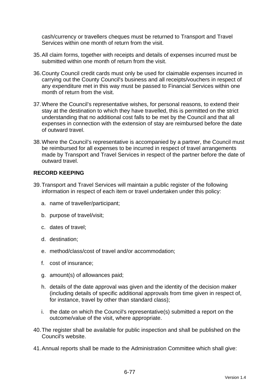cash/currency or travellers cheques must be returned to Transport and Travel Services within one month of return from the visit.

- 35. All claim forms, together with receipts and details of expenses incurred must be submitted within one month of return from the visit.
- 36. County Council credit cards must only be used for claimable expenses incurred in carrying out the County Council's business and all receipts/vouchers in respect of any expenditure met in this way must be passed to Financial Services within one month of return from the visit.
- 37. Where the Council's representative wishes, for personal reasons, to extend their stay at the destination to which they have travelled, this is permitted on the strict understanding that no additional cost falls to be met by the Council and that all expenses in connection with the extension of stay are reimbursed before the date of outward travel.
- 38. Where the Council's representative is accompanied by a partner, the Council must be reimbursed for all expenses to be incurred in respect of travel arrangements made by Transport and Travel Services in respect of the partner before the date of outward travel.

## **RECORD KEEPING**

- 39. Transport and Travel Services will maintain a public register of the following information in respect of each item or travel undertaken under this policy:
	- a. name of traveller/participant;
	- b. purpose of travel/visit;
	- c. dates of travel;
	- d. destination;
	- e. method/class/cost of travel and/or accommodation;
	- f. cost of insurance;
	- g. amount(s) of allowances paid;
	- h. details of the date approval was given and the identity of the decision maker (including details of specific additional approvals from time given in respect of, for instance, travel by other than standard class);
	- i. the date on which the Council's representative(s) submitted a report on the outcome/value of the visit, where appropriate.
- 40. The register shall be available for public inspection and shall be published on the Council's website.
- 41. Annual reports shall be made to the Administration Committee which shall give: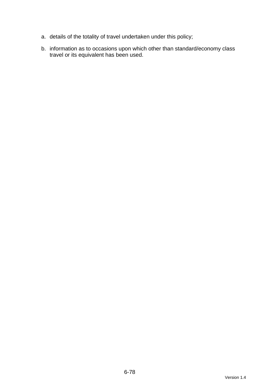- a. details of the totality of travel undertaken under this policy;
- b. information as to occasions upon which other than standard/economy class travel or its equivalent has been used.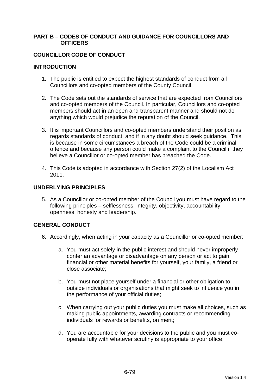#### **PART B – CODES OF CONDUCT AND GUIDANCE FOR COUNCILLORS AND OFFICERS**

### **COUNCILLOR CODE OF CONDUCT**

### **INTRODUCTION**

- 1. The public is entitled to expect the highest standards of conduct from all Councillors and co-opted members of the County Council.
- 2. The Code sets out the standards of service that are expected from Councillors and co-opted members of the Council. In particular, Councillors and co-opted members should act in an open and transparent manner and should not do anything which would prejudice the reputation of the Council.
- 3. It is important Councillors and co-opted members understand their position as regards standards of conduct, and if in any doubt should seek guidance. This is because in some circumstances a breach of the Code could be a criminal offence and because any person could make a complaint to the Council if they believe a Councillor or co-opted member has breached the Code.
- 4. This Code is adopted in accordance with Section 27(2) of the Localism Act 2011.

## **UNDERLYING PRINCIPLES**

5. As a Councillor or co-opted member of the Council you must have regard to the following principles – selflessness, integrity, objectivity, accountability, openness, honesty and leadership.

## **GENERAL CONDUCT**

- 6. Accordingly, when acting in your capacity as a Councillor or co-opted member:
	- a. You must act solely in the public interest and should never improperly confer an advantage or disadvantage on any person or act to gain financial or other material benefits for yourself, your family, a friend or close associate;
	- b. You must not place yourself under a financial or other obligation to outside individuals or organisations that might seek to influence you in the performance of your official duties;
	- c. When carrying out your public duties you must make all choices, such as making public appointments, awarding contracts or recommending individuals for rewards or benefits, on merit;
	- d. You are accountable for your decisions to the public and you must cooperate fully with whatever scrutiny is appropriate to your office;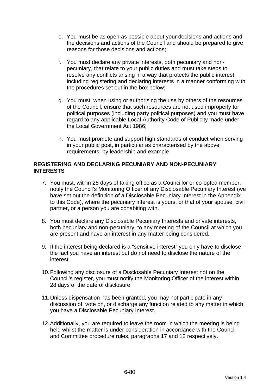- e. You must be as open as possible about your decisions and actions and the decisions and actions of the Council and should be prepared to give reasons for those decisions and actions;
- f. You must declare any private interests, both pecuniary and nonpecuniary, that relate to your public duties and must take steps to resolve any conflicts arising in a way that protects the public interest, including registering and declaring interests in a manner conforming with the procedures set out in the box below;
- g. You must, when using or authorising the use by others of the resources of the Council, ensure that such resources are not used improperly for political purposes (including party political purposes) and you must have regard to any applicable Local Authority Code of Publicity made under the Local Government Act 1986;
- h. You must promote and support high standards of conduct when serving in your public post, in particular as characterised by the above requirements, by leadership and example

### **REGISTERING AND DECLARING PECUNIARY AND NON-PECUNIARY INTERESTS**

- 7. You must, within 28 days of taking office as a Councillor or co-opted member, notify the Council's Monitoring Officer of any Disclosable Pecuniary Interest (we have set out the definition of a Disclosable Pecuniary Interest in the Appendix to this Code), where the pecuniary interest is yours, or that of your spouse, civil partner, or a person you are cohabiting with.
- 8. You must declare any Disclosable Pecuniary Interests and private interests, both pecuniary and non-pecuniary, to any meeting of the Council at which you are present and have an interest in any matter being considered.
- 9. If the interest being declared is a "sensitive interest" you only have to disclose the fact you have an interest but do not need to disclose the nature of the interest.
- 10. Following any disclosure of a Disclosable Pecuniary Interest not on the Council's register, you must notify the Monitoring Officer of the interest within 28 days of the date of disclosure.
- 11. Unless dispensation has been granted, you may not participate in any discussion of, vote on, or discharge any function related to any matter in which you have a Disclosable Pecuniary Interest.
- 12. Additionally, you are required to leave the room in which the meeting is being held whilst the matter is under consideration in accordance with the Council and Committee procedure rules, paragraphs 17 and 12 respectively.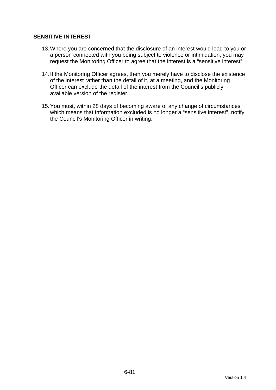## **SENSITIVE INTEREST**

- 13. Where you are concerned that the disclosure of an interest would lead to you or a person connected with you being subject to violence or intimidation, you may request the Monitoring Officer to agree that the interest is a "sensitive interest".
- 14. If the Monitoring Officer agrees, then you merely have to disclose the existence of the interest rather than the detail of it, at a meeting, and the Monitoring Officer can exclude the detail of the interest from the Council's publicly available version of the register.
- 15. You must, within 28 days of becoming aware of any change of circumstances which means that information excluded is no longer a "sensitive interest", notify the Council's Monitoring Officer in writing.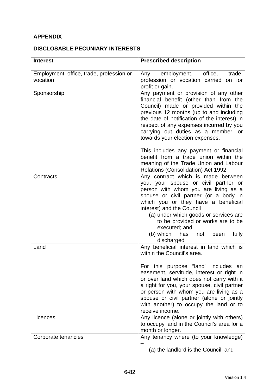# **APPENDIX**

## **DISCLOSABLE PECUNIARY INTERESTS**

| <b>Interest</b>                                      | <b>Prescribed description</b>                                                                                                                                                                                                                                                                                                                                                                               |
|------------------------------------------------------|-------------------------------------------------------------------------------------------------------------------------------------------------------------------------------------------------------------------------------------------------------------------------------------------------------------------------------------------------------------------------------------------------------------|
| Employment, office, trade, profession or<br>vocation | employment, office,<br>Any<br>trade,<br>profession or vocation carried on for<br>profit or gain.                                                                                                                                                                                                                                                                                                            |
| Sponsorship                                          | Any payment or provision of any other<br>financial benefit (other than from the<br>Council) made or provided within the<br>previous 12 months (up to and including<br>the date of notification of the interest) in<br>respect of any expenses incurred by you<br>carrying out duties as a member, or<br>towards your election expenses.                                                                     |
|                                                      | This includes any payment or financial<br>benefit from a trade union within the<br>meaning of the Trade Union and Labour<br>Relations (Consolidation) Act 1992.                                                                                                                                                                                                                                             |
| Contracts                                            | Any contract which is made between<br>you, your spouse or civil partner or<br>person with whom you are living as a<br>spouse or civil partner (or a body in<br>which you or they have a beneficial<br>interest) and the Council<br>(a) under which goods or services are<br>to be provided or works are to be<br>executed; and<br>(b) which<br>fully<br>has<br>not<br>been<br>discharged                    |
| Land                                                 | Any beneficial interest in land which is<br>within the Council's area.<br>For this purpose "land" includes an<br>easement, servitude, interest or right in<br>or over land which does not carry with it<br>a right for you, your spouse, civil partner<br>or person with whom you are living as a<br>spouse or civil partner (alone or jointly<br>with another) to occupy the land or to<br>receive income. |
| Licences                                             | Any licence (alone or jointly with others)<br>to occupy land in the Council's area for a<br>month or longer.                                                                                                                                                                                                                                                                                                |
| Corporate tenancies                                  | Any tenancy where (to your knowledge)<br>(a) the landlord is the Council; and                                                                                                                                                                                                                                                                                                                               |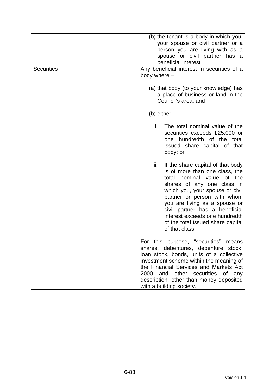| <b>Securities</b> | (b) the tenant is a body in which you,<br>your spouse or civil partner or a<br>person you are living with as a<br>spouse or civil partner has a<br>beneficial interest<br>Any beneficial interest in securities of a<br>body where -                                                                                                                                       |
|-------------------|----------------------------------------------------------------------------------------------------------------------------------------------------------------------------------------------------------------------------------------------------------------------------------------------------------------------------------------------------------------------------|
|                   | (a) that body (to your knowledge) has<br>a place of business or land in the<br>Council's area; and                                                                                                                                                                                                                                                                         |
|                   | (b) either $-$                                                                                                                                                                                                                                                                                                                                                             |
|                   | i.<br>The total nominal value of the<br>securities exceeds £25,000 or<br>one hundredth of the total<br>issued share capital of that<br>body; or                                                                                                                                                                                                                            |
|                   | ii.<br>If the share capital of that body<br>is of more than one class, the<br>nominal value<br>of the<br>total<br>shares of any one class in<br>which you, your spouse or civil<br>partner or person with whom<br>you are living as a spouse or<br>civil partner has a beneficial<br>interest exceeds one hundredth<br>of the total issued share capital<br>of that class. |
|                   | For this purpose, "securities"<br>means<br>shares, debentures, debenture stock,<br>loan stock, bonds, units of a collective<br>investment scheme within the meaning of<br>the Financial Services and Markets Act<br>2000<br>and other securities of<br>any<br>description, other than money deposited<br>with a building society.                                          |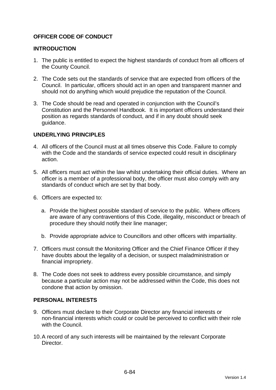## **OFFICER CODE OF CONDUCT**

### **INTRODUCTION**

- 1. The public is entitled to expect the highest standards of conduct from all officers of the County Council.
- 2. The Code sets out the standards of service that are expected from officers of the Council. In particular, officers should act in an open and transparent manner and should not do anything which would prejudice the reputation of the Council.
- 3. The Code should be read and operated in conjunction with the Council's Constitution and the Personnel Handbook. It is important officers understand their position as regards standards of conduct, and if in any doubt should seek guidance.

## **UNDERLYING PRINCIPLES**

- 4. All officers of the Council must at all times observe this Code. Failure to comply with the Code and the standards of service expected could result in disciplinary action.
- 5. All officers must act within the law whilst undertaking their official duties. Where an officer is a member of a professional body, the officer must also comply with any standards of conduct which are set by that body.
- 6. Officers are expected to:
	- a. Provide the highest possible standard of service to the public. Where officers are aware of any contraventions of this Code, illegality, misconduct or breach of procedure they should notify their line manager;
	- b. Provide appropriate advice to Councillors and other officers with impartiality.
- 7. Officers must consult the Monitoring Officer and the Chief Finance Officer if they have doubts about the legality of a decision, or suspect maladministration or financial impropriety.
- 8. The Code does not seek to address every possible circumstance, and simply because a particular action may not be addressed within the Code, this does not condone that action by omission.

#### **PERSONAL INTERESTS**

- 9. Officers must declare to their Corporate Director any financial interests or non-financial interests which could or could be perceived to conflict with their role with the Council.
- 10. A record of any such interests will be maintained by the relevant Corporate **Director**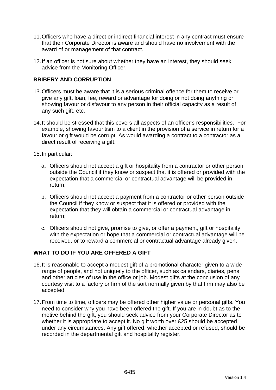- 11. Officers who have a direct or indirect financial interest in any contract must ensure that their Corporate Director is aware and should have no involvement with the award of or management of that contract.
- 12. If an officer is not sure about whether they have an interest, they should seek advice from the Monitoring Officer.

## **BRIBERY AND CORRUPTION**

- 13. Officers must be aware that it is a serious criminal offence for them to receive or give any gift, loan, fee, reward or advantage for doing or not doing anything or showing favour or disfavour to any person in their official capacity as a result of any such gift, etc.
- 14. It should be stressed that this covers all aspects of an officer's responsibilities. For example, showing favouritism to a client in the provision of a service in return for a favour or gift would be corrupt. As would awarding a contract to a contractor as a direct result of receiving a gift.
- 15. In particular:
	- a. Officers should not accept a gift or hospitality from a contractor or other person outside the Council if they know or suspect that it is offered or provided with the expectation that a commercial or contractual advantage will be provided in return;
	- b. Officers should not accept a payment from a contractor or other person outside the Council if they know or suspect that it is offered or provided with the expectation that they will obtain a commercial or contractual advantage in return;
	- c. Officers should not give, promise to give, or offer a payment, gift or hospitality with the expectation or hope that a commercial or contractual advantage will be received, or to reward a commercial or contractual advantage already given.

#### **WHAT TO DO IF YOU ARE OFFERED A GIFT**

- 16. It is reasonable to accept a modest gift of a promotional character given to a wide range of people, and not uniquely to the officer, such as calendars, diaries, pens and other articles of use in the office or job. Modest gifts at the conclusion of any courtesy visit to a factory or firm of the sort normally given by that firm may also be accepted.
- 17. From time to time, officers may be offered other higher value or personal gifts. You need to consider why you have been offered the gift. If you are in doubt as to the motive behind the gift, you should seek advice from your Corporate Director as to whether it is appropriate to accept it. No gift worth over £25 should be accepted under any circumstances. Any gift offered, whether accepted or refused, should be recorded in the departmental gift and hospitality register.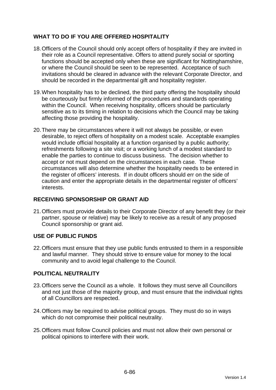## **WHAT TO DO IF YOU ARE OFFERED HOSPITALITY**

- 18. Officers of the Council should only accept offers of hospitality if they are invited in their role as a Council representative. Offers to attend purely social or sporting functions should be accepted only when these are significant for Nottinghamshire, or where the Council should be seen to be represented. Acceptance of such invitations should be cleared in advance with the relevant Corporate Director, and should be recorded in the departmental gift and hospitality register.
- 19. When hospitality has to be declined, the third party offering the hospitality should be courteously but firmly informed of the procedures and standards operating within the Council. When receiving hospitality, officers should be particularly sensitive as to its timing in relation to decisions which the Council may be taking affecting those providing the hospitality.
- 20. There may be circumstances where it will not always be possible, or even desirable, to reject offers of hospitality on a modest scale. Acceptable examples would include official hospitality at a function organised by a public authority; refreshments following a site visit; or a working lunch of a modest standard to enable the parties to continue to discuss business. The decision whether to accept or not must depend on the circumstances in each case. These circumstances will also determine whether the hospitality needs to be entered in the register of officers' interests. If in doubt officers should err on the side of caution and enter the appropriate details in the departmental register of officers' interests.

## **RECEIVING SPONSORSHIP OR GRANT AID**

21. Officers must provide details to their Corporate Director of any benefit they (or their partner, spouse or relative) may be likely to receive as a result of any proposed Council sponsorship or grant aid.

## **USE OF PUBLIC FUNDS**

22. Officers must ensure that they use public funds entrusted to them in a responsible and lawful manner. They should strive to ensure value for money to the local community and to avoid legal challenge to the Council.

## **POLITICAL NEUTRALITY**

- 23. Officers serve the Council as a whole. It follows they must serve all Councillors and not just those of the majority group, and must ensure that the individual rights of all Councillors are respected.
- 24. Officers may be required to advise political groups. They must do so in ways which do not compromise their political neutrality.
- 25. Officers must follow Council policies and must not allow their own personal or political opinions to interfere with their work.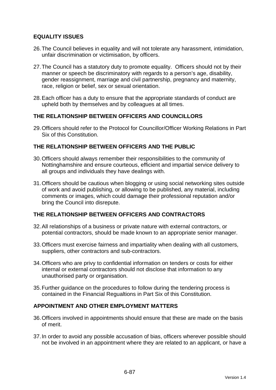## **EQUALITY ISSUES**

- 26. The Council believes in equality and will not tolerate any harassment, intimidation, unfair discrimination or victimisation, by officers.
- 27. The Council has a statutory duty to promote equality. Officers should not by their manner or speech be discriminatory with regards to a person's age, disability, gender reassignment, marriage and civil partnership, pregnancy and maternity, race, religion or belief, sex or sexual orientation.
- 28. Each officer has a duty to ensure that the appropriate standards of conduct are upheld both by themselves and by colleagues at all times.

## **THE RELATIONSHIP BETWEEN OFFICERS AND COUNCILLORS**

29. Officers should refer to the Protocol for Councillor/Officer Working Relations in Part Six of this Constitution.

## **THE RELATIONSHIP BETWEEN OFFICERS AND THE PUBLIC**

- 30. Officers should always remember their responsibilities to the community of Nottinghamshire and ensure courteous, efficient and impartial service delivery to all groups and individuals they have dealings with.
- 31. Officers should be cautious when blogging or using social networking sites outside of work and avoid publishing, or allowing to be published, any material, including comments or images, which could damage their professional reputation and/or bring the Council into disrepute.

## **THE RELATIONSHIP BETWEEN OFFICERS AND CONTRACTORS**

- 32. All relationships of a business or private nature with external contractors, or potential contractors, should be made known to an appropriate senior manager.
- 33. Officers must exercise fairness and impartiality when dealing with all customers, suppliers, other contractors and sub-contractors.
- 34. Officers who are privy to confidential information on tenders or costs for either internal or external contractors should not disclose that information to any unauthorised party or organisation.
- 35. Further guidance on the procedures to follow during the tendering process is contained in the Financial Regualtions in Part Six of this Constitution.

#### **APPOINTMENT AND OTHER EMPLOYMENT MATTERS**

- 36. Officers involved in appointments should ensure that these are made on the basis of merit.
- 37. In order to avoid any possible accusation of bias, officers wherever possible should not be involved in an appointment where they are related to an applicant, or have a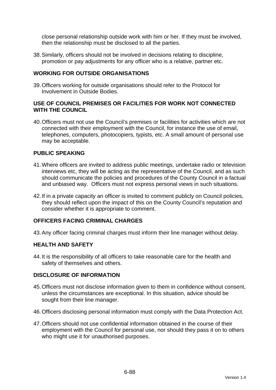close personal relationship outside work with him or her. If they must be involved, then the relationship must be disclosed to all the parties.

38. Similarly, officers should not be involved in decisions relating to discipline, promotion or pay adjustments for any officer who is a relative, partner etc.

### **WORKING FOR OUTSIDE ORGANISATIONS**

39. Officers working for outside organisations should refer to the Protocol for Involvement in Outside Bodies.

### **USE OF COUNCIL PREMISES OR FACILITIES FOR WORK NOT CONNECTED WITH THE COUNCIL**

40. Officers must not use the Council's premises or facilities for activities which are not connected with their employment with the Council, for instance the use of email, telephones, computers, photocopiers, typists, etc. A small amount of personal use may be acceptable.

## **PUBLIC SPEAKING**

- 41. Where officers are invited to address public meetings, undertake radio or television interviews etc, they will be acting as the representative of the Council, and as such should communicate the policies and procedures of the County Council in a factual and unbiased way. Officers must not express personal views in such situations.
- 42. If in a private capacity an officer is invited to comment publicly on Council policies, they should reflect upon the impact of this on the County Council's reputation and consider whether it is appropriate to comment.

### **OFFICERS FACING CRIMINAL CHARGES**

43. Any officer facing criminal charges must inform their line manager without delay.

#### **HEALTH AND SAFETY**

44. It is the responsibility of all officers to take reasonable care for the health and safety of themselves and others.

#### **DISCLOSURE OF INFORMATION**

- 45. Officers must not disclose information given to them in confidence without consent, unless the circumstances are exceptional. In this situation, advice should be sought from their line manager.
- 46. Officers disclosing personal information must comply with the Data Protection Act.
- 47. Officers should not use confidential information obtained in the course of their employment with the Council for personal use, nor should they pass it on to others who might use it for unauthorised purposes.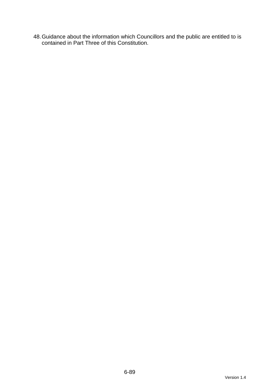48. Guidance about the information which Councillors and the public are entitled to is contained in Part Three of this Constitution.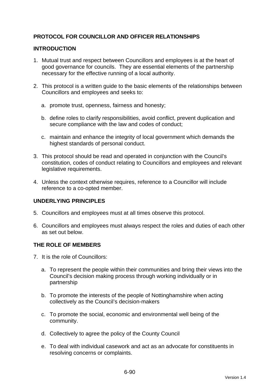## **PROTOCOL FOR COUNCILLOR AND OFFICER RELATIONSHIPS**

### **INTRODUCTION**

- 1. Mutual trust and respect between Councillors and employees is at the heart of good governance for councils. They are essential elements of the partnership necessary for the effective running of a local authority.
- 2. This protocol is a written guide to the basic elements of the relationships between Councillors and employees and seeks to:
	- a. promote trust, openness, fairness and honesty;
	- b. define roles to clarify responsibilities, avoid conflict, prevent duplication and secure compliance with the law and codes of conduct;
	- c. maintain and enhance the integrity of local government which demands the highest standards of personal conduct.
- 3. This protocol should be read and operated in conjunction with the Council's constitution, codes of conduct relating to Councillors and employees and relevant legislative requirements.
- 4. Unless the context otherwise requires, reference to a Councillor will include reference to a co-opted member.

#### **UNDERLYING PRINCIPLES**

- 5. Councillors and employees must at all times observe this protocol.
- 6. Councillors and employees must always respect the roles and duties of each other as set out below.

#### **THE ROLE OF MEMBERS**

- 7. It is the role of Councillors:
	- a. To represent the people within their communities and bring their views into the Council's decision making process through working individually or in partnership
	- b. To promote the interests of the people of Nottinghamshire when acting collectively as the Council's decision-makers
	- c. To promote the social, economic and environmental well being of the community.
	- d. Collectively to agree the policy of the County Council
	- e. To deal with individual casework and act as an advocate for constituents in resolving concerns or complaints.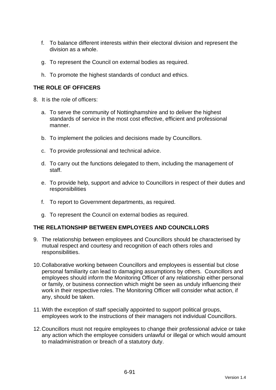- f. To balance different interests within their electoral division and represent the division as a whole.
- g. To represent the Council on external bodies as required.
- h. To promote the highest standards of conduct and ethics.

## **THE ROLE OF OFFICERS**

- 8. It is the role of officers:
	- a. To serve the community of Nottinghamshire and to deliver the highest standards of service in the most cost effective, efficient and professional manner.
	- b. To implement the policies and decisions made by Councillors.
	- c. To provide professional and technical advice.
	- d. To carry out the functions delegated to them, including the management of staff.
	- e. To provide help, support and advice to Councillors in respect of their duties and responsibilities
	- f. To report to Government departments, as required.
	- g. To represent the Council on external bodies as required.

#### **THE RELATIONSHIP BETWEEN EMPLOYEES AND COUNCILLORS**

- 9. The relationship between employees and Councillors should be characterised by mutual respect and courtesy and recognition of each others roles and responsibilities.
- 10. Collaborative working between Councillors and employees is essential but close personal familiarity can lead to damaging assumptions by others. Councillors and employees should inform the Monitoring Officer of any relationship either personal or family, or business connection which might be seen as unduly influencing their work in their respective roles. The Monitoring Officer will consider what action, if any, should be taken.
- 11. With the exception of staff specially appointed to support political groups, employees work to the instructions of their managers not individual Councillors.
- 12. Councillors must not require employees to change their professional advice or take any action which the employee considers unlawful or illegal or which would amount to maladministration or breach of a statutory duty.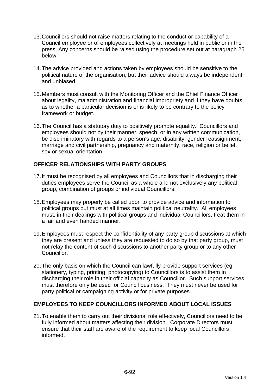- 13. Councillors should not raise matters relating to the conduct or capability of a Council employee or of employees collectively at meetings held in public or in the press. Any concerns should be raised using the procedure set out at paragraph 25 below.
- 14. The advice provided and actions taken by employees should be sensitive to the political nature of the organisation, but their advice should always be independent and unbiased.
- 15. Members must consult with the Monitoring Officer and the Chief Finance Officer about legality, maladministration and financial impropriety and if they have doubts as to whether a particular decision is or is likely to be contrary to the policy framework or budget.
- 16. The Council has a statutory duty to positively promote equality. Councillors and employees should not by their manner, speech, or in any written communication, be discriminatory with regards to a person's age, disability, gender reassignment, marriage and civil partnership, pregnancy and maternity, race, religion or belief, sex or sexual orientation.

## **OFFICER RELATIONSHIPS WITH PARTY GROUPS**

- 17. It must be recognised by all employees and Councillors that in discharging their duties employees serve the Council as a whole and not exclusively any political group, combination of groups or individual Councillors.
- 18. Employees may properly be called upon to provide advice and information to political groups but must at all times maintain political neutrality. All employees must, in their dealings with political groups and individual Councillors, treat them in a fair and even handed manner.
- 19. Employees must respect the confidentiality of any party group discussions at which they are present and unless they are requested to do so by that party group, must not relay the content of such discussions to another party group or to any other Councillor.
- 20. The only basis on which the Council can lawfully provide support services (eg stationery, typing, printing, photocopying) to Councillors is to assist them in discharging their role in their official capacity as Councillor. Such support services must therefore only be used for Council business. They must never be used for party political or campaigning activity or for private purposes.

## **EMPLOYEES TO KEEP COUNCILLORS INFORMED ABOUT LOCAL ISSUES**

21. To enable them to carry out their divisional role effectively, Councillors need to be fully informed about matters affecting their division. Corporate Directors must ensure that their staff are aware of the requirement to keep local Councillors informed.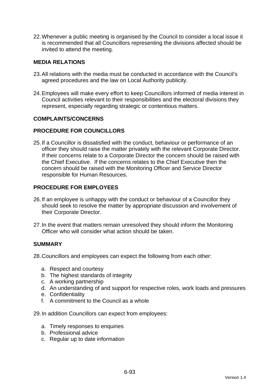22. Whenever a public meeting is organised by the Council to consider a local issue it is recommended that all Councillors representing the divisions affected should be invited to attend the meeting.

### **MEDIA RELATIONS**

- 23. All relations with the media must be conducted in accordance with the Council's agreed procedures and the law on Local Authority publicity.
- 24. Employees will make every effort to keep Councillors informed of media interest in Council activities relevant to their responsibilities and the electoral divisions they represent, especially regarding strategic or contentious matters.

#### **COMPLAINTS/CONCERNS**

#### **PROCEDURE FOR COUNCILLORS**

25. If a Councillor is dissatisfied with the conduct, behaviour or performance of an officer they should raise the matter privately with the relevant Corporate Director. If their concerns relate to a Corporate Director the concern should be raised with the Chief Executive. If the concerns relates to the Chief Executive then the concern should be raised with the Monitoring Officer and Service Director responsible for Human Resources.

## **PROCEDURE FOR EMPLOYEES**

- 26. If an employee is unhappy with the conduct or behaviour of a Councillor they should seek to resolve the matter by appropriate discussion and involvement of their Corporate Director.
- 27. In the event that matters remain unresolved they should inform the Monitoring Officer who will consider what action should be taken.

#### **SUMMARY**

28. Councillors and employees can expect the following from each other:

- a. Respect and courtesy
- b. The highest standards of integrity
- c. A working partnership
- d. An understanding of and support for respective roles, work loads and pressures
- e. Confidentiality
- f. A commitment to the Council as a whole
- 29. In addition Councillors can expect from employees:
	- a. Timely responses to enquiries
	- b. Professional advice
	- c. Regular up to date information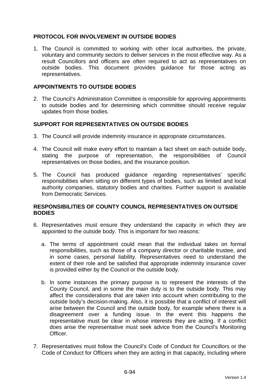## **PROTOCOL FOR INVOLVEMENT IN OUTSIDE BODIES**

1. The Council is committed to working with other local authorities, the private, voluntary and community sectors to deliver services in the most effective way. As a result Councillors and officers are often required to act as representatives on outside bodies. This document provides guidance for those acting as representatives.

#### **APPOINTMENTS TO OUTSIDE BODIES**

2. The Council's Administration Committee is responsible for approving appointments to outside bodies and for determining which committee should receive regular updates from those bodies.

#### **SUPPORT FOR REPRESENTATIVES ON OUTSIDE BODIES**

- 3. The Council will provide indemnity insurance in appropriate circumstances.
- 4. The Council will make every effort to maintain a fact sheet on each outside body, stating the purpose of representation, the responsibilities of Council representatives on those bodies, and the insurance position.
- 5. The Council has produced guidance regarding representatives' specific responsibilities when sitting on different types of bodies, such as limited and local authority companies, statutory bodies and charities. Further support is available from Democratic Services.

#### **RESPONSIBILITIES OF COUNTY COUNCIL REPRESENTATIVES ON OUTSIDE BODIES**

- 6. Representatives must ensure they understand the capacity in which they are appointed to the outside body. This is important for two reasons:
	- a. The terms of appointment could mean that the individual takes on formal responsibilities, such as those of a company director or charitable trustee, and in some cases, personal liability. Representatives need to understand the extent of their role and be satisfied that appropriate indemnity insurance cover is provided either by the Council or the outside body.
	- b. In some instances the primary purpose is to represent the interests of the County Council, and in some the main duty is to the outside body. This may affect the considerations that are taken into account when contributing to the outside body's decision-making. Also, it is possible that a conflict of interest will arise between the Council and the outside body, for example where there is a disagreement over a funding issue. In the event this happens the representative must be clear in whose interests they are acting. If a conflict does arise the representative must seek advice from the Council's Monitoring Officer.
- 7. Representatives must follow the Council's Code of Conduct for Councillors or the Code of Conduct for Officers when they are acting in that capacity, including where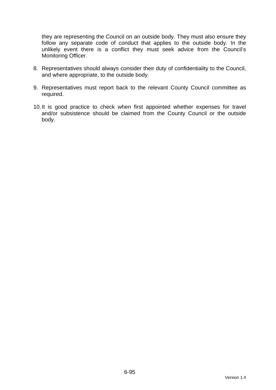they are representing the Council on an outside body. They must also ensure they follow any separate code of conduct that applies to the outside body. In the unlikely event there is a conflict they must seek advice from the Council's Monitoring Officer.

- 8. Representatives should always consider their duty of confidentiality to the Council, and where appropriate, to the outside body.
- 9. Representatives must report back to the relevant County Council committee as required.
- 10. It is good practice to check when first appointed whether expenses for travel and/or subsistence should be claimed from the County Council or the outside body.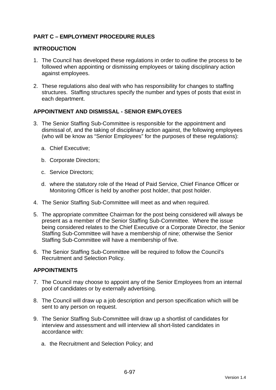## **PART C – EMPLOYMENT PROCEDURE RULES**

### **INTRODUCTION**

- 1. The Council has developed these regulations in order to outline the process to be followed when appointing or dismissing employees or taking disciplinary action against employees.
- 2. These regulations also deal with who has responsibility for changes to staffing structures. Staffing structures specify the number and types of posts that exist in each department.

## **APPOINTMENT AND DISMISSAL - SENIOR EMPLOYEES**

- 3. The Senior Staffing Sub-Committee is responsible for the appointment and dismissal of, and the taking of disciplinary action against, the following employees (who will be know as "Senior Employees" for the purposes of these regulations):
	- a. Chief Executive;
	- b. Corporate Directors;
	- c. Service Directors;
	- d. where the statutory role of the Head of Paid Service, Chief Finance Officer or Monitoring Officer is held by another post holder, that post holder.
- 4. The Senior Staffing Sub-Committee will meet as and when required.
- 5. The appropriate committee Chairman for the post being considered will always be present as a member of the Senior Staffing Sub-Committee. Where the issue being considered relates to the Chief Executive or a Corporate Director, the Senior Staffing Sub-Committee will have a membership of nine; otherwise the Senior Staffing Sub-Committee will have a membership of five.
- 6. The Senior Staffing Sub-Committee will be required to follow the Council's Recruitment and Selection Policy.

#### **APPOINTMENTS**

- 7. The Council may choose to appoint any of the Senior Employees from an internal pool of candidates or by externally advertising.
- 8. The Council will draw up a job description and person specification which will be sent to any person on request.
- 9. The Senior Staffing Sub-Committee will draw up a shortlist of candidates for interview and assessment and will interview all short-listed candidates in accordance with:
	- a. the Recruitment and Selection Policy; and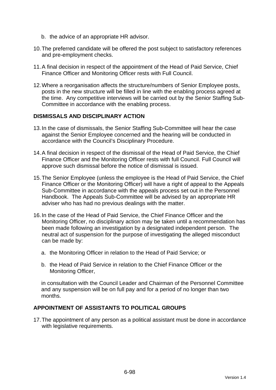- b. the advice of an appropriate HR advisor.
- 10. The preferred candidate will be offered the post subject to satisfactory references and pre-employment checks.
- 11. A final decision in respect of the appointment of the Head of Paid Service, Chief Finance Officer and Monitoring Officer rests with Full Council.
- 12. Where a reorganisation affects the structure/numbers of Senior Employee posts, posts in the new structure will be filled in line with the enabling process agreed at the time. Any competitive interviews will be carried out by the Senior Staffing Sub-Committee in accordance with the enabling process.

#### **DISMISSALS AND DISCIPLINARY ACTION**

- 13. In the case of dismissals, the Senior Staffing Sub-Committee will hear the case against the Senior Employee concerned and the hearing will be conducted in accordance with the Council's Disciplinary Procedure.
- 14. A final decision in respect of the dismissal of the Head of Paid Service, the Chief Finance Officer and the Monitoring Officer rests with full Council. Full Council will approve such dismissal before the notice of dismissal is issued.
- 15. The Senior Employee (unless the employee is the Head of Paid Service, the Chief Finance Officer or the Monitoring Officer) will have a right of appeal to the Appeals Sub-Committee in accordance with the appeals process set out in the Personnel Handbook. The Appeals Sub-Committee will be advised by an appropriate HR adviser who has had no previous dealings with the matter.
- 16. In the case of the Head of Paid Service, the Chief Finance Officer and the Monitoring Officer, no disciplinary action may be taken until a recommendation has been made following an investigation by a designated independent person. The neutral act of suspension for the purpose of investigating the alleged misconduct can be made by:
	- a. the Monitoring Officer in relation to the Head of Paid Service; or
	- b. the Head of Paid Service in relation to the Chief Finance Officer or the Monitoring Officer,

in consultation with the Council Leader and Chairman of the Personnel Committee and any suspension will be on full pay and for a period of no longer than two months.

### **APPOINTMENT OF ASSISTANTS TO POLITICAL GROUPS**

17. The appointment of any person as a political assistant must be done in accordance with legislative requirements.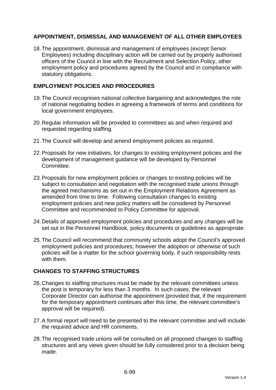## **APPOINTMENT, DISMISSAL AND MANAGEMENT OF ALL OTHER EMPLOYEES**

18. The appointment, dismissal and management of employees (except Senior Employees) including disciplinary action will be carried out by properly authorised officers of the Council in line with the Recruitment and Selection Policy, other employment policy and procedures agreed by the Council and in compliance with statutory obligations.

## **EMPLOYMENT POLICIES AND PROCEDURES**

- 19. The Council recognises national collective bargaining and acknowledges the role of national negotiating bodies in agreeing a framework of terms and conditions for local government employees.
- 20. Regular information will be provided to committees as and when required and requested regarding staffing.
- 21. The Council will develop and amend employment policies as required.
- 22. Proposals for new initiatives, for changes to existing employment policies and the development of management guidance will be developed by Personnel Committee.
- 23. Proposals for new employment policies or changes to existing policies will be subject to consultation and negotiation with the recognised trade unions through the agreed mechanisms as set out in the Employment Relations Agreement as amended from time to time. Following consultation changes to existing employment policies and new policy matters will be considered by Personnel Committee and recommended to Policy Committee for approval.
- 24. Details of approved employment policies and procedures and any changes will be set out in the Personnel Handbook, policy documents or guidelines as appropriate.
- 25. The Council will recommend that community schools adopt the Council's approved employment policies and procedures; however the adoption or otherwise of such policies will be a matter for the school governing body, if such responsibility rests with them.

## **CHANGES TO STAFFING STRUCTURES**

- 26. Changes to staffing structures must be made by the relevant committees unless the post is temporary for less than 3 months. In such cases, the relevant Corporate Director can authorise the appointment (provided that, if the requirement for the temporary appointment continues after this time, the relevant committee's approval will be required).
- 27. A formal report will need to be presented to the relevant committee and will include the required advice and HR comments.
- 28. The recognised trade unions will be consulted on all proposed changes to staffing structures and any views given should be fully considered prior to a decision being made.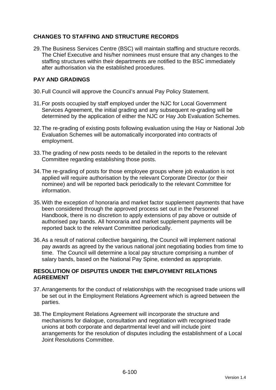## **CHANGES TO STAFFING AND STRUCTURE RECORDS**

29. The Business Services Centre (BSC) will maintain staffing and structure records. The Chief Executive and his/her nominees must ensure that any changes to the staffing structures within their departments are notified to the BSC immediately after authorisation via the established procedures.

## **PAY AND GRADINGS**

- 30. Full Council will approve the Council's annual Pay Policy Statement.
- 31. For posts occupied by staff employed under the NJC for Local Government Services Agreement, the initial grading and any subsequent re-grading will be determined by the application of either the NJC or Hay Job Evaluation Schemes.
- 32. The re-grading of existing posts following evaluation using the Hay or National Job Evaluation Schemes will be automatically incorporated into contracts of employment.
- 33. The grading of new posts needs to be detailed in the reports to the relevant Committee regarding establishing those posts.
- 34. The re-grading of posts for those employee groups where job evaluation is not applied will require authorisation by the relevant Corporate Director (or their nominee) and will be reported back periodically to the relevant Committee for information.
- 35. With the exception of honoraria and market factor supplement payments that have been considered through the approved process set out in the Personnel Handbook, there is no discretion to apply extensions of pay above or outside of authorised pay bands. All honoraria and market supplement payments will be reported back to the relevant Committee periodically.
- 36. As a result of national collective bargaining, the Council will implement national pay awards as agreed by the various national joint negotiating bodies from time to time. The Council will determine a local pay structure comprising a number of salary bands, based on the National Pay Spine, extended as appropriate.

## **RESOLUTION OF DISPUTES UNDER THE EMPLOYMENT RELATIONS AGREEMENT**

- 37. Arrangements for the conduct of relationships with the recognised trade unions will be set out in the Employment Relations Agreement which is agreed between the parties.
- 38. The Employment Relations Agreement will incorporate the structure and mechanisms for dialogue, consultation and negotiation with recognised trade unions at both corporate and departmental level and will include joint arrangements for the resolution of disputes including the establishment of a Local Joint Resolutions Committee.